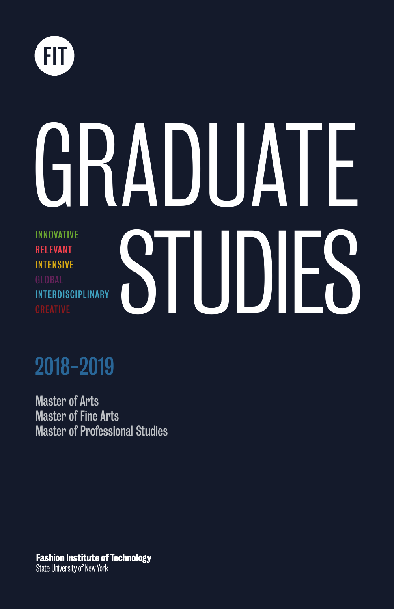

# STUDIES GRADUATE INNOVATIVE RELEVANT INTENSIVE GLOBAL INTERDISCIPLINARY

# 2018-2019

Master of Arts Master of Fine Arts Master of Professional Studies

**Fashion Institute of Technology State University of New York**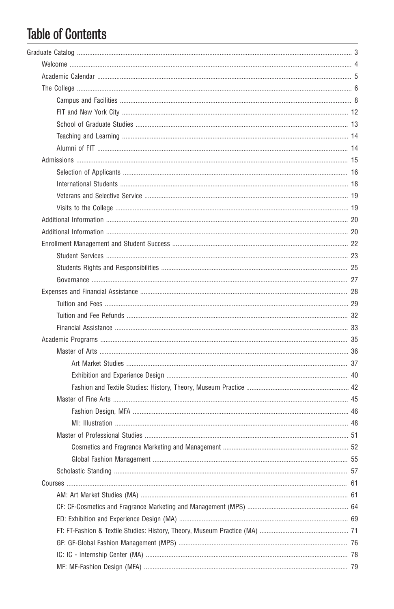# **Table of Contents**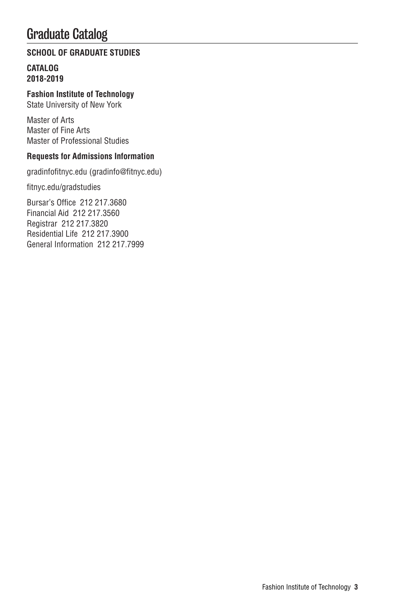# Graduate Catalog

#### **SCHOOL OF GRADUATE STUDIES**

#### **CATALOG 2018-2019**

**Fashion Institute of Technology**

State University of New York

Master of Arts Master of Fine Arts Master of Professional Studies

#### **Requests for Admissions Information**

gradinfofitnyc.edu (gradinfo@fitnyc.edu)

fitnyc.edu/gradstudies

Bursar's Office 212 217.3680 Financial Aid 212 217.3560 Registrar 212 217.3820 Residential Life 212 217.3900 General Information 212 217.7999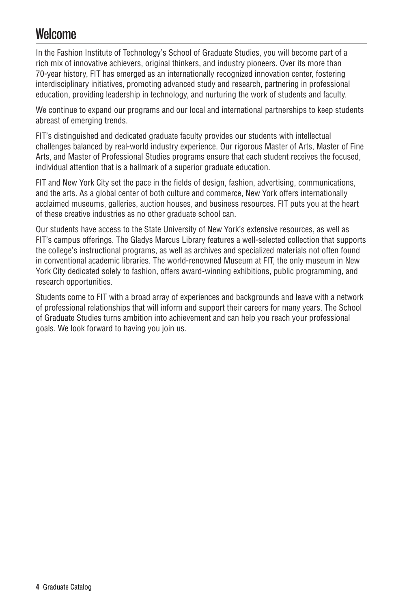# **Welcome**

In the Fashion Institute of Technology's School of Graduate Studies, you will become part of a rich mix of innovative achievers, original thinkers, and industry pioneers. Over its more than 70-year history, FIT has emerged as an internationally recognized innovation center, fostering interdisciplinary initiatives, promoting advanced study and research, partnering in professional education, providing leadership in technology, and nurturing the work of students and faculty.

We continue to expand our programs and our local and international partnerships to keep students abreast of emerging trends.

FIT's distinguished and dedicated graduate faculty provides our students with intellectual challenges balanced by real-world industry experience. Our rigorous Master of Arts, Master of Fine Arts, and Master of Professional Studies programs ensure that each student receives the focused, individual attention that is a hallmark of a superior graduate education.

FIT and New York City set the pace in the fields of design, fashion, advertising, communications, and the arts. As a global center of both culture and commerce, New York offers internationally acclaimed museums, galleries, auction houses, and business resources. FIT puts you at the heart of these creative industries as no other graduate school can.

Our students have access to the State University of New York's extensive resources, as well as FIT's campus offerings. The Gladys Marcus Library features a well-selected collection that supports the college's instructional programs, as well as archives and specialized materials not often found in conventional academic libraries. The world-renowned Museum at FIT, the only museum in New York City dedicated solely to fashion, offers award-winning exhibitions, public programming, and research opportunities.

Students come to FIT with a broad array of experiences and backgrounds and leave with a network of professional relationships that will inform and support their careers for many years. The School of Graduate Studies turns ambition into achievement and can help you reach your professional goals. We look forward to having you join us.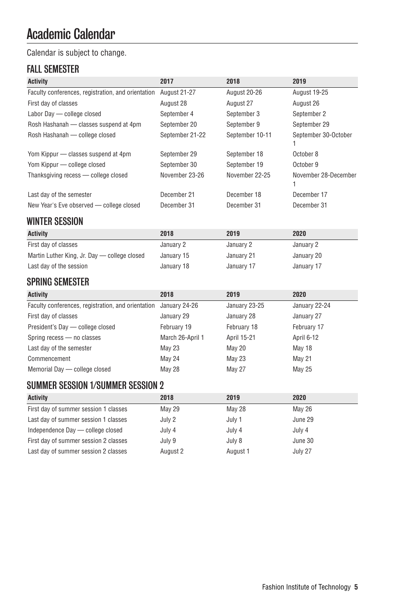# Academic Calendar

### Calendar is subject to change.

### FALL SEMESTER

| <b>Activity</b>                                    | 2017            | 2018            | 2019                 |
|----------------------------------------------------|-----------------|-----------------|----------------------|
| Faculty conferences, registration, and orientation | August 21-27    | August 20-26    | <b>August 19-25</b>  |
| First day of classes                               | August 28       | August 27       | August 26            |
| Labor Day - college closed                         | September 4     | September 3     | September 2          |
| Rosh Hashanah - classes suspend at 4pm             | September 20    | September 9     | September 29         |
| Rosh Hashanah - college closed                     | September 21-22 | September 10-11 | September 30-October |
| Yom Kippur - classes suspend at 4pm                | September 29    | September 18    | October 8            |
| Yom Kippur — college closed                        | September 30    | September 19    | October 9            |
| Thanksgiving recess - college closed               | November 23-26  | November 22-25  | November 28-December |
| Last day of the semester                           | December 21     | December 18     | December 17          |
| New Year's Eve observed - college closed           | December 31     | December 31     | December 31          |

### WINTER SESSION

| <b>Activity</b>                              | 2018       | 2019       | 2020       |
|----------------------------------------------|------------|------------|------------|
| First day of classes                         | January 2  | January 2  | January 2  |
| Martin Luther King, Jr. Day — college closed | January 15 | January 21 | January 20 |
| Last day of the session                      | January 18 | January 17 | January 17 |

# SPRING SEMESTER

| <b>Activity</b>                                                  | 2018             | 2019          | 2020          |
|------------------------------------------------------------------|------------------|---------------|---------------|
| Faculty conferences, registration, and orientation January 24-26 |                  | January 23-25 | January 22-24 |
| First day of classes                                             | January 29       | January 28    | January 27    |
| President's Day - college closed                                 | February 19      | February 18   | February 17   |
| Spring recess - no classes                                       | March 26-April 1 | April 15-21   | April 6-12    |
| Last day of the semester                                         | <b>May 23</b>    | <b>May 20</b> | May 18        |
| Commencement                                                     | May 24           | <b>May 23</b> | <b>May 21</b> |
| Memorial Day - college closed                                    | May 28           | <b>May 27</b> | <b>May 25</b> |

# SUMMER SESSION 1/SUMMER SESSION 2

| <b>Activity</b>                       | 2018          | 2019          | 2020    |
|---------------------------------------|---------------|---------------|---------|
| First day of summer session 1 classes | <b>May 29</b> | <b>May 28</b> | May 26  |
| Last day of summer session 1 classes  | July 2        | July 1        | June 29 |
| Independence Day — college closed     | July 4        | July 4        | July 4  |
| First day of summer session 2 classes | July 9        | July 8        | June 30 |
| Last day of summer session 2 classes  | August 2      | August 1      | July 27 |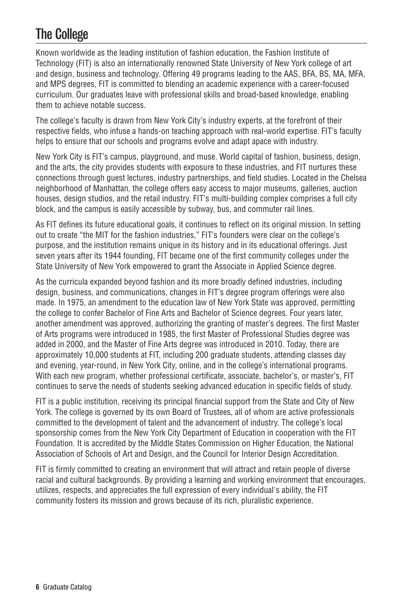# The College

Known worldwide as the leading institution of fashion education, the Fashion Institute of Technology (FIT) is also an internationally renowned State University of New York college of art and design, business and technology. Offering 49 programs leading to the AAS, BFA, BS, MA, MFA, and MPS degrees, FIT is committed to blending an academic experience with a career-focused curriculum. Our graduates leave with professional skills and broad-based knowledge, enabling them to achieve notable success.

The college's faculty is drawn from New York City's industry experts, at the forefront of their respective fields, who infuse a hands-on teaching approach with real-world expertise. FIT's faculty helps to ensure that our schools and programs evolve and adapt apace with industry.

New York City is FIT's campus, playground, and muse. World capital of fashion, business, design, and the arts, the city provides students with exposure to these industries, and FIT nurtures these connections through guest lectures, industry partnerships, and field studies. Located in the Chelsea neighborhood of Manhattan, the college offers easy access to major museums, galleries, auction houses, design studios, and the retail industry. FIT's multi-building complex comprises a full city block, and the campus is easily accessible by subway, bus, and commuter rail lines.

As FIT defines its future educational goals, it continues to reflect on its original mission. In setting out to create "the MIT for the fashion industries," FIT's founders were clear on the college's purpose, and the institution remains unique in its history and in its educational offerings. Just seven years after its 1944 founding, FIT became one of the first community colleges under the State University of New York empowered to grant the Associate in Applied Science degree.

As the curricula expanded beyond fashion and its more broadly defined industries, including design, business, and communications, changes in FIT's degree program offerings were also made. In 1975, an amendment to the education law of New York State was approved, permitting the college to confer Bachelor of Fine Arts and Bachelor of Science degrees. Four years later, another amendment was approved, authorizing the granting of master's degrees. The first Master of Arts programs were introduced in 1985, the first Master of Professional Studies degree was added in 2000, and the Master of Fine Arts degree was introduced in 2010. Today, there are approximately 10,000 students at FIT, including 200 graduate students, attending classes day and evening, year-round, in New York City, online, and in the college's international programs. With each new program, whether professional certificate, associate, bachelor's, or master's, FIT continues to serve the needs of students seeking advanced education in specific fields of study.

FIT is a public institution, receiving its principal financial support from the State and City of New York. The college is governed by its own Board of Trustees, all of whom are active professionals committed to the development of talent and the advancement of industry. The college's local sponsorship comes from the New York City Department of Education in cooperation with the FIT Foundation. It is accredited by the Middle States Commission on Higher Education, the National Association of Schools of Art and Design, and the Council for Interior Design Accreditation.

FIT is firmly committed to creating an environment that will attract and retain people of diverse racial and cultural backgrounds. By providing a learning and working environment that encourages, utilizes, respects, and appreciates the full expression of every individual's ability, the FIT community fosters its mission and grows because of its rich, pluralistic experience.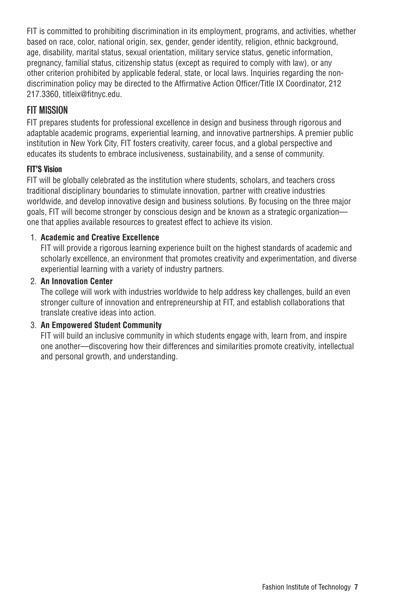FIT is committed to prohibiting discrimination in its employment, programs, and activities, whether based on race, color, national origin, sex, gender, gender identity, religion, ethnic background, age, disability, marital status, sexual orientation, military service status, genetic information, pregnancy, familial status, citizenship status (except as required to comply with law), or any other criterion prohibited by applicable federal, state, or local laws. Inquiries regarding the nondiscrimination policy may be directed to the Affirmative Action Officer/Title IX Coordinator, 212 217.3360, titleix@fitnyc.edu.

### FIT MISSION

FIT prepares students for professional excellence in design and business through rigorous and adaptable academic programs, experiential learning, and innovative partnerships. A premier public institution in New York City, FIT fosters creativity, career focus, and a global perspective and educates its students to embrace inclusiveness, sustainability, and a sense of community.

#### FIT'S Vision

FIT will be globally celebrated as the institution where students, scholars, and teachers cross traditional disciplinary boundaries to stimulate innovation, partner with creative industries worldwide, and develop innovative design and business solutions. By focusing on the three major goals, FIT will become stronger by conscious design and be known as a strategic organization one that applies available resources to greatest effect to achieve its vision.

#### 1. **Academic and Creative Excellence**

FIT will provide a rigorous learning experience built on the highest standards of academic and scholarly excellence, an environment that promotes creativity and experimentation, and diverse experiential learning with a variety of industry partners.

#### 2. **An Innovation Center**

The college will work with industries worldwide to help address key challenges, build an even stronger culture of innovation and entrepreneurship at FIT, and establish collaborations that translate creative ideas into action.

#### 3. **An Empowered Student Community**

FIT will build an inclusive community in which students engage with, learn from, and inspire one another—discovering how their differences and similarities promote creativity, intellectual and personal growth, and understanding.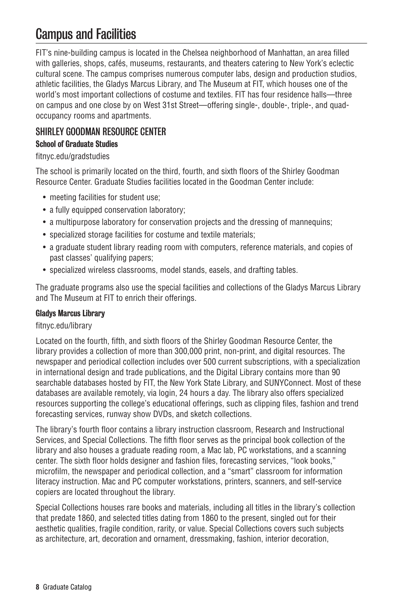# Campus and Facilities

FIT's nine-building campus is located in the Chelsea neighborhood of Manhattan, an area filled with galleries, shops, cafés, museums, restaurants, and theaters catering to New York's eclectic cultural scene. The campus comprises numerous computer labs, design and production studios, athletic facilities, the Gladys Marcus Library, and The Museum at FIT, which houses one of the world's most important collections of costume and textiles. FIT has four residence halls—three on campus and one close by on West 31st Street—offering single-, double-, triple-, and quadoccupancy rooms and apartments.

### SHIRLEY GOODMAN RESOURCE CENTER

#### School of Graduate Studies

#### fitnyc.edu/gradstudies

The school is primarily located on the third, fourth, and sixth floors of the Shirley Goodman Resource Center. Graduate Studies facilities located in the Goodman Center include:

- meeting facilities for student use;
- a fully equipped conservation laboratory;
- a multipurpose laboratory for conservation projects and the dressing of mannequins;
- specialized storage facilities for costume and textile materials;
- a graduate student library reading room with computers, reference materials, and copies of past classes' qualifying papers;
- specialized wireless classrooms, model stands, easels, and drafting tables.

The graduate programs also use the special facilities and collections of the Gladys Marcus Library and The Museum at FIT to enrich their offerings.

#### Gladys Marcus Library

#### fitnyc.edu/library

Located on the fourth, fifth, and sixth floors of the Shirley Goodman Resource Center, the library provides a collection of more than 300,000 print, non-print, and digital resources. The newspaper and periodical collection includes over 500 current subscriptions, with a specialization in international design and trade publications, and the Digital Library contains more than 90 searchable databases hosted by FIT, the New York State Library, and SUNYConnect. Most of these databases are available remotely, via login, 24 hours a day. The library also offers specialized resources supporting the college's educational offerings, such as clipping files, fashion and trend forecasting services, runway show DVDs, and sketch collections.

The library's fourth floor contains a library instruction classroom, Research and Instructional Services, and Special Collections. The fifth floor serves as the principal book collection of the library and also houses a graduate reading room, a Mac lab, PC workstations, and a scanning center. The sixth floor holds designer and fashion files, forecasting services, "look books," microfilm, the newspaper and periodical collection, and a "smart" classroom for information literacy instruction. Mac and PC computer workstations, printers, scanners, and self-service copiers are located throughout the library.

Special Collections houses rare books and materials, including all titles in the library's collection that predate 1860, and selected titles dating from 1860 to the present, singled out for their aesthetic qualities, fragile condition, rarity, or value. Special Collections covers such subjects as architecture, art, decoration and ornament, dressmaking, fashion, interior decoration,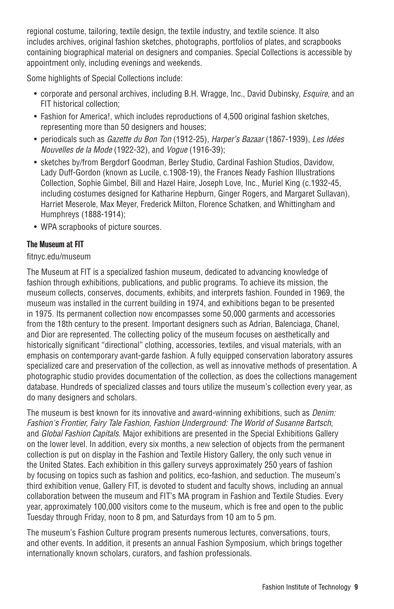regional costume, tailoring, textile design, the textile industry, and textile science. It also includes archives, original fashion sketches, photographs, portfolios of plates, and scrapbooks containing biographical material on designers and companies. Special Collections is accessible by appointment only, including evenings and weekends.

Some highlights of Special Collections include:

- corporate and personal archives, including B.H. Wragge, Inc., David Dubinsky, *Esquire*, and an FIT historical collection;
- Fashion for America!, which includes reproductions of 4,500 original fashion sketches, representing more than 50 designers and houses;
- periodicals such as *Gazette du Bon Ton* (1912-25), *Harper's Bazaar* (1867-1939), *Les Idées Nouvelles de la Mode* (1922-32), and *Vogue* (1916-39);
- sketches by/from Bergdorf Goodman, Berley Studio, Cardinal Fashion Studios, Davidow, Lady Duff-Gordon (known as Lucile, c.1908-19), the Frances Neady Fashion Illustrations Collection, Sophie Gimbel, Bill and Hazel Haire, Joseph Love, Inc., Muriel King (c.1932-45, including costumes designed for Katharine Hepburn, Ginger Rogers, and Margaret Sullavan), Harriet Meserole, Max Meyer, Frederick Milton, Florence Schatken, and Whittingham and Humphreys (1888-1914);
- WPA scrapbooks of picture sources.

#### The Museum at FIT

#### fitnyc.edu/museum

The Museum at FIT is a specialized fashion museum, dedicated to advancing knowledge of fashion through exhibitions, publications, and public programs. To achieve its mission, the museum collects, conserves, documents, exhibits, and interprets fashion. Founded in 1969, the museum was installed in the current building in 1974, and exhibitions began to be presented in 1975. Its permanent collection now encompasses some 50,000 garments and accessories from the 18th century to the present. Important designers such as Adrian, Balenciaga, Chanel, and Dior are represented. The collecting policy of the museum focuses on aesthetically and historically significant "directional" clothing, accessories, textiles, and visual materials, with an emphasis on contemporary avant-garde fashion. A fully equipped conservation laboratory assures specialized care and preservation of the collection, as well as innovative methods of presentation. A photographic studio provides documentation of the collection, as does the collections management database. Hundreds of specialized classes and tours utilize the museum's collection every year, as do many designers and scholars.

The museum is best known for its innovative and award-winning exhibitions, such as *Denim: Fashion's Frontier, Fairy Tale Fashion, Fashion Underground: The World of Susanne Bartsch*, and *Global Fashion Capitals*. Major exhibitions are presented in the Special Exhibitions Gallery on the lower level. In addition, every six months, a new selection of objects from the permanent collection is put on display in the Fashion and Textile History Gallery, the only such venue in the United States. Each exhibition in this gallery surveys approximately 250 years of fashion by focusing on topics such as fashion and politics, eco-fashion, and seduction. The museum's third exhibition venue, Gallery FIT, is devoted to student and faculty shows, including an annual collaboration between the museum and FIT's MA program in Fashion and Textile Studies. Every year, approximately 100,000 visitors come to the museum, which is free and open to the public Tuesday through Friday, noon to 8 pm, and Saturdays from 10 am to 5 pm.

The museum's Fashion Culture program presents numerous lectures, conversations, tours, and other events. In addition, it presents an annual Fashion Symposium, which brings together internationally known scholars, curators, and fashion professionals.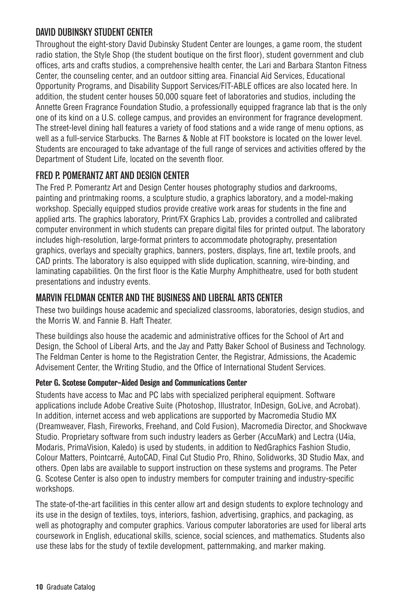### DAVID DUBINSKY STUDENT CENTER

Throughout the eight-story David Dubinsky Student Center are lounges, a game room, the student radio station, the Style Shop (the student boutique on the first floor), student government and club offices, arts and crafts studios, a comprehensive health center, the Lari and Barbara Stanton Fitness Center, the counseling center, and an outdoor sitting area. Financial Aid Services, Educational Opportunity Programs, and Disability Support Services/FIT-ABLE offices are also located here. In addition, the student center houses 50,000 square feet of laboratories and studios, including the Annette Green Fragrance Foundation Studio, a professionally equipped fragrance lab that is the only one of its kind on a U.S. college campus, and provides an environment for fragrance development. The street-level dining hall features a variety of food stations and a wide range of menu options, as well as a full-service Starbucks. The Barnes & Noble at FIT bookstore is located on the lower level. Students are encouraged to take advantage of the full range of services and activities offered by the Department of Student Life, located on the seventh floor.

### FRED P. POMERANTZ ART AND DESIGN CENTER

The Fred P. Pomerantz Art and Design Center houses photography studios and darkrooms, painting and printmaking rooms, a sculpture studio, a graphics laboratory, and a model-making workshop. Specially equipped studios provide creative work areas for students in the fine and applied arts. The graphics laboratory, Print/FX Graphics Lab, provides a controlled and calibrated computer environment in which students can prepare digital files for printed output. The laboratory includes high-resolution, large-format printers to accommodate photography, presentation graphics, overlays and specialty graphics, banners, posters, displays, fine art, textile proofs, and CAD prints. The laboratory is also equipped with slide duplication, scanning, wire-binding, and laminating capabilities. On the first floor is the Katie Murphy Amphitheatre, used for both student presentations and industry events.

### MARVIN FELDMAN CENTER AND THE BUSINESS AND LIBERAL ARTS CENTER

These two buildings house academic and specialized classrooms, laboratories, design studios, and the Morris W. and Fannie B. Haft Theater.

These buildings also house the academic and administrative offices for the School of Art and Design, the School of Liberal Arts, and the Jay and Patty Baker School of Business and Technology. The Feldman Center is home to the Registration Center, the Registrar, Admissions, the Academic Advisement Center, the Writing Studio, and the Office of International Student Services.

#### Peter G. Scotese Computer-Aided Design and Communications Center

Students have access to Mac and PC labs with specialized peripheral equipment. Software applications include Adobe Creative Suite (Photoshop, Illustrator, InDesign, GoLive, and Acrobat). In addition, internet access and web applications are supported by Macromedia Studio MX (Dreamweaver, Flash, Fireworks, Freehand, and Cold Fusion), Macromedia Director, and Shockwave Studio. Proprietary software from such industry leaders as Gerber (AccuMark) and Lectra (U4ia, Modaris, PrimaVision, Kaledo) is used by students, in addition to NedGraphics Fashion Studio, Colour Matters, Pointcarré, AutoCAD, Final Cut Studio Pro, Rhino, Solidworks, 3D Studio Max, and others. Open labs are available to support instruction on these systems and programs. The Peter G. Scotese Center is also open to industry members for computer training and industry-specific workshops.

The state-of-the-art facilities in this center allow art and design students to explore technology and its use in the design of textiles, toys, interiors, fashion, advertising, graphics, and packaging, as well as photography and computer graphics. Various computer laboratories are used for liberal arts coursework in English, educational skills, science, social sciences, and mathematics. Students also use these labs for the study of textile development, patternmaking, and marker making.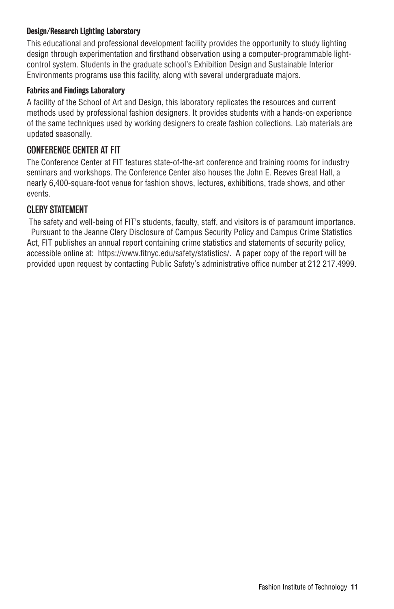#### Design/Research Lighting Laboratory

This educational and professional development facility provides the opportunity to study lighting design through experimentation and firsthand observation using a computer-programmable lightcontrol system. Students in the graduate school's Exhibition Design and Sustainable Interior Environments programs use this facility, along with several undergraduate majors.

#### Fabrics and Findings Laboratory

A facility of the School of Art and Design, this laboratory replicates the resources and current methods used by professional fashion designers. It provides students with a hands-on experience of the same techniques used by working designers to create fashion collections. Lab materials are updated seasonally.

#### CONFERENCE CENTER AT FIT

The Conference Center at FIT features state-of-the-art conference and training rooms for industry seminars and workshops. The Conference Center also houses the John E. Reeves Great Hall, a nearly 6,400-square-foot venue for fashion shows, lectures, exhibitions, trade shows, and other events.

#### CLERY STATEMENT

 The safety and well-being of FIT's students, faculty, staff, and visitors is of paramount importance. Pursuant to the Jeanne Clery Disclosure of Campus Security Policy and Campus Crime Statistics Act, FIT publishes an annual report containing crime statistics and statements of security policy, accessible online at: https://www.fitnyc.edu/safety/statistics/. A paper copy of the report will be provided upon request by contacting Public Safety's administrative office number at 212 217.4999.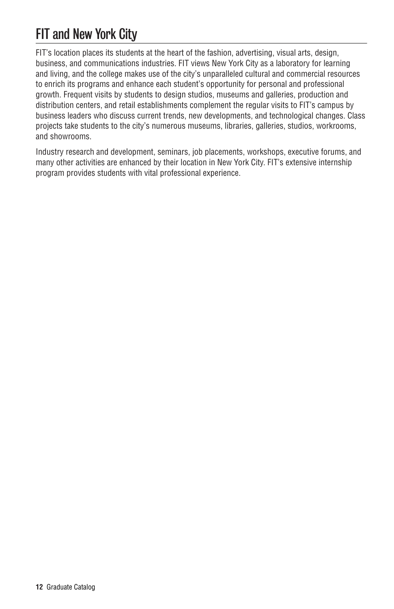# FIT and New York City

FIT's location places its students at the heart of the fashion, advertising, visual arts, design, business, and communications industries. FIT views New York City as a laboratory for learning and living, and the college makes use of the city's unparalleled cultural and commercial resources to enrich its programs and enhance each student's opportunity for personal and professional growth. Frequent visits by students to design studios, museums and galleries, production and distribution centers, and retail establishments complement the regular visits to FIT's campus by business leaders who discuss current trends, new developments, and technological changes. Class projects take students to the city's numerous museums, libraries, galleries, studios, workrooms, and showrooms.

Industry research and development, seminars, job placements, workshops, executive forums, and many other activities are enhanced by their location in New York City. FIT's extensive internship program provides students with vital professional experience.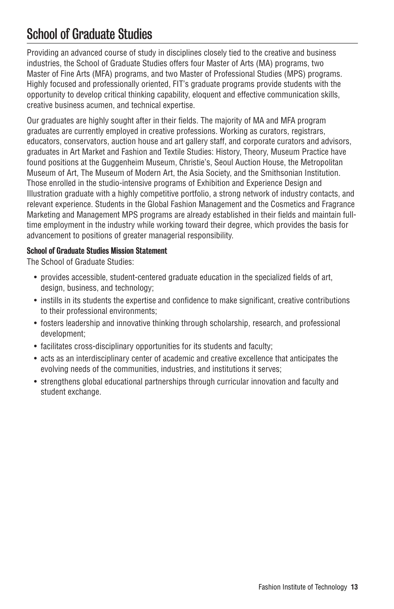# School of Graduate Studies

Providing an advanced course of study in disciplines closely tied to the creative and business industries, the School of Graduate Studies offers four Master of Arts (MA) programs, two Master of Fine Arts (MFA) programs, and two Master of Professional Studies (MPS) programs. Highly focused and professionally oriented, FIT's graduate programs provide students with the opportunity to develop critical thinking capability, eloquent and effective communication skills, creative business acumen, and technical expertise.

Our graduates are highly sought after in their fields. The majority of MA and MFA program graduates are currently employed in creative professions. Working as curators, registrars, educators, conservators, auction house and art gallery staff, and corporate curators and advisors, graduates in Art Market and Fashion and Textile Studies: History, Theory, Museum Practice have found positions at the Guggenheim Museum, Christie's, Seoul Auction House, the Metropolitan Museum of Art, The Museum of Modern Art, the Asia Society, and the Smithsonian Institution. Those enrolled in the studio-intensive programs of Exhibition and Experience Design and Illustration graduate with a highly competitive portfolio, a strong network of industry contacts, and relevant experience. Students in the Global Fashion Management and the Cosmetics and Fragrance Marketing and Management MPS programs are already established in their fields and maintain fulltime employment in the industry while working toward their degree, which provides the basis for advancement to positions of greater managerial responsibility.

#### School of Graduate Studies Mission Statement

The School of Graduate Studies:

- provides accessible, student-centered graduate education in the specialized fields of art, design, business, and technology;
- instills in its students the expertise and confidence to make significant, creative contributions to their professional environments;
- fosters leadership and innovative thinking through scholarship, research, and professional development;
- facilitates cross-disciplinary opportunities for its students and faculty;
- acts as an interdisciplinary center of academic and creative excellence that anticipates the evolving needs of the communities, industries, and institutions it serves;
- strengthens global educational partnerships through curricular innovation and faculty and student exchange.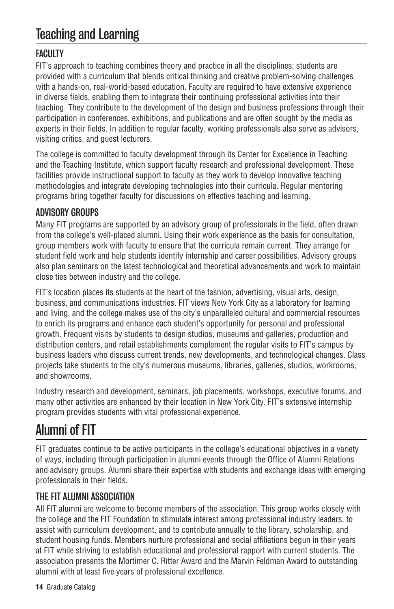# Teaching and Learning

### **FACULTY**

FIT's approach to teaching combines theory and practice in all the disciplines; students are provided with a curriculum that blends critical thinking and creative problem-solving challenges with a hands-on, real-world-based education. Faculty are required to have extensive experience in diverse fields, enabling them to integrate their continuing professional activities into their teaching. They contribute to the development of the design and business professions through their participation in conferences, exhibitions, and publications and are often sought by the media as experts in their fields. In addition to regular faculty, working professionals also serve as advisors, visiting critics, and guest lecturers.

The college is committed to faculty development through its Center for Excellence in Teaching and the Teaching Institute, which support faculty research and professional development. These facilities provide instructional support to faculty as they work to develop innovative teaching methodologies and integrate developing technologies into their curricula. Regular mentoring programs bring together faculty for discussions on effective teaching and learning.

### ADVISORY GROUPS

Many FIT programs are supported by an advisory group of professionals in the field, often drawn from the college's well-placed alumni. Using their work experience as the basis for consultation, group members work with faculty to ensure that the curricula remain current. They arrange for student field work and help students identify internship and career possibilities. Advisory groups also plan seminars on the latest technological and theoretical advancements and work to maintain close ties between industry and the college.

FIT's location places its students at the heart of the fashion, advertising, visual arts, design, business, and communications industries. FIT views New York City as a laboratory for learning and living, and the college makes use of the city's unparalleled cultural and commercial resources to enrich its programs and enhance each student's opportunity for personal and professional growth. Frequent visits by students to design studios, museums and galleries, production and distribution centers, and retail establishments complement the regular visits to FIT's campus by business leaders who discuss current trends, new developments, and technological changes. Class projects take students to the city's numerous museums, libraries, galleries, studios, workrooms, and showrooms.

Industry research and development, seminars, job placements, workshops, executive forums, and many other activities are enhanced by their location in New York City. FIT's extensive internship program provides students with vital professional experience.

# Alumni of FIT

FIT graduates continue to be active participants in the college's educational objectives in a variety of ways, including through participation in alumni events through the Office of Alumni Relations and advisory groups. Alumni share their expertise with students and exchange ideas with emerging professionals in their fields.

### THE FIT ALUMNI ASSOCIATION

All FIT alumni are welcome to become members of the association. This group works closely with the college and the FIT Foundation to stimulate interest among professional industry leaders, to assist with curriculum development, and to contribute annually to the library, scholarship, and student housing funds. Members nurture professional and social affiliations begun in their years at FIT while striving to establish educational and professional rapport with current students. The association presents the Mortimer C. Ritter Award and the Marvin Feldman Award to outstanding alumni with at least five years of professional excellence.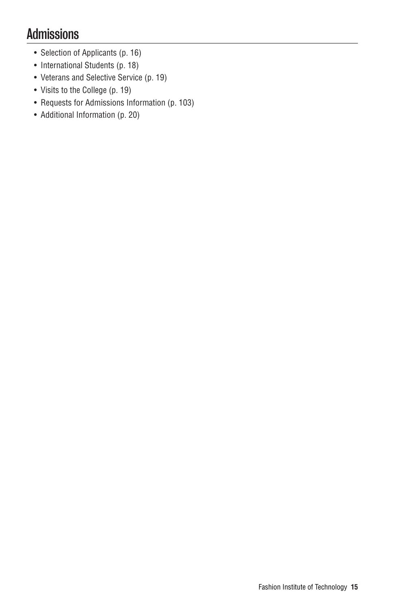# Admissions

- Selection of Applicants (p. 16)
- International Students (p. 18)
- Veterans and Selective Service (p. 19)
- Visits to the College (p. 19)
- Requests for Admissions Information (p. 103)
- Additional Information (p. 20)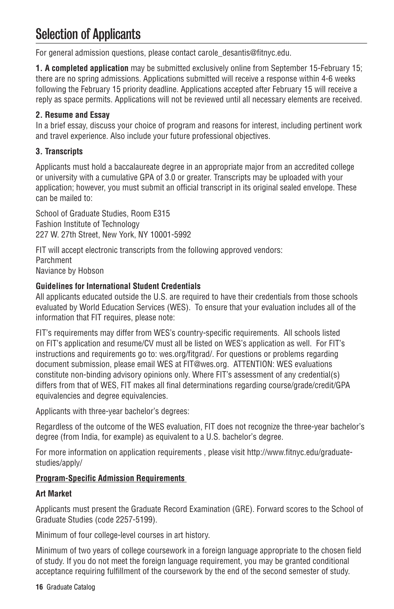# Selection of Applicants

For general admission questions, please contact carole\_desantis@fitnyc.edu.

**1. A completed application** may be submitted exclusively online from September 15-February 15; there are no spring admissions. Applications submitted will receive a response within 4-6 weeks following the February 15 priority deadline. Applications accepted after February 15 will receive a reply as space permits. Applications will not be reviewed until all necessary elements are received.

#### **2. Resume and Essay**

In a brief essay, discuss your choice of program and reasons for interest, including pertinent work and travel experience. Also include your future professional objectives.

#### **3. Transcripts**

Applicants must hold a baccalaureate degree in an appropriate major from an accredited college or university with a cumulative GPA of 3.0 or greater. Transcripts may be uploaded with your application; however, you must submit an official transcript in its original sealed envelope. These can be mailed to:

School of Graduate Studies, Room E315 Fashion Institute of Technology 227 W. 27th Street, New York, NY 10001-5992

FIT will accept electronic transcripts from the following approved vendors: Parchment Naviance by Hobson

#### **Guidelines for International Student Credentials**

All applicants educated outside the U.S. are required to have their credentials from those schools evaluated by World Education Services (WES). To ensure that your evaluation includes all of the information that FIT requires, please note:

FIT's requirements may differ from WES's country-specific requirements. All schools listed on FIT's application and resume/CV must all be listed on WES's application as well. For FIT's instructions and requirements go to: wes.org/fitgrad/. For questions or problems regarding document submission, please email WES at FIT@wes.org. ATTENTION: WES evaluations constitute non-binding advisory opinions only. Where FIT's assessment of any credential(s) differs from that of WES, FIT makes all final determinations regarding course/grade/credit/GPA equivalencies and degree equivalencies.

Applicants with three-year bachelor's degrees:

Regardless of the outcome of the WES evaluation, FIT does not recognize the three-year bachelor's degree (from India, for example) as equivalent to a U.S. bachelor's degree.

For more information on application requirements , please visit http://www.fitnyc.edu/graduatestudies/apply/

#### **Program-Specific Admission Requirements**

#### **Art Market**

Applicants must present the Graduate Record Examination (GRE). Forward scores to the School of Graduate Studies (code 2257-5199).

Minimum of four college-level courses in art history.

Minimum of two years of college coursework in a foreign language appropriate to the chosen field of study. If you do not meet the foreign language requirement, you may be granted conditional acceptance requiring fulfillment of the coursework by the end of the second semester of study.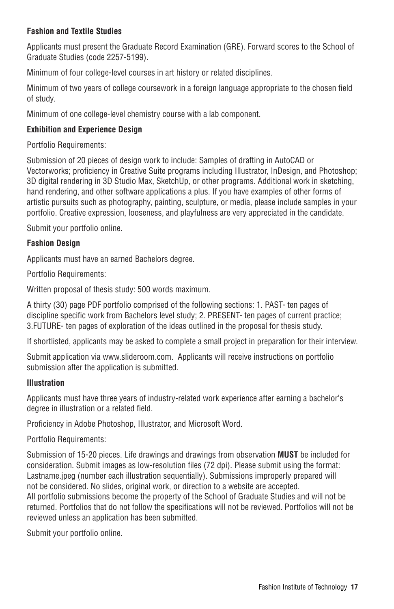#### **Fashion and Textile Studies**

Applicants must present the Graduate Record Examination (GRE). Forward scores to the School of Graduate Studies (code 2257-5199).

Minimum of four college-level courses in art history or related disciplines.

Minimum of two years of college coursework in a foreign language appropriate to the chosen field of study.

Minimum of one college-level chemistry course with a lab component.

#### **Exhibition and Experience Design**

Portfolio Requirements:

Submission of 20 pieces of design work to include: Samples of drafting in AutoCAD or Vectorworks; proficiency in Creative Suite programs including Illustrator, InDesign, and Photoshop; 3D digital rendering in 3D Studio Max, SketchUp, or other programs. Additional work in sketching, hand rendering, and other software applications a plus. If you have examples of other forms of artistic pursuits such as photography, painting, sculpture, or media, please include samples in your portfolio. Creative expression, looseness, and playfulness are very appreciated in the candidate.

Submit your portfolio online.

#### **Fashion Design**

Applicants must have an earned Bachelors degree.

Portfolio Requirements:

Written proposal of thesis study: 500 words maximum.

A thirty (30) page PDF portfolio comprised of the following sections: 1. PAST- ten pages of discipline specific work from Bachelors level study; 2. PRESENT- ten pages of current practice; 3.FUTURE- ten pages of exploration of the ideas outlined in the proposal for thesis study.

If shortlisted, applicants may be asked to complete a small project in preparation for their interview.

Submit application via www.slideroom.com. Applicants will receive instructions on portfolio submission after the application is submitted.

#### **Illustration**

Applicants must have three years of industry-related work experience after earning a bachelor's degree in illustration or a related field.

Proficiency in Adobe Photoshop, Illustrator, and Microsoft Word.

Portfolio Requirements:

Submission of 15-20 pieces. Life drawings and drawings from observation **MUST** be included for consideration. Submit images as low-resolution files (72 dpi). Please submit using the format: Lastname.jpeg (number each illustration sequentially). Submissions improperly prepared will not be considered. No slides, original work, or direction to a website are accepted. All portfolio submissions become the property of the School of Graduate Studies and will not be returned. Portfolios that do not follow the specifications will not be reviewed. Portfolios will not be reviewed unless an application has been submitted.

Submit your portfolio online.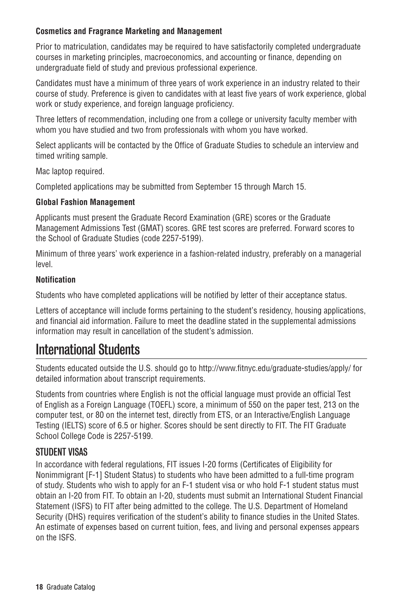#### **Cosmetics and Fragrance Marketing and Management**

Prior to matriculation, candidates may be required to have satisfactorily completed undergraduate courses in marketing principles, macroeconomics, and accounting or finance, depending on undergraduate field of study and previous professional experience.

Candidates must have a minimum of three years of work experience in an industry related to their course of study. Preference is given to candidates with at least five years of work experience, global work or study experience, and foreign language proficiency.

Three letters of recommendation, including one from a college or university faculty member with whom you have studied and two from professionals with whom you have worked.

Select applicants will be contacted by the Office of Graduate Studies to schedule an interview and timed writing sample.

Mac laptop required.

Completed applications may be submitted from September 15 through March 15.

#### **Global Fashion Management**

Applicants must present the Graduate Record Examination (GRE) scores or the Graduate Management Admissions Test (GMAT) scores. GRE test scores are preferred. Forward scores to the School of Graduate Studies (code 2257-5199).

Minimum of three years' work experience in a fashion-related industry, preferably on a managerial level.

#### **Notification**

Students who have completed applications will be notified by letter of their acceptance status.

Letters of acceptance will include forms pertaining to the student's residency, housing applications, and financial aid information. Failure to meet the deadline stated in the supplemental admissions information may result in cancellation of the student's admission.

# International Students

Students educated outside the U.S. should go to http://www.fitnyc.edu/graduate-studies/apply/ for detailed information about transcript requirements.

Students from countries where English is not the official language must provide an official Test of English as a Foreign Language (TOEFL) score, a minimum of 550 on the paper test, 213 on the computer test, or 80 on the internet test, directly from ETS, or an Interactive/English Language Testing (IELTS) score of 6.5 or higher. Scores should be sent directly to FIT. The FIT Graduate School College Code is 2257-5199.

#### STIIDENT VISAS

In accordance with federal regulations, FIT issues I-20 forms (Certificates of Eligibility for Nonimmigrant [F-1] Student Status) to students who have been admitted to a full-time program of study. Students who wish to apply for an F-1 student visa or who hold F-1 student status must obtain an I-20 from FIT. To obtain an I-20, students must submit an International Student Financial Statement (ISFS) to FIT after being admitted to the college. The U.S. Department of Homeland Security (DHS) requires verification of the student's ability to finance studies in the United States. An estimate of expenses based on current tuition, fees, and living and personal expenses appears on the ISFS.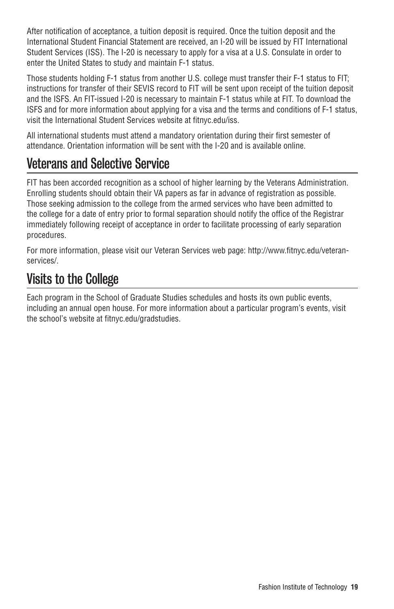After notification of acceptance, a tuition deposit is required. Once the tuition deposit and the International Student Financial Statement are received, an I-20 will be issued by FIT International Student Services (ISS). The I-20 is necessary to apply for a visa at a U.S. Consulate in order to enter the United States to study and maintain F-1 status.

Those students holding F-1 status from another U.S. college must transfer their F-1 status to FIT; instructions for transfer of their SEVIS record to FIT will be sent upon receipt of the tuition deposit and the ISFS. An FIT-issued I-20 is necessary to maintain F-1 status while at FIT. To download the ISFS and for more information about applying for a visa and the terms and conditions of F-1 status, visit the International Student Services website at fitnyc.edu/iss.

All international students must attend a mandatory orientation during their first semester of attendance. Orientation information will be sent with the I-20 and is available online.

# Veterans and Selective Service

FIT has been accorded recognition as a school of higher learning by the Veterans Administration. Enrolling students should obtain their VA papers as far in advance of registration as possible. Those seeking admission to the college from the armed services who have been admitted to the college for a date of entry prior to formal separation should notify the office of the Registrar immediately following receipt of acceptance in order to facilitate processing of early separation procedures.

For more information, please visit our Veteran Services web page: http://www.fitnyc.edu/veteranservices/.

# Visits to the College

Each program in the School of Graduate Studies schedules and hosts its own public events, including an annual open house. For more information about a particular program's events, visit the school's website at fitnyc.edu/gradstudies.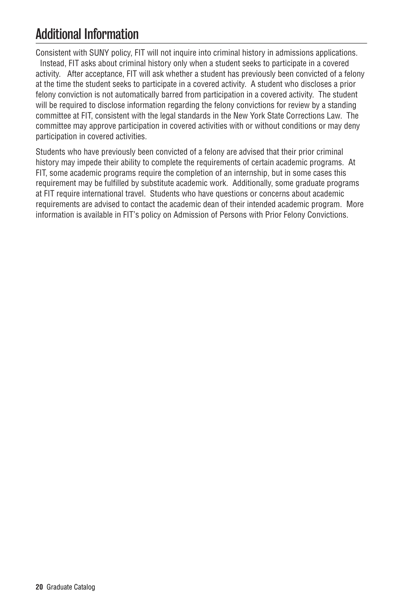# Additional Information

Consistent with SUNY policy, FIT will not inquire into criminal history in admissions applications. Instead, FIT asks about criminal history only when a student seeks to participate in a covered activity. After acceptance, FIT will ask whether a student has previously been convicted of a felony at the time the student seeks to participate in a covered activity. A student who discloses a prior felony conviction is not automatically barred from participation in a covered activity. The student will be required to disclose information regarding the felony convictions for review by a standing committee at FIT, consistent with the legal standards in the New York State Corrections Law. The committee may approve participation in covered activities with or without conditions or may deny participation in covered activities.

Students who have previously been convicted of a felony are advised that their prior criminal history may impede their ability to complete the requirements of certain academic programs. At FIT, some academic programs require the completion of an internship, but in some cases this requirement may be fulfilled by substitute academic work. Additionally, some graduate programs at FIT require international travel. Students who have questions or concerns about academic requirements are advised to contact the academic dean of their intended academic program. More information is available in FIT's policy on Admission of Persons with Prior Felony Convictions.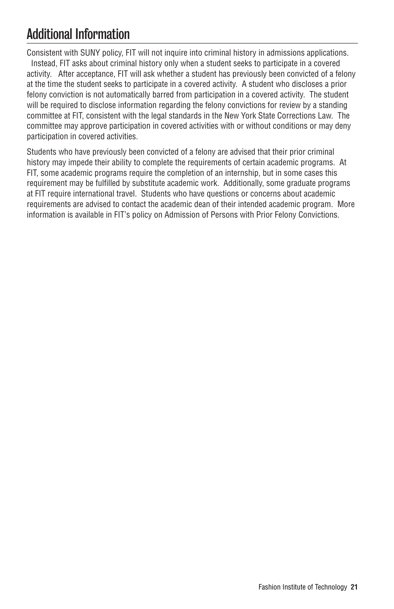# Additional Information

Consistent with SUNY policy, FIT will not inquire into criminal history in admissions applications. Instead, FIT asks about criminal history only when a student seeks to participate in a covered activity. After acceptance, FIT will ask whether a student has previously been convicted of a felony at the time the student seeks to participate in a covered activity. A student who discloses a prior felony conviction is not automatically barred from participation in a covered activity. The student will be required to disclose information regarding the felony convictions for review by a standing committee at FIT, consistent with the legal standards in the New York State Corrections Law. The committee may approve participation in covered activities with or without conditions or may deny participation in covered activities.

Students who have previously been convicted of a felony are advised that their prior criminal history may impede their ability to complete the requirements of certain academic programs. At FIT, some academic programs require the completion of an internship, but in some cases this requirement may be fulfilled by substitute academic work. Additionally, some graduate programs at FIT require international travel. Students who have questions or concerns about academic requirements are advised to contact the academic dean of their intended academic program. More information is available in FIT's policy on Admission of Persons with Prior Felony Convictions.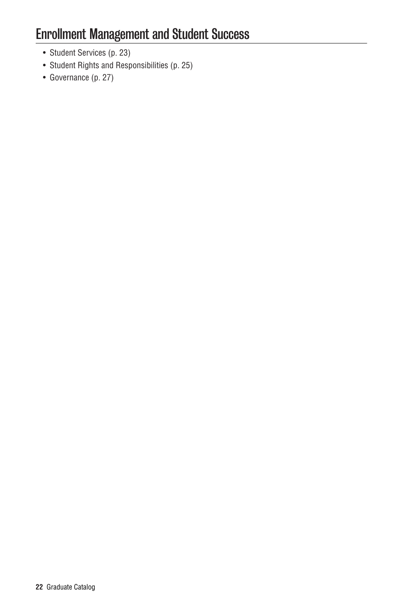# Enrollment Management and Student Success

- Student Services (p. 23)
- Student Rights and Responsibilities (p. 25)
- Governance (p. 27)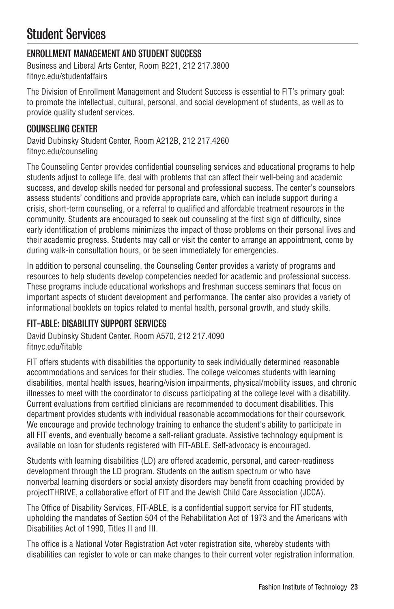# Student Services

## ENROLLMENT MANAGEMENT AND STUDENT SUCCESS

Business and Liberal Arts Center, Room B221, 212 217.3800 fitnyc.edu/studentaffairs

The Division of Enrollment Management and Student Success is essential to FIT's primary goal: to promote the intellectual, cultural, personal, and social development of students, as well as to provide quality student services.

### COUNSELING CENTER

David Dubinsky Student Center, Room A212B, 212 217.4260 fitnyc.edu/counseling

The Counseling Center provides confidential counseling services and educational programs to help students adjust to college life, deal with problems that can affect their well-being and academic success, and develop skills needed for personal and professional success. The center's counselors assess students' conditions and provide appropriate care, which can include support during a crisis, short-term counseling, or a referral to qualified and affordable treatment resources in the community. Students are encouraged to seek out counseling at the first sign of difficulty, since early identification of problems minimizes the impact of those problems on their personal lives and their academic progress. Students may call or visit the center to arrange an appointment, come by during walk-in consultation hours, or be seen immediately for emergencies.

In addition to personal counseling, the Counseling Center provides a variety of programs and resources to help students develop competencies needed for academic and professional success. These programs include educational workshops and freshman success seminars that focus on important aspects of student development and performance. The center also provides a variety of informational booklets on topics related to mental health, personal growth, and study skills.

### FIT-ABLE: DISABILITY SUPPORT SERVICES

David Dubinsky Student Center, Room A570, 212 217.4090 fitnyc.edu/fitable

FIT offers students with disabilities the opportunity to seek individually determined reasonable accommodations and services for their studies. The college welcomes students with learning disabilities, mental health issues, hearing/vision impairments, physical/mobility issues, and chronic illnesses to meet with the coordinator to discuss participating at the college level with a disability. Current evaluations from certified clinicians are recommended to document disabilities. This department provides students with individual reasonable accommodations for their coursework. We encourage and provide technology training to enhance the student's ability to participate in all FIT events, and eventually become a self-reliant graduate. Assistive technology equipment is available on loan for students registered with FIT-ABLE. Self-advocacy is encouraged.

Students with learning disabilities (LD) are offered academic, personal, and career-readiness development through the LD program. Students on the autism spectrum or who have nonverbal learning disorders or social anxiety disorders may benefit from coaching provided by projectTHRIVE, a collaborative effort of FIT and the Jewish Child Care Association (JCCA).

The Office of Disability Services, FIT-ABLE, is a confidential support service for FIT students, upholding the mandates of Section 504 of the Rehabilitation Act of 1973 and the Americans with Disabilities Act of 1990, Titles II and III.

The office is a National Voter Registration Act voter registration site, whereby students with disabilities can register to vote or can make changes to their current voter registration information.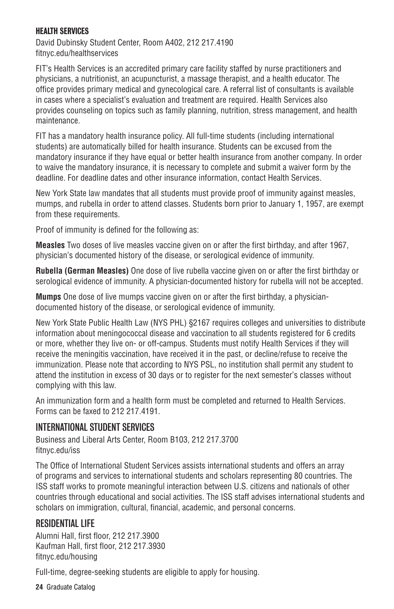#### HEALTH SERVICES

David Dubinsky Student Center, Room A402, 212 217.4190 fitnyc.edu/healthservices

FIT's Health Services is an accredited primary care facility staffed by nurse practitioners and physicians, a nutritionist, an acupuncturist, a massage therapist, and a health educator. The office provides primary medical and gynecological care. A referral list of consultants is available in cases where a specialist's evaluation and treatment are required. Health Services also provides counseling on topics such as family planning, nutrition, stress management, and health maintenance.

FIT has a mandatory health insurance policy. All full-time students (including international students) are automatically billed for health insurance. Students can be excused from the mandatory insurance if they have equal or better health insurance from another company. In order to waive the mandatory insurance, it is necessary to complete and submit a waiver form by the deadline. For deadline dates and other insurance information, contact Health Services.

New York State law mandates that all students must provide proof of immunity against measles, mumps, and rubella in order to attend classes. Students born prior to January 1, 1957, are exempt from these requirements.

Proof of immunity is defined for the following as:

**Measles** Two doses of live measles vaccine given on or after the first birthday, and after 1967, physician's documented history of the disease, or serological evidence of immunity.

**Rubella (German Measles)** One dose of live rubella vaccine given on or after the first birthday or serological evidence of immunity. A physician-documented history for rubella will not be accepted.

**Mumps** One dose of live mumps vaccine given on or after the first birthday, a physiciandocumented history of the disease, or serological evidence of immunity.

New York State Public Health Law (NYS PHL) §2167 requires colleges and universities to distribute information about meningococcal disease and vaccination to all students registered for 6 credits or more, whether they live on- or off-campus. Students must notify Health Services if they will receive the meningitis vaccination, have received it in the past, or decline/refuse to receive the immunization. Please note that according to NYS PSL, no institution shall permit any student to attend the institution in excess of 30 days or to register for the next semester's classes without complying with this law.

An immunization form and a health form must be completed and returned to Health Services. Forms can be faxed to 212 217.4191.

#### INTERNATIONAL STUDENT SERVICES

Business and Liberal Arts Center, Room B103, 212 217.3700 fitnyc.edu/iss

The Office of International Student Services assists international students and offers an array of programs and services to international students and scholars representing 80 countries. The ISS staff works to promote meaningful interaction between U.S. citizens and nationals of other countries through educational and social activities. The ISS staff advises international students and scholars on immigration, cultural, financial, academic, and personal concerns.

### RESIDENTIAL LIFE

Alumni Hall, first floor, 212 217.3900 Kaufman Hall, first floor, 212 217.3930 fitnyc.edu/housing

Full-time, degree-seeking students are eligible to apply for housing.

**24** Graduate Catalog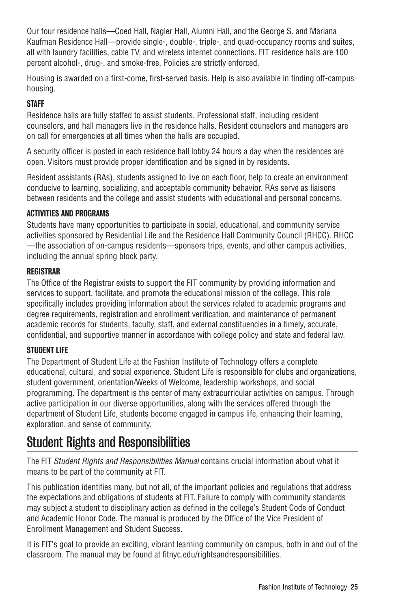Our four residence halls—Coed Hall, Nagler Hall, Alumni Hall, and the George S. and Mariana Kaufman Residence Hall—provide single-, double-, triple-, and quad-occupancy rooms and suites, all with laundry facilities, cable TV, and wireless internet connections. FIT residence halls are 100 percent alcohol-, drug-, and smoke-free. Policies are strictly enforced.

Housing is awarded on a first-come, first-served basis. Help is also available in finding off-campus housing.

#### **STAFF**

Residence halls are fully staffed to assist students. Professional staff, including resident counselors, and hall managers live in the residence halls. Resident counselors and managers are on call for emergencies at all times when the halls are occupied.

A security officer is posted in each residence hall lobby 24 hours a day when the residences are open. Visitors must provide proper identification and be signed in by residents.

Resident assistants (RAs), students assigned to live on each floor, help to create an environment conducive to learning, socializing, and acceptable community behavior. RAs serve as liaisons between residents and the college and assist students with educational and personal concerns.

#### ACTIVITIES AND PROGRAMS

Students have many opportunities to participate in social, educational, and community service activities sponsored by Residential Life and the Residence Hall Community Council (RHCC). RHCC —the association of on-campus residents—sponsors trips, events, and other campus activities, including the annual spring block party.

#### REGISTRAR

The Office of the Registrar exists to support the FIT community by providing information and services to support, facilitate, and promote the educational mission of the college. This role specifically includes providing information about the services related to academic programs and degree requirements, registration and enrollment verification, and maintenance of permanent academic records for students, faculty, staff, and external constituencies in a timely, accurate, confidential, and supportive manner in accordance with college policy and state and federal law.

#### STUDENT LIFE

The Department of Student Life at the Fashion Institute of Technology offers a complete educational, cultural, and social experience. Student Life is responsible for clubs and organizations, student government, orientation/Weeks of Welcome, leadership workshops, and social programming. The department is the center of many extracurricular activities on campus. Through active participation in our diverse opportunities, along with the services offered through the department of Student Life, students become engaged in campus life, enhancing their learning, exploration, and sense of community.

# Student Rights and Responsibilities

The FIT *Student Rights and Responsibilities Manual* contains crucial information about what it means to be part of the community at FIT.

This publication identifies many, but not all, of the important policies and regulations that address the expectations and obligations of students at FIT. Failure to comply with community standards may subject a student to disciplinary action as defined in the college's Student Code of Conduct and Academic Honor Code. The manual is produced by the Office of the Vice President of Enrollment Management and Student Success.

It is FIT's goal to provide an exciting, vibrant learning community on campus, both in and out of the classroom. The manual may be found at fitnyc.edu/rightsandresponsibilities.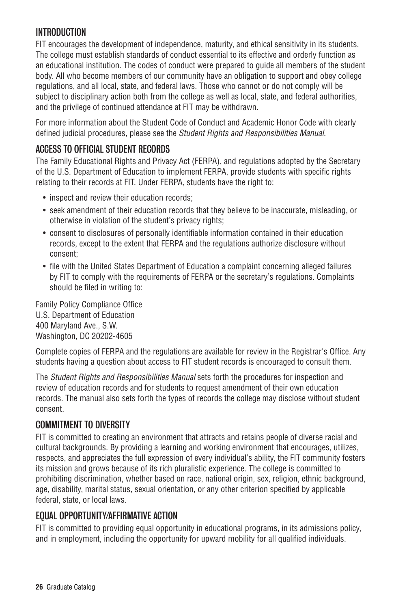### INTRODUCTION

FIT encourages the development of independence, maturity, and ethical sensitivity in its students. The college must establish standards of conduct essential to its effective and orderly function as an educational institution. The codes of conduct were prepared to guide all members of the student body. All who become members of our community have an obligation to support and obey college regulations, and all local, state, and federal laws. Those who cannot or do not comply will be subject to disciplinary action both from the college as well as local, state, and federal authorities, and the privilege of continued attendance at FIT may be withdrawn.

For more information about the Student Code of Conduct and Academic Honor Code with clearly defined judicial procedures, please see the *Student Rights and Responsibilities Manual*.

### ACCESS TO OFFICIAL STUDENT RECORDS

The Family Educational Rights and Privacy Act (FERPA), and regulations adopted by the Secretary of the U.S. Department of Education to implement FERPA, provide students with specific rights relating to their records at FIT. Under FERPA, students have the right to:

- inspect and review their education records:
- seek amendment of their education records that they believe to be inaccurate, misleading, or otherwise in violation of the student's privacy rights;
- consent to disclosures of personally identifiable information contained in their education records, except to the extent that FERPA and the regulations authorize disclosure without consent;
- file with the United States Department of Education a complaint concerning alleged failures by FIT to comply with the requirements of FERPA or the secretary's regulations. Complaints should be filed in writing to:

Family Policy Compliance Office U.S. Department of Education 400 Maryland Ave., S.W. Washington, DC 20202-4605

Complete copies of FERPA and the regulations are available for review in the Registrar's Office. Any students having a question about access to FIT student records is encouraged to consult them.

The *Student Rights and Responsibilities Manual* sets forth the procedures for inspection and review of education records and for students to request amendment of their own education records. The manual also sets forth the types of records the college may disclose without student consent.

### COMMITMENT TO DIVERSITY

FIT is committed to creating an environment that attracts and retains people of diverse racial and cultural backgrounds. By providing a learning and working environment that encourages, utilizes, respects, and appreciates the full expression of every individual's ability, the FIT community fosters its mission and grows because of its rich pluralistic experience. The college is committed to prohibiting discrimination, whether based on race, national origin, sex, religion, ethnic background, age, disability, marital status, sexual orientation, or any other criterion specified by applicable federal, state, or local laws.

#### EQUAL OPPORTUNITY/AFFIRMATIVE ACTION

FIT is committed to providing equal opportunity in educational programs, in its admissions policy, and in employment, including the opportunity for upward mobility for all qualified individuals.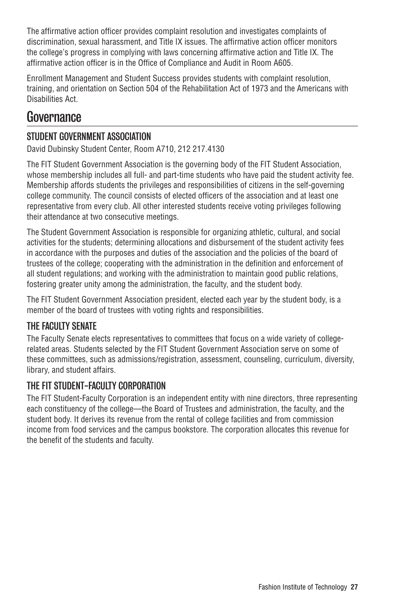The affirmative action officer provides complaint resolution and investigates complaints of discrimination, sexual harassment, and Title IX issues. The affirmative action officer monitors the college's progress in complying with laws concerning affirmative action and Title IX. The affirmative action officer is in the Office of Compliance and Audit in Room A605.

Enrollment Management and Student Success provides students with complaint resolution, training, and orientation on Section 504 of the Rehabilitation Act of 1973 and the Americans with Disabilities Act.

# **Governance**

### STUDENT GOVERNMENT ASSOCIATION

David Dubinsky Student Center, Room A710, 212 217.4130

The FIT Student Government Association is the governing body of the FIT Student Association, whose membership includes all full- and part-time students who have paid the student activity fee. Membership affords students the privileges and responsibilities of citizens in the self-governing college community. The council consists of elected officers of the association and at least one representative from every club. All other interested students receive voting privileges following their attendance at two consecutive meetings.

The Student Government Association is responsible for organizing athletic, cultural, and social activities for the students; determining allocations and disbursement of the student activity fees in accordance with the purposes and duties of the association and the policies of the board of trustees of the college; cooperating with the administration in the definition and enforcement of all student regulations; and working with the administration to maintain good public relations, fostering greater unity among the administration, the faculty, and the student body.

The FIT Student Government Association president, elected each year by the student body, is a member of the board of trustees with voting rights and responsibilities.

### THE FACULTY SENATE

The Faculty Senate elects representatives to committees that focus on a wide variety of collegerelated areas. Students selected by the FIT Student Government Association serve on some of these committees, such as admissions/registration, assessment, counseling, curriculum, diversity, library, and student affairs.

### THE FIT STUDENT-FACULTY CORPORATION

The FIT Student-Faculty Corporation is an independent entity with nine directors, three representing each constituency of the college—the Board of Trustees and administration, the faculty, and the student body. It derives its revenue from the rental of college facilities and from commission income from food services and the campus bookstore. The corporation allocates this revenue for the benefit of the students and faculty.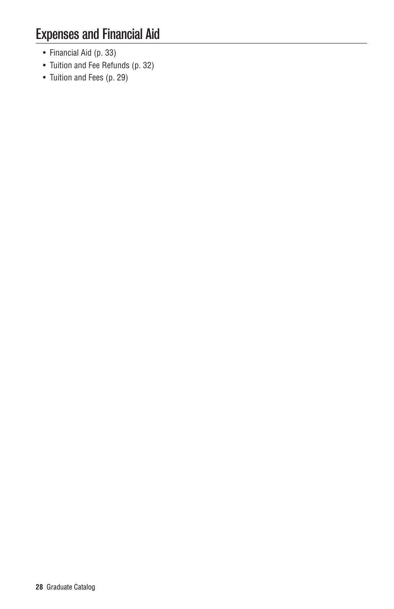- Financial Aid (p. 33)
- Tuition and Fee Refunds (p. 32)
- Tuition and Fees (p. 29)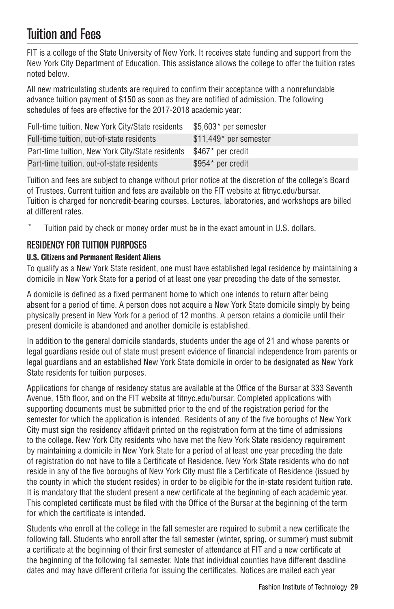# Tuition and Fees

FIT is a college of the State University of New York. It receives state funding and support from the New York City Department of Education. This assistance allows the college to offer the tuition rates noted below.

All new matriculating students are required to confirm their acceptance with a nonrefundable advance tuition payment of \$150 as soon as they are notified of admission. The following schedules of fees are effective for the 2017-2018 academic year:

| Full-time tuition, New York City/State residents | \$5,603* per semester  |
|--------------------------------------------------|------------------------|
| Full-time tuition, out-of-state residents        | \$11,449* per semester |
| Part-time tuition, New York City/State residents | \$467* per credit      |
| Part-time tuition, out-of-state residents        | \$954* per credit      |

Tuition and fees are subject to change without prior notice at the discretion of the college's Board of Trustees. Current tuition and fees are available on the FIT website at fitnyc.edu/bursar. Tuition is charged for noncredit-bearing courses. Lectures, laboratories, and workshops are billed at different rates.

Tuition paid by check or money order must be in the exact amount in U.S. dollars.

### RESIDENCY FOR TUITION PURPOSES

#### U.S. Citizens and Permanent Resident Aliens

To qualify as a New York State resident, one must have established legal residence by maintaining a domicile in New York State for a period of at least one year preceding the date of the semester.

A domicile is defined as a fixed permanent home to which one intends to return after being absent for a period of time. A person does not acquire a New York State domicile simply by being physically present in New York for a period of 12 months. A person retains a domicile until their present domicile is abandoned and another domicile is established.

In addition to the general domicile standards, students under the age of 21 and whose parents or legal guardians reside out of state must present evidence of financial independence from parents or legal guardians and an established New York State domicile in order to be designated as New York State residents for tuition purposes.

Applications for change of residency status are available at the Office of the Bursar at 333 Seventh Avenue, 15th floor, and on the FIT website at fitnyc.edu/bursar. Completed applications with supporting documents must be submitted prior to the end of the registration period for the semester for which the application is intended. Residents of any of the five boroughs of New York City must sign the residency affidavit printed on the registration form at the time of admissions to the college. New York City residents who have met the New York State residency requirement by maintaining a domicile in New York State for a period of at least one year preceding the date of registration do not have to file a Certificate of Residence. New York State residents who do not reside in any of the five boroughs of New York City must file a Certificate of Residence (issued by the county in which the student resides) in order to be eligible for the in-state resident tuition rate. It is mandatory that the student present a new certificate at the beginning of each academic year. This completed certificate must be filed with the Office of the Bursar at the beginning of the term for which the certificate is intended.

Students who enroll at the college in the fall semester are required to submit a new certificate the following fall. Students who enroll after the fall semester (winter, spring, or summer) must submit a certificate at the beginning of their first semester of attendance at FIT and a new certificate at the beginning of the following fall semester. Note that individual counties have different deadline dates and may have different criteria for issuing the certificates. Notices are mailed each year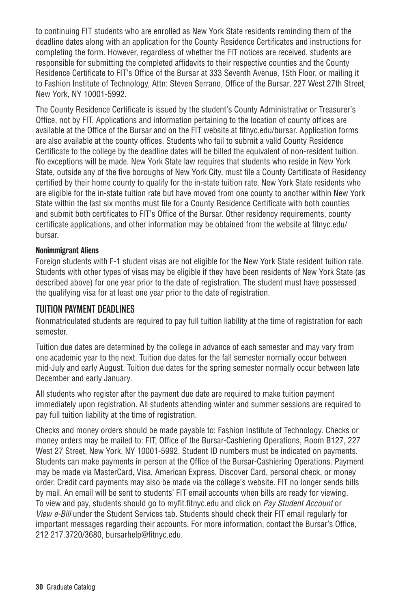to continuing FIT students who are enrolled as New York State residents reminding them of the deadline dates along with an application for the County Residence Certificates and instructions for completing the form. However, regardless of whether the FIT notices are received, students are responsible for submitting the completed affidavits to their respective counties and the County Residence Certificate to FIT's Office of the Bursar at 333 Seventh Avenue, 15th Floor, or mailing it to Fashion Institute of Technology, Attn: Steven Serrano, Office of the Bursar, 227 West 27th Street, New York, NY 10001-5992.

The County Residence Certificate is issued by the student's County Administrative or Treasurer's Office, not by FIT. Applications and information pertaining to the location of county offices are available at the Office of the Bursar and on the FIT website at fitnyc.edu/bursar. Application forms are also available at the county offices. Students who fail to submit a valid County Residence Certificate to the college by the deadline dates will be billed the equivalent of non-resident tuition. No exceptions will be made. New York State law requires that students who reside in New York State, outside any of the five boroughs of New York City, must file a County Certificate of Residency certified by their home county to qualify for the in-state tuition rate. New York State residents who are eligible for the in-state tuition rate but have moved from one county to another within New York State within the last six months must file for a County Residence Certificate with both counties and submit both certificates to FIT's Office of the Bursar. Other residency requirements, county certificate applications, and other information may be obtained from the website at fitnyc.edu/ bursar.

#### Nonimmigrant Aliens

Foreign students with F-1 student visas are not eligible for the New York State resident tuition rate. Students with other types of visas may be eligible if they have been residents of New York State (as described above) for one year prior to the date of registration. The student must have possessed the qualifying visa for at least one year prior to the date of registration.

#### TUITION PAYMENT DEADLINES

Nonmatriculated students are required to pay full tuition liability at the time of registration for each semester.

Tuition due dates are determined by the college in advance of each semester and may vary from one academic year to the next. Tuition due dates for the fall semester normally occur between mid-July and early August. Tuition due dates for the spring semester normally occur between late December and early January.

All students who register after the payment due date are required to make tuition payment immediately upon registration. All students attending winter and summer sessions are required to pay full tuition liability at the time of registration.

Checks and money orders should be made payable to: Fashion Institute of Technology. Checks or money orders may be mailed to: FIT, Office of the Bursar-Cashiering Operations, Room B127, 227 West 27 Street, New York, NY 10001-5992. Student ID numbers must be indicated on payments. Students can make payments in person at the Office of the Bursar-Cashiering Operations. Payment may be made via MasterCard, Visa, American Express, Discover Card, personal check, or money order. Credit card payments may also be made via the college's website. FIT no longer sends bills by mail. An email will be sent to students' FIT email accounts when bills are ready for viewing. To view and pay, students should go to myfit.fitnyc.edu and click on *Pay Student Account* or *View e-Bill* under the Student Services tab. Students should check their FIT email regularly for important messages regarding their accounts. For more information, contact the Bursar's Office, 212 217.3720/3680, bursarhelp@fitnyc.edu.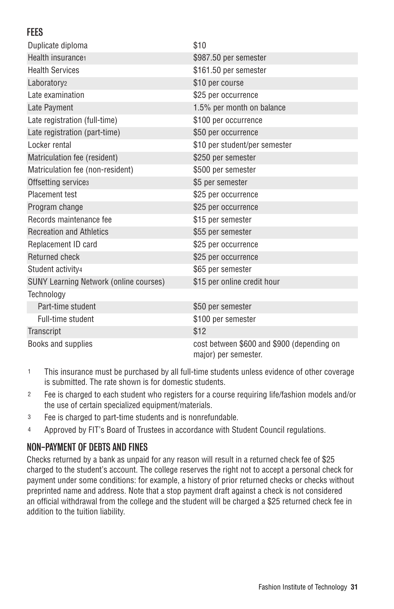### **FFFS**

| Duplicate diploma                             | \$10                                                               |
|-----------------------------------------------|--------------------------------------------------------------------|
| Health insurance                              | \$987.50 per semester                                              |
| <b>Health Services</b>                        | \$161.50 per semester                                              |
| Laboratory <sub>2</sub>                       | \$10 per course                                                    |
| Late examination                              | \$25 per occurrence                                                |
| Late Payment                                  | 1.5% per month on balance                                          |
| Late registration (full-time)                 | \$100 per occurrence                                               |
| Late registration (part-time)                 | \$50 per occurrence                                                |
| Locker rental                                 | \$10 per student/per semester                                      |
| Matriculation fee (resident)                  | \$250 per semester                                                 |
| Matriculation fee (non-resident)              | \$500 per semester                                                 |
| Offsetting services                           | \$5 per semester                                                   |
| Placement test                                | \$25 per occurrence                                                |
| Program change                                | \$25 per occurrence                                                |
| Records maintenance fee                       | \$15 per semester                                                  |
| <b>Recreation and Athletics</b>               | \$55 per semester                                                  |
| Replacement ID card                           | \$25 per occurrence                                                |
| <b>Returned check</b>                         | \$25 per occurrence                                                |
| Student activity4                             | \$65 per semester                                                  |
| <b>SUNY Learning Network (online courses)</b> | \$15 per online credit hour                                        |
| Technology                                    |                                                                    |
| Part-time student                             | \$50 per semester                                                  |
| Full-time student                             | \$100 per semester                                                 |
| Transcript                                    | \$12                                                               |
| Books and supplies                            | cost between \$600 and \$900 (depending on<br>major) per semester. |

- 1 This insurance must be purchased by all full-time students unless evidence of other coverage is submitted. The rate shown is for domestic students.
- 2 Fee is charged to each student who registers for a course requiring life/fashion models and/or the use of certain specialized equipment/materials.
- 3 Fee is charged to part-time students and is nonrefundable.
- 4 Approved by FIT's Board of Trustees in accordance with Student Council regulations.

### NON-PAYMENT OF DEBTS AND FINES

Checks returned by a bank as unpaid for any reason will result in a returned check fee of \$25 charged to the student's account. The college reserves the right not to accept a personal check for payment under some conditions: for example, a history of prior returned checks or checks without preprinted name and address. Note that a stop payment draft against a check is not considered an official withdrawal from the college and the student will be charged a \$25 returned check fee in addition to the tuition liability.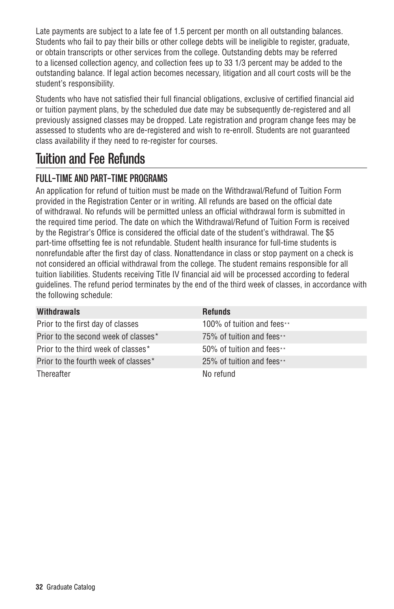Late payments are subject to a late fee of 1.5 percent per month on all outstanding balances. Students who fail to pay their bills or other college debts will be ineligible to register, graduate, or obtain transcripts or other services from the college. Outstanding debts may be referred to a licensed collection agency, and collection fees up to 33 1/3 percent may be added to the outstanding balance. If legal action becomes necessary, litigation and all court costs will be the student's responsibility.

Students who have not satisfied their full financial obligations, exclusive of certified financial aid or tuition payment plans, by the scheduled due date may be subsequently de-registered and all previously assigned classes may be dropped. Late registration and program change fees may be assessed to students who are de-registered and wish to re-enroll. Students are not guaranteed class availability if they need to re-register for courses.

# Tuition and Fee Refunds

## FULL-TIME AND PART-TIME PROGRAMS

An application for refund of tuition must be made on the Withdrawal/Refund of Tuition Form provided in the Registration Center or in writing. All refunds are based on the official date of withdrawal. No refunds will be permitted unless an official withdrawal form is submitted in the required time period. The date on which the Withdrawal/Refund of Tuition Form is received by the Registrar's Office is considered the official date of the student's withdrawal. The \$5 part-time offsetting fee is not refundable. Student health insurance for full-time students is nonrefundable after the first day of class. Nonattendance in class or stop payment on a check is not considered an official withdrawal from the college. The student remains responsible for all tuition liabilities. Students receiving Title IV financial aid will be processed according to federal guidelines. The refund period terminates by the end of the third week of classes, in accordance with the following schedule:

| Withdrawals                          | <b>Refunds</b>             |
|--------------------------------------|----------------------------|
| Prior to the first day of classes    | 100% of tuition and fees** |
| Prior to the second week of classes* | 75% of tuition and fees**  |
| Prior to the third week of classes*  | 50% of tuition and fees**  |
| Prior to the fourth week of classes* | 25% of tuition and fees**  |
| Thereafter                           | No refund                  |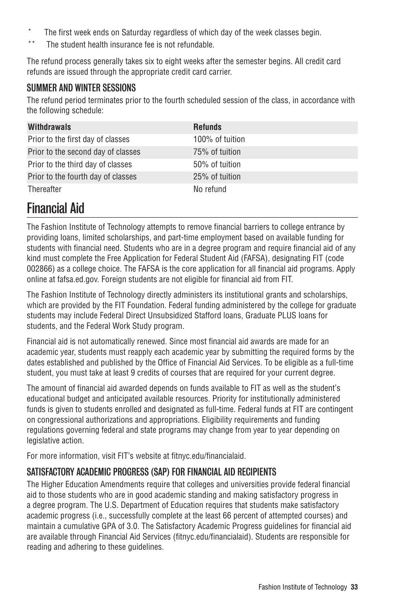- The first week ends on Saturday regardless of which day of the week classes begin.
- \*\* The student health insurance fee is not refundable.

The refund process generally takes six to eight weeks after the semester begins. All credit card refunds are issued through the appropriate credit card carrier.

#### SUMMER AND WINTER SESSIONS

The refund period terminates prior to the fourth scheduled session of the class, in accordance with the following schedule:

| <b>Withdrawals</b>                 | <b>Refunds</b>  |
|------------------------------------|-----------------|
| Prior to the first day of classes  | 100% of tuition |
| Prior to the second day of classes | 75% of tuition  |
| Prior to the third day of classes  | 50% of tuition  |
| Prior to the fourth day of classes | 25% of tuition  |
| Thereafter                         | No refund       |

# Financial Aid

The Fashion Institute of Technology attempts to remove financial barriers to college entrance by providing loans, limited scholarships, and part-time employment based on available funding for students with financial need. Students who are in a degree program and require financial aid of any kind must complete the Free Application for Federal Student Aid (FAFSA), designating FIT (code 002866) as a college choice. The FAFSA is the core application for all financial aid programs. Apply online at fafsa.ed.gov. Foreign students are not eligible for financial aid from FIT.

The Fashion Institute of Technology directly administers its institutional grants and scholarships, which are provided by the FIT Foundation. Federal funding administered by the college for graduate students may include Federal Direct Unsubsidized Stafford loans, Graduate PLUS loans for students, and the Federal Work Study program.

Financial aid is not automatically renewed. Since most financial aid awards are made for an academic year, students must reapply each academic year by submitting the required forms by the dates established and published by the Office of Financial Aid Services. To be eligible as a full-time student, you must take at least 9 credits of courses that are required for your current degree.

The amount of financial aid awarded depends on funds available to FIT as well as the student's educational budget and anticipated available resources. Priority for institutionally administered funds is given to students enrolled and designated as full-time. Federal funds at FIT are contingent on congressional authorizations and appropriations. Eligibility requirements and funding regulations governing federal and state programs may change from year to year depending on legislative action.

For more information, visit FIT's website at fitnyc.edu/financialaid.

### SATISFACTORY ACADEMIC PROGRESS (SAP) FOR FINANCIAL AID RECIPIENTS

The Higher Education Amendments require that colleges and universities provide federal financial aid to those students who are in good academic standing and making satisfactory progress in a degree program. The U.S. Department of Education requires that students make satisfactory academic progress (i.e., successfully complete at the least 66 percent of attempted courses) and maintain a cumulative GPA of 3.0. The Satisfactory Academic Progress guidelines for financial aid are available through Financial Aid Services (fitnyc.edu/financialaid). Students are responsible for reading and adhering to these guidelines.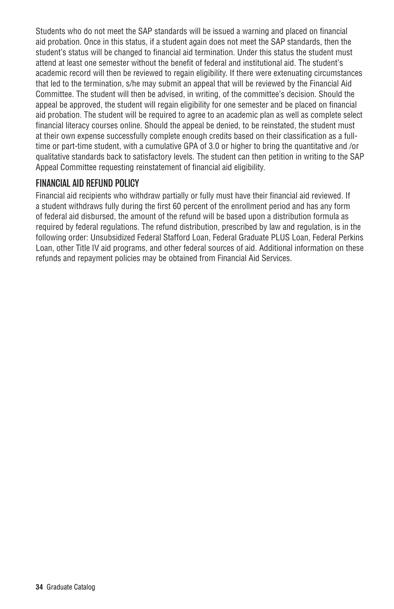Students who do not meet the SAP standards will be issued a warning and placed on financial aid probation. Once in this status, if a student again does not meet the SAP standards, then the student's status will be changed to financial aid termination. Under this status the student must attend at least one semester without the benefit of federal and institutional aid. The student's academic record will then be reviewed to regain eligibility. If there were extenuating circumstances that led to the termination, s/he may submit an appeal that will be reviewed by the Financial Aid Committee. The student will then be advised, in writing, of the committee's decision. Should the appeal be approved, the student will regain eligibility for one semester and be placed on financial aid probation. The student will be required to agree to an academic plan as well as complete select financial literacy courses online. Should the appeal be denied, to be reinstated, the student must at their own expense successfully complete enough credits based on their classification as a fulltime or part-time student, with a cumulative GPA of 3.0 or higher to bring the quantitative and /or qualitative standards back to satisfactory levels. The student can then petition in writing to the SAP Appeal Committee requesting reinstatement of financial aid eligibility.

### FINANCIAL AID REFUND POLICY

Financial aid recipients who withdraw partially or fully must have their financial aid reviewed. If a student withdraws fully during the first 60 percent of the enrollment period and has any form of federal aid disbursed, the amount of the refund will be based upon a distribution formula as required by federal regulations. The refund distribution, prescribed by law and regulation, is in the following order: Unsubsidized Federal Stafford Loan, Federal Graduate PLUS Loan, Federal Perkins Loan, other Title IV aid programs, and other federal sources of aid. Additional information on these refunds and repayment policies may be obtained from Financial Aid Services.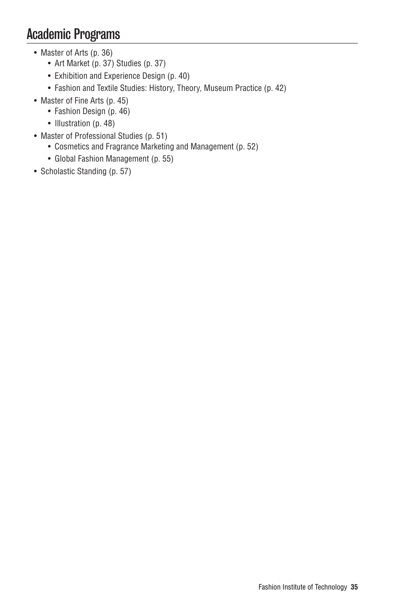# Academic Programs

- Master of Arts (p. 36)
	- Art Market (p. 37) Studies (p. 37)
	- Exhibition and Experience Design (p. 40)
	- Fashion and Textile Studies: History, Theory, Museum Practice (p. 42)
- Master of Fine Arts (p. 45)
	- Fashion Design (p. 46)
	- Illustration (p. 48)
- Master of Professional Studies (p. 51)
	- Cosmetics and Fragrance Marketing and Management (p. 52)
	- Global Fashion Management (p. 55)
- Scholastic Standing (p. 57)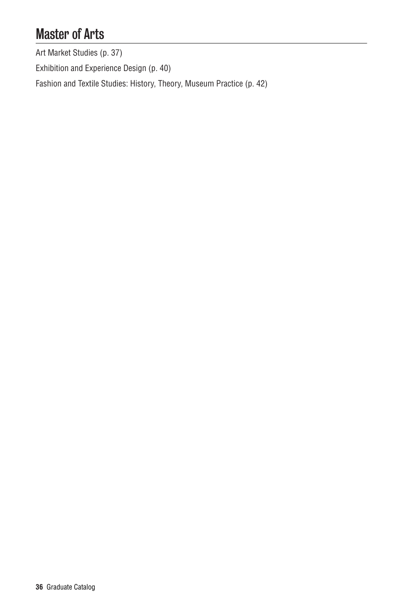# Master of Arts

Art Market Studies (p. 37)

Exhibition and Experience Design (p. 40)

Fashion and Textile Studies: History, Theory, Museum Practice (p. 42)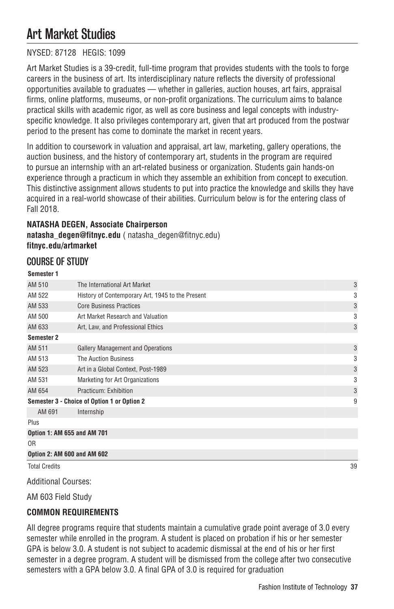# Art Market Studies

# NYSED: 87128 HEGIS: 1099

Art Market Studies is a 39-credit, full-time program that provides students with the tools to forge careers in the business of art. Its interdisciplinary nature reflects the diversity of professional opportunities available to graduates — whether in galleries, auction houses, art fairs, appraisal firms, online platforms, museums, or non-profit organizations. The curriculum aims to balance practical skills with academic rigor, as well as core business and legal concepts with industryspecific knowledge. It also privileges contemporary art, given that art produced from the postwar period to the present has come to dominate the market in recent years.

In addition to coursework in valuation and appraisal, art law, marketing, gallery operations, the auction business, and the history of contemporary art, students in the program are required to pursue an internship with an art-related business or organization. Students gain hands-on experience through a practicum in which they assemble an exhibition from concept to execution. This distinctive assignment allows students to put into practice the knowledge and skills they have acquired in a real-world showcase of their abilities. Curriculum below is for the entering class of Fall 2018.

# **NATASHA DEGEN, Associate Chairperson natasha\_degen@fitnyc.edu** ( natasha\_degen@fitnyc.edu) **fitnyc.edu/artmarket**

# COURSE OF STUDY

#### **Semester 1**

| <b>Total Credits</b> |                                                  | 39 |
|----------------------|--------------------------------------------------|----|
|                      | Option 2: AM 600 and AM 602                      |    |
| 0R                   |                                                  |    |
|                      | Option 1: AM 655 and AM 701                      |    |
| Plus                 |                                                  |    |
| AM 691               | Internship                                       |    |
|                      | Semester 3 - Choice of Option 1 or Option 2      | 9  |
| AM 654               | Practicum: Exhibition                            | 3  |
| AM 531               | Marketing for Art Organizations                  | 3  |
| AM 523               | Art in a Global Context, Post-1989               | 3  |
| AM 513               | <b>The Auction Business</b>                      | 3  |
| AM 511               | <b>Gallery Management and Operations</b>         | 3  |
| Semester 2           |                                                  |    |
| AM 633               | Art, Law, and Professional Ethics                | 3  |
| AM 500               | Art Market Research and Valuation                | 3  |
| AM 533               | <b>Core Business Practices</b>                   | 3  |
| AM 522               | History of Contemporary Art, 1945 to the Present | 3  |
| AM 510               | The International Art Market                     | 3  |
|                      |                                                  |    |

Additional Courses:

AM 603 Field Study

## **COMMON REQUIREMENTS**

All degree programs require that students maintain a cumulative grade point average of 3.0 every semester while enrolled in the program. A student is placed on probation if his or her semester GPA is below 3.0. A student is not subject to academic dismissal at the end of his or her first semester in a degree program. A student will be dismissed from the college after two consecutive semesters with a GPA below 3.0. A final GPA of 3.0 is required for graduation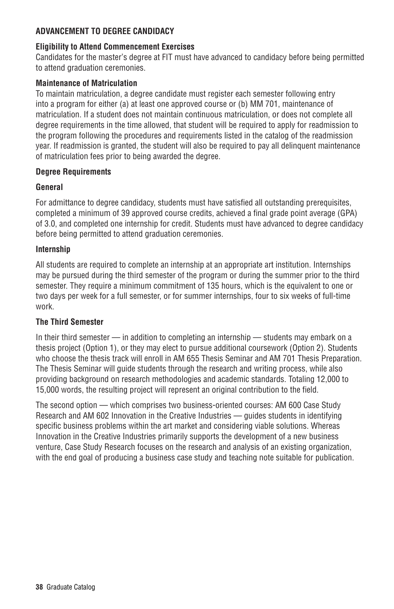## **ADVANCEMENT TO DEGREE CANDIDACY**

## **Eligibility to Attend Commencement Exercises**

Candidates for the master's degree at FIT must have advanced to candidacy before being permitted to attend graduation ceremonies.

## **Maintenance of Matriculation**

To maintain matriculation, a degree candidate must register each semester following entry into a program for either (a) at least one approved course or (b) MM 701, maintenance of matriculation. If a student does not maintain continuous matriculation, or does not complete all degree requirements in the time allowed, that student will be required to apply for readmission to the program following the procedures and requirements listed in the catalog of the readmission year. If readmission is granted, the student will also be required to pay all delinquent maintenance of matriculation fees prior to being awarded the degree.

## **Degree Requirements**

## **General**

For admittance to degree candidacy, students must have satisfied all outstanding prerequisites, completed a minimum of 39 approved course credits, achieved a final grade point average (GPA) of 3.0, and completed one internship for credit. Students must have advanced to degree candidacy before being permitted to attend graduation ceremonies.

## **Internship**

All students are required to complete an internship at an appropriate art institution. Internships may be pursued during the third semester of the program or during the summer prior to the third semester. They require a minimum commitment of 135 hours, which is the equivalent to one or two days per week for a full semester, or for summer internships, four to six weeks of full-time work.

## **The Third Semester**

In their third semester — in addition to completing an internship — students may embark on a thesis project (Option 1), or they may elect to pursue additional coursework (Option 2). Students who choose the thesis track will enroll in AM 655 Thesis Seminar and AM 701 Thesis Preparation. The Thesis Seminar will guide students through the research and writing process, while also providing background on research methodologies and academic standards. Totaling 12,000 to 15,000 words, the resulting project will represent an original contribution to the field.

The second option — which comprises two business-oriented courses: AM 600 Case Study Research and AM 602 Innovation in the Creative Industries — guides students in identifying specific business problems within the art market and considering viable solutions. Whereas Innovation in the Creative Industries primarily supports the development of a new business venture, Case Study Research focuses on the research and analysis of an existing organization, with the end goal of producing a business case study and teaching note suitable for publication.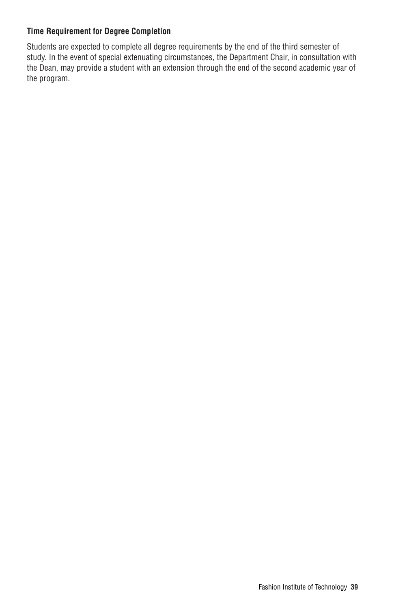## **Time Requirement for Degree Completion**

Students are expected to complete all degree requirements by the end of the third semester of study. In the event of special extenuating circumstances, the Department Chair, in consultation with the Dean, may provide a student with an extension through the end of the second academic year of the program.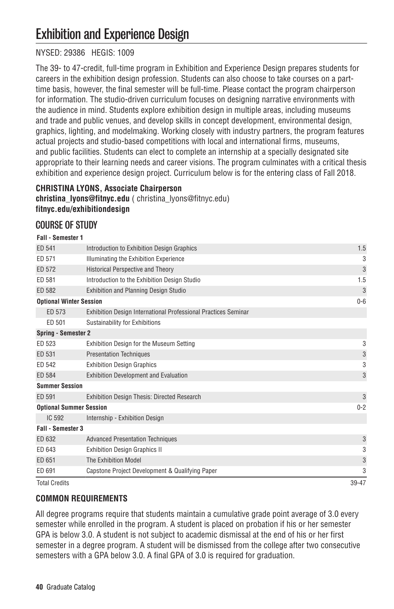# Exhibition and Experience Design

# NYSED: 29386 HEGIS: 1009

The 39- to 47-credit, full-time program in Exhibition and Experience Design prepares students for careers in the exhibition design profession. Students can also choose to take courses on a parttime basis, however, the final semester will be full-time. Please contact the program chairperson for information. The studio-driven curriculum focuses on designing narrative environments with the audience in mind. Students explore exhibition design in multiple areas, including museums and trade and public venues, and develop skills in concept development, environmental design, graphics, lighting, and modelmaking. Working closely with industry partners, the program features actual projects and studio-based competitions with local and international firms, museums, and public facilities. Students can elect to complete an internship at a specially designated site appropriate to their learning needs and career visions. The program culminates with a critical thesis exhibition and experience design project. Curriculum below is for the entering class of Fall 2018.

# **CHRISTINA LYONS, Associate Chairperson**

**christina\_lyons@fitnyc.edu** ( christina\_lyons@fitnyc.edu) **fitnyc.edu/exhibitiondesign**

# COURSE OF STUDY

#### **Fall - Semester 1**

| ED 541                         | Introduction to Exhibition Design Graphics                     | 1.5          |
|--------------------------------|----------------------------------------------------------------|--------------|
| ED 571                         | Illuminating the Exhibition Experience                         | 3            |
| ED 572                         | Historical Perspective and Theory                              | 3            |
| ED 581                         | Introduction to the Exhibition Design Studio                   | 1.5          |
| ED 582                         | <b>Exhibition and Planning Design Studio</b>                   | 3            |
| <b>Optional Winter Session</b> |                                                                | $0-6$        |
| ED 573                         | Exhibition Design International Professional Practices Seminar |              |
| ED 501                         | Sustainability for Exhibitions                                 |              |
| Spring - Semester 2            |                                                                |              |
| ED 523                         | Exhibition Design for the Museum Setting                       | 3            |
| ED 531                         | <b>Presentation Techniques</b>                                 | 3            |
| ED 542                         | <b>Exhibition Design Graphics</b>                              | 3            |
| ED 584                         | <b>Exhibition Development and Evaluation</b>                   | 3            |
| <b>Summer Session</b>          |                                                                |              |
| ED 591                         | <b>Exhibition Design Thesis: Directed Research</b>             | $\mathbf{3}$ |
| <b>Optional Summer Session</b> |                                                                | $0 - 2$      |
| IC 592                         | Internship - Exhibition Design                                 |              |
| <b>Fall - Semester 3</b>       |                                                                |              |
| ED 632                         | <b>Advanced Presentation Techniques</b>                        | 3            |
| ED 643                         | <b>Exhibition Design Graphics II</b>                           | 3            |
| ED 651                         | The Exhibition Model                                           | 3            |
| ED 691                         | Capstone Project Development & Qualifying Paper                | 3            |
| <b>Total Credits</b>           |                                                                | 39-47        |

## **COMMON REQUIREMENTS**

All degree programs require that students maintain a cumulative grade point average of 3.0 every semester while enrolled in the program. A student is placed on probation if his or her semester GPA is below 3.0. A student is not subject to academic dismissal at the end of his or her first semester in a degree program. A student will be dismissed from the college after two consecutive semesters with a GPA below 3.0. A final GPA of 3.0 is required for graduation.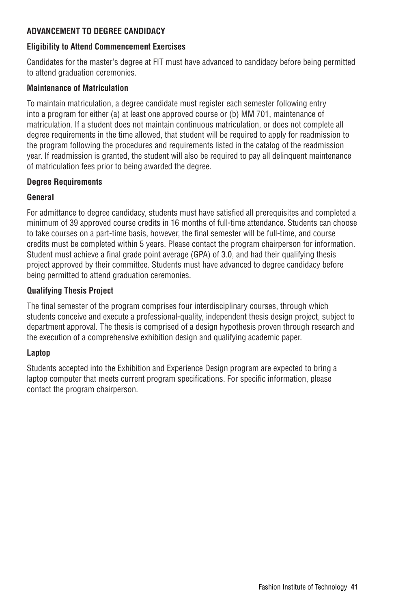## **ADVANCEMENT TO DEGREE CANDIDACY**

## **Eligibility to Attend Commencement Exercises**

Candidates for the master's degree at FIT must have advanced to candidacy before being permitted to attend graduation ceremonies.

## **Maintenance of Matriculation**

To maintain matriculation, a degree candidate must register each semester following entry into a program for either (a) at least one approved course or (b) MM 701, maintenance of matriculation. If a student does not maintain continuous matriculation, or does not complete all degree requirements in the time allowed, that student will be required to apply for readmission to the program following the procedures and requirements listed in the catalog of the readmission year. If readmission is granted, the student will also be required to pay all delinquent maintenance of matriculation fees prior to being awarded the degree.

## **Degree Requirements**

## **General**

For admittance to degree candidacy, students must have satisfied all prerequisites and completed a minimum of 39 approved course credits in 16 months of full-time attendance. Students can choose to take courses on a part-time basis, however, the final semester will be full-time, and course credits must be completed within 5 years. Please contact the program chairperson for information. Student must achieve a final grade point average (GPA) of 3.0, and had their qualifying thesis project approved by their committee. Students must have advanced to degree candidacy before being permitted to attend graduation ceremonies.

## **Qualifying Thesis Project**

The final semester of the program comprises four interdisciplinary courses, through which students conceive and execute a professional-quality, independent thesis design project, subject to department approval. The thesis is comprised of a design hypothesis proven through research and the execution of a comprehensive exhibition design and qualifying academic paper.

## **Laptop**

Students accepted into the Exhibition and Experience Design program are expected to bring a laptop computer that meets current program specifications. For specific information, please contact the program chairperson.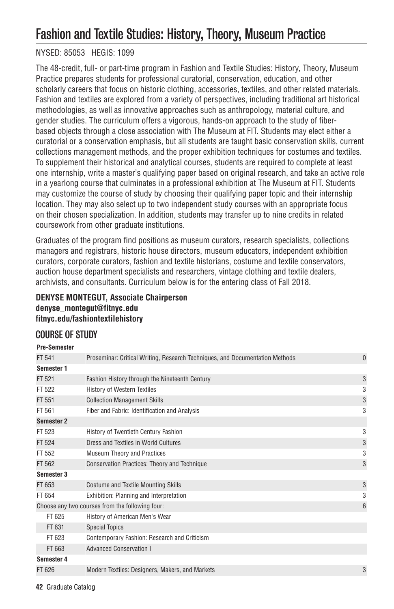# Fashion and Textile Studies: History, Theory, Museum Practice

## NYSED: 85053 HEGIS: 1099

The 48-credit, full- or part-time program in Fashion and Textile Studies: History, Theory, Museum Practice prepares students for professional curatorial, conservation, education, and other scholarly careers that focus on historic clothing, accessories, textiles, and other related materials. Fashion and textiles are explored from a variety of perspectives, including traditional art historical methodologies, as well as innovative approaches such as anthropology, material culture, and gender studies. The curriculum offers a vigorous, hands-on approach to the study of fiberbased objects through a close association with The Museum at FIT. Students may elect either a curatorial or a conservation emphasis, but all students are taught basic conservation skills, current collections management methods, and the proper exhibition techniques for costumes and textiles. To supplement their historical and analytical courses, students are required to complete at least one internship, write a master's qualifying paper based on original research, and take an active role in a yearlong course that culminates in a professional exhibition at The Museum at FIT. Students may customize the course of study by choosing their qualifying paper topic and their internship location. They may also select up to two independent study courses with an appropriate focus on their chosen specialization. In addition, students may transfer up to nine credits in related coursework from other graduate institutions.

Graduates of the program find positions as museum curators, research specialists, collections managers and registrars, historic house directors, museum educators, independent exhibition curators, corporate curators, fashion and textile historians, costume and textile conservators, auction house department specialists and researchers, vintage clothing and textile dealers, archivists, and consultants. Curriculum below is for the entering class of Fall 2018.

# **DENYSE MONTEGUT, Associate Chairperson denyse\_montegut@fitnyc.edu fitnyc.edu/fashiontextilehistory**

# COURSE OF STUDY

**Pre-Semester**

| LIG-OGIIIG91GI    |                                                                              |              |
|-------------------|------------------------------------------------------------------------------|--------------|
| FT 541            | Proseminar: Critical Writing, Research Techniques, and Documentation Methods | $\mathbf{0}$ |
| Semester 1        |                                                                              |              |
| FT 521            | Fashion History through the Nineteenth Century                               | 3            |
| FT 522            | <b>History of Western Textiles</b>                                           | 3            |
| FT 551            | <b>Collection Management Skills</b>                                          | 3            |
| FT 561            | Fiber and Fabric: Identification and Analysis                                | 3            |
| <b>Semester 2</b> |                                                                              |              |
| FT 523            | History of Twentieth Century Fashion                                         | 3            |
| FT 524            | Dress and Textiles in World Cultures                                         | 3            |
| FT 552            | Museum Theory and Practices                                                  | 3            |
| FT 562            | Conservation Practices: Theory and Technique                                 | 3            |
| Semester 3        |                                                                              |              |
| FT 653            | <b>Costume and Textile Mounting Skills</b>                                   | 3            |
| FT 654            | Exhibition: Planning and Interpretation                                      | 3            |
|                   | Choose any two courses from the following four:                              | 6            |
| FT 625            | History of American Men's Wear                                               |              |
| FT 631            | <b>Special Topics</b>                                                        |              |
| FT 623            | Contemporary Fashion: Research and Criticism                                 |              |
| FT 663            | <b>Advanced Conservation I</b>                                               |              |
| Semester 4        |                                                                              |              |
| FT 626            | Modern Textiles: Designers, Makers, and Markets                              | 3            |

**42** Graduate Catalog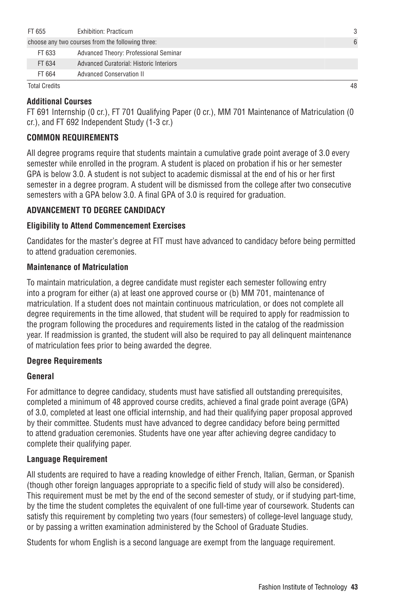| FT 655 | Exhibition: Practicum                            | 3 |
|--------|--------------------------------------------------|---|
|        | choose any two courses from the following three: | 6 |
| FT 633 | Advanced Theory: Professional Seminar            |   |
| FT 634 | Advanced Curatorial: Historic Interiors          |   |
| FT 664 | Advanced Conservation II                         |   |

Total Credits 48

## **Additional Courses**

FT 691 Internship (0 cr.), FT 701 Qualifying Paper (0 cr.), MM 701 Maintenance of Matriculation (0 cr.), and FT 692 Independent Study (1-3 cr.)

## **COMMON REQUIREMENTS**

All degree programs require that students maintain a cumulative grade point average of 3.0 every semester while enrolled in the program. A student is placed on probation if his or her semester GPA is below 3.0. A student is not subject to academic dismissal at the end of his or her first semester in a degree program. A student will be dismissed from the college after two consecutive semesters with a GPA below 3.0. A final GPA of 3.0 is required for graduation.

## **ADVANCEMENT TO DEGREE CANDIDACY**

#### **Eligibility to Attend Commencement Exercises**

Candidates for the master's degree at FIT must have advanced to candidacy before being permitted to attend graduation ceremonies.

#### **Maintenance of Matriculation**

To maintain matriculation, a degree candidate must register each semester following entry into a program for either (a) at least one approved course or (b) MM 701, maintenance of matriculation. If a student does not maintain continuous matriculation, or does not complete all degree requirements in the time allowed, that student will be required to apply for readmission to the program following the procedures and requirements listed in the catalog of the readmission year. If readmission is granted, the student will also be required to pay all delinquent maintenance of matriculation fees prior to being awarded the degree.

## **Degree Requirements**

#### **General**

For admittance to degree candidacy, students must have satisfied all outstanding prerequisites, completed a minimum of 48 approved course credits, achieved a final grade point average (GPA) of 3.0, completed at least one official internship, and had their qualifying paper proposal approved by their committee. Students must have advanced to degree candidacy before being permitted to attend graduation ceremonies. Students have one year after achieving degree candidacy to complete their qualifying paper.

## **Language Requirement**

All students are required to have a reading knowledge of either French, Italian, German, or Spanish (though other foreign languages appropriate to a specific field of study will also be considered). This requirement must be met by the end of the second semester of study, or if studying part-time, by the time the student completes the equivalent of one full-time year of coursework. Students can satisfy this requirement by completing two years (four semesters) of college-level language study, or by passing a written examination administered by the School of Graduate Studies.

Students for whom English is a second language are exempt from the language requirement.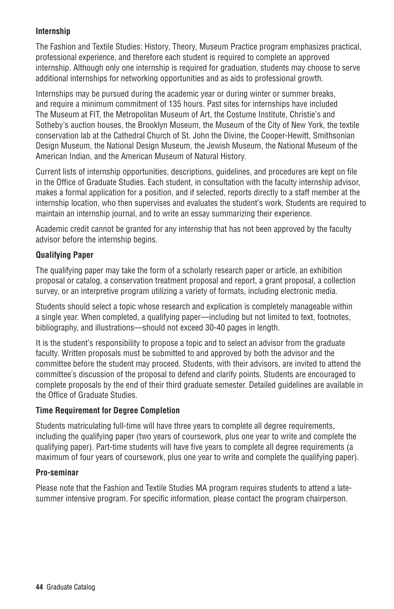## **Internship**

The Fashion and Textile Studies: History, Theory, Museum Practice program emphasizes practical, professional experience, and therefore each student is required to complete an approved internship. Although only one internship is required for graduation, students may choose to serve additional internships for networking opportunities and as aids to professional growth.

Internships may be pursued during the academic year or during winter or summer breaks, and require a minimum commitment of 135 hours. Past sites for internships have included The Museum at FIT, the Metropolitan Museum of Art, the Costume Institute, Christie's and Sotheby's auction houses, the Brooklyn Museum, the Museum of the City of New York, the textile conservation lab at the Cathedral Church of St. John the Divine, the Cooper-Hewitt, Smithsonian Design Museum, the National Design Museum, the Jewish Museum, the National Museum of the American Indian, and the American Museum of Natural History.

Current lists of internship opportunities, descriptions, guidelines, and procedures are kept on file in the Office of Graduate Studies. Each student, in consultation with the faculty internship advisor, makes a formal application for a position, and if selected, reports directly to a staff member at the internship location, who then supervises and evaluates the student's work. Students are required to maintain an internship journal, and to write an essay summarizing their experience.

Academic credit cannot be granted for any internship that has not been approved by the faculty advisor before the internship begins.

## **Qualifying Paper**

The qualifying paper may take the form of a scholarly research paper or article, an exhibition proposal or catalog, a conservation treatment proposal and report, a grant proposal, a collection survey, or an interpretive program utilizing a variety of formats, including electronic media.

Students should select a topic whose research and explication is completely manageable within a single year. When completed, a qualifying paper—including but not limited to text, footnotes, bibliography, and illustrations—should not exceed 30-40 pages in length.

It is the student's responsibility to propose a topic and to select an advisor from the graduate faculty. Written proposals must be submitted to and approved by both the advisor and the committee before the student may proceed. Students, with their advisors, are invited to attend the committee's discussion of the proposal to defend and clarify points. Students are encouraged to complete proposals by the end of their third graduate semester. Detailed guidelines are available in the Office of Graduate Studies.

## **Time Requirement for Degree Completion**

Students matriculating full-time will have three years to complete all degree requirements, including the qualifying paper (two years of coursework, plus one year to write and complete the qualifying paper). Part-time students will have five years to complete all degree requirements (a maximum of four years of coursework, plus one year to write and complete the qualifying paper).

## **Pro-seminar**

Please note that the Fashion and Textile Studies MA program requires students to attend a latesummer intensive program. For specific information, please contact the program chairperson.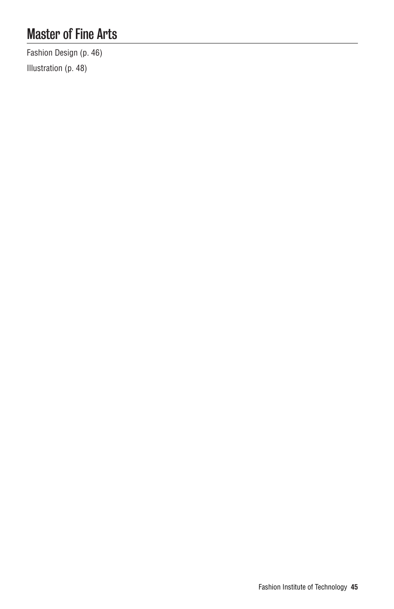# Master of Fine Arts

Fashion Design (p. 46) Illustration (p. 48)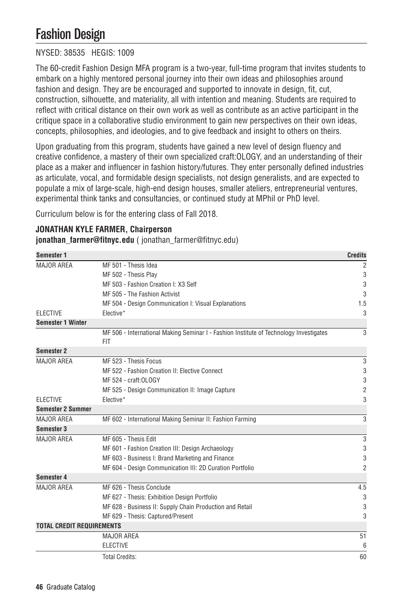# Fashion Design

# NYSED: 38535 HEGIS: 1009

The 60-credit Fashion Design MFA program is a two-year, full-time program that invites students to embark on a highly mentored personal journey into their own ideas and philosophies around fashion and design. They are be encouraged and supported to innovate in design, fit, cut, construction, silhouette, and materiality, all with intention and meaning. Students are required to reflect with critical distance on their own work as well as contribute as an active participant in the critique space in a collaborative studio environment to gain new perspectives on their own ideas, concepts, philosophies, and ideologies, and to give feedback and insight to others on theirs.

Upon graduating from this program, students have gained a new level of design fluency and creative confidence, a mastery of their own specialized craft:OLOGY, and an understanding of their place as a maker and influencer in fashion history/futures. They enter personally defined industries as articulate, vocal, and formidable design specialists, not design generalists, and are expected to populate a mix of large-scale, high-end design houses, smaller ateliers, entrepreneurial ventures, experimental think tanks and consultancies, or continued study at MPhil or PhD level.

Curriculum below is for the entering class of Fall 2018.

## **JONATHAN KYLE FARMER, Chairperson**

**jonathan\_farmer@fitnyc.edu** ( jonathan\_farmer@fitnyc.edu)

| <b>Semester 1</b>                |                                                                                                      | <b>Credits</b> |
|----------------------------------|------------------------------------------------------------------------------------------------------|----------------|
| MAJOR AREA                       | MF 501 - Thesis Idea                                                                                 | 2              |
|                                  | MF 502 - Thesis Play                                                                                 | 3              |
|                                  | MF 503 - Fashion Creation I: X3 Self                                                                 | 3              |
|                                  | MF 505 - The Fashion Activist                                                                        | 3              |
|                                  | MF 504 - Design Communication I: Visual Explanations                                                 | 1.5            |
| <b>ELECTIVE</b>                  | Elective*                                                                                            | 3              |
| <b>Semester 1 Winter</b>         |                                                                                                      |                |
|                                  | MF 506 - International Making Seminar I - Fashion Institute of Technology Investigates<br><b>FIT</b> | 3              |
| Semester 2                       |                                                                                                      |                |
| <b>MAJOR AREA</b>                | MF 523 - Thesis Focus                                                                                | 3              |
|                                  | MF 522 - Fashion Creation II: Elective Connect                                                       | 3              |
|                                  | MF 524 - craft: OLOGY                                                                                | 3              |
|                                  | MF 525 - Design Communication II: Image Capture                                                      | $\overline{2}$ |
| <b>ELECTIVE</b>                  | Elective*                                                                                            | 3              |
| <b>Semester 2 Summer</b>         |                                                                                                      |                |
| MAJOR AREA                       | MF 602 - International Making Seminar II: Fashion Farming                                            | 3              |
| <b>Semester 3</b>                |                                                                                                      |                |
| MAJOR AREA                       | MF 605 - Thesis Edit                                                                                 | 3              |
|                                  | MF 601 - Fashion Creation III: Design Archaeology                                                    | 3              |
|                                  | MF 603 - Business I: Brand Marketing and Finance                                                     | 3              |
|                                  | MF 604 - Design Communication III: 2D Curation Portfolio                                             | $\overline{2}$ |
| Semester 4                       |                                                                                                      |                |
| MAJOR AREA                       | MF 626 - Thesis Conclude                                                                             | 4.5            |
|                                  | MF 627 - Thesis: Exhibition Design Portfolio                                                         | 3              |
|                                  | MF 628 - Business II: Supply Chain Production and Retail                                             | 3              |
|                                  | MF 629 - Thesis: Captured/Present                                                                    | 3              |
| <b>TOTAL CREDIT REQUIREMENTS</b> |                                                                                                      |                |
|                                  | <b>MAJOR AREA</b>                                                                                    | 51             |
|                                  | <b>ELECTIVE</b>                                                                                      | 6              |
|                                  | <b>Total Credits:</b>                                                                                | 60             |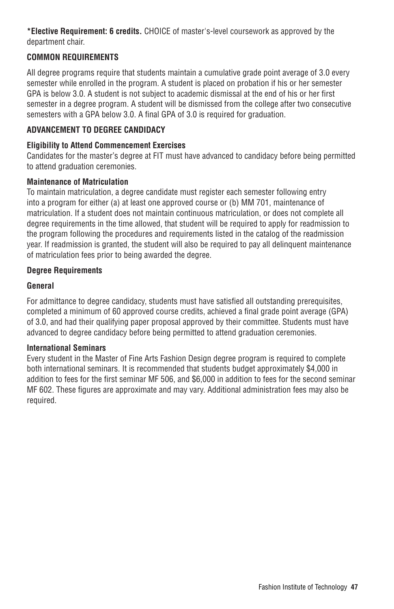**\*Elective Requirement: 6 credits.** CHOICE of master's-level coursework as approved by the department chair.

# **COMMON REQUIREMENTS**

All degree programs require that students maintain a cumulative grade point average of 3.0 every semester while enrolled in the program. A student is placed on probation if his or her semester GPA is below 3.0. A student is not subject to academic dismissal at the end of his or her first semester in a degree program. A student will be dismissed from the college after two consecutive semesters with a GPA below 3.0. A final GPA of 3.0 is required for graduation.

# **ADVANCEMENT TO DEGREE CANDIDACY**

## **Eligibility to Attend Commencement Exercises**

Candidates for the master's degree at FIT must have advanced to candidacy before being permitted to attend graduation ceremonies.

## **Maintenance of Matriculation**

To maintain matriculation, a degree candidate must register each semester following entry into a program for either (a) at least one approved course or (b) MM 701, maintenance of matriculation. If a student does not maintain continuous matriculation, or does not complete all degree requirements in the time allowed, that student will be required to apply for readmission to the program following the procedures and requirements listed in the catalog of the readmission year. If readmission is granted, the student will also be required to pay all delinquent maintenance of matriculation fees prior to being awarded the degree.

## **Degree Requirements**

## **General**

For admittance to degree candidacy, students must have satisfied all outstanding prerequisites, completed a minimum of 60 approved course credits, achieved a final grade point average (GPA) of 3.0, and had their qualifying paper proposal approved by their committee. Students must have advanced to degree candidacy before being permitted to attend graduation ceremonies.

## **International Seminars**

Every student in the Master of Fine Arts Fashion Design degree program is required to complete both international seminars. It is recommended that students budget approximately \$4,000 in addition to fees for the first seminar MF 506, and \$6,000 in addition to fees for the second seminar MF 602. These figures are approximate and may vary. Additional administration fees may also be required.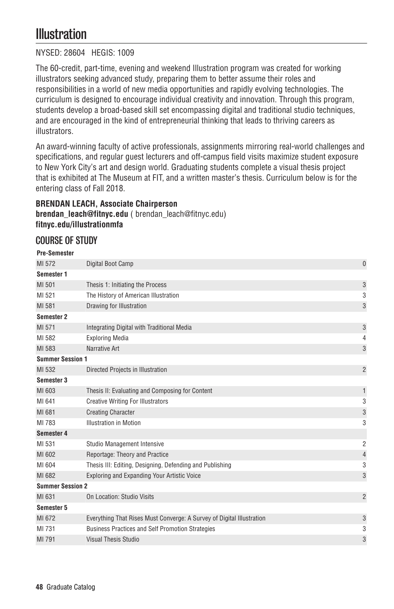# **Illustration**

## NYSED: 28604 HEGIS: 1009

The 60-credit, part-time, evening and weekend Illustration program was created for working illustrators seeking advanced study, preparing them to better assume their roles and responsibilities in a world of new media opportunities and rapidly evolving technologies. The curriculum is designed to encourage individual creativity and innovation. Through this program, students develop a broad-based skill set encompassing digital and traditional studio techniques, and are encouraged in the kind of entrepreneurial thinking that leads to thriving careers as illustrators.

An award-winning faculty of active professionals, assignments mirroring real-world challenges and specifications, and regular guest lecturers and off-campus field visits maximize student exposure to New York City's art and design world. Graduating students complete a visual thesis project that is exhibited at The Museum at FIT, and a written master's thesis. Curriculum below is for the entering class of Fall 2018.

## **BRENDAN LEACH, Associate Chairperson**

**brendan\_leach@fitnyc.edu** ( brendan\_leach@fitnyc.edu) **fitnyc.edu/illustrationmfa**

# COURSE OF STUDY

## **Pre-Semester**

| MI 572                  | Digital Boot Camp                                                     | $\mathbf{0}$   |
|-------------------------|-----------------------------------------------------------------------|----------------|
| Semester 1              |                                                                       |                |
| MI 501                  | Thesis 1: Initiating the Process                                      | 3              |
| MI 521                  | The History of American Illustration                                  | 3              |
| MI 581                  | Drawing for Illustration                                              | 3              |
| Semester 2              |                                                                       |                |
| MI 571                  | Integrating Digital with Traditional Media                            | 3              |
| MI 582                  | <b>Exploring Media</b>                                                | 4              |
| MI 583                  | Narrative Art                                                         | 3              |
| <b>Summer Session 1</b> |                                                                       |                |
| MI 532                  | Directed Projects in Illustration                                     | $\overline{2}$ |
| Semester 3              |                                                                       |                |
| MI 603                  | Thesis II: Evaluating and Composing for Content                       | 1              |
| MI 641                  | <b>Creative Writing For Illustrators</b>                              | 3              |
| MI 681                  | <b>Creating Character</b>                                             | 3              |
| MI 783                  | <b>Illustration in Motion</b>                                         | 3              |
| Semester 4              |                                                                       |                |
| MI 531                  | Studio Management Intensive                                           | 2              |
| MI 602                  | Reportage: Theory and Practice                                        | $\overline{4}$ |
| MI 604                  | Thesis III: Editing, Designing, Defending and Publishing              | 3              |
| MI 682                  | <b>Exploring and Expanding Your Artistic Voice</b>                    | 3              |
| <b>Summer Session 2</b> |                                                                       |                |
| MI 631                  | On Location: Studio Visits                                            | $\overline{2}$ |
| Semester 5              |                                                                       |                |
| MI 672                  | Everything That Rises Must Converge: A Survey of Digital Illustration | 3              |
| MI 731                  | <b>Business Practices and Self Promotion Strategies</b>               | 3              |
| MI 791                  | Visual Thesis Studio                                                  | 3              |
|                         |                                                                       |                |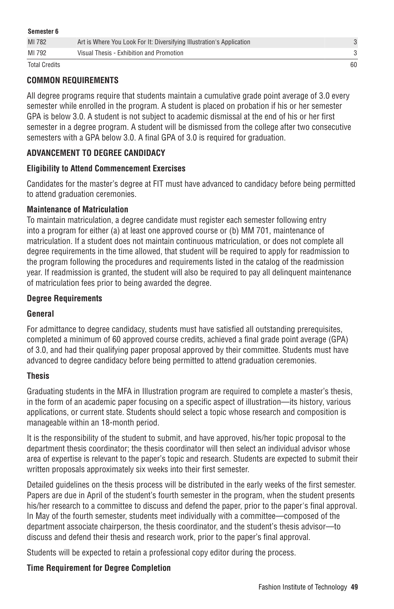| Semester 6           |                                                                       |    |
|----------------------|-----------------------------------------------------------------------|----|
| MI 782               | Art is Where You Look For It: Diversifying Illustration's Application |    |
| MI 792               | Visual Thesis - Exhibition and Promotion                              |    |
| <b>Total Credits</b> |                                                                       | 60 |

# **COMMON REQUIREMENTS**

All degree programs require that students maintain a cumulative grade point average of 3.0 every semester while enrolled in the program. A student is placed on probation if his or her semester GPA is below 3.0. A student is not subject to academic dismissal at the end of his or her first semester in a degree program. A student will be dismissed from the college after two consecutive semesters with a GPA below 3.0. A final GPA of 3.0 is required for graduation.

# **ADVANCEMENT TO DEGREE CANDIDACY**

## **Eligibility to Attend Commencement Exercises**

Candidates for the master's degree at FIT must have advanced to candidacy before being permitted to attend graduation ceremonies.

## **Maintenance of Matriculation**

To maintain matriculation, a degree candidate must register each semester following entry into a program for either (a) at least one approved course or (b) MM 701, maintenance of matriculation. If a student does not maintain continuous matriculation, or does not complete all degree requirements in the time allowed, that student will be required to apply for readmission to the program following the procedures and requirements listed in the catalog of the readmission year. If readmission is granted, the student will also be required to pay all delinquent maintenance of matriculation fees prior to being awarded the degree.

## **Degree Requirements**

## **General**

For admittance to degree candidacy, students must have satisfied all outstanding prerequisites, completed a minimum of 60 approved course credits, achieved a final grade point average (GPA) of 3.0, and had their qualifying paper proposal approved by their committee. Students must have advanced to degree candidacy before being permitted to attend graduation ceremonies.

## **Thesis**

Graduating students in the MFA in Illustration program are required to complete a master's thesis, in the form of an academic paper focusing on a specific aspect of illustration—its history, various applications, or current state. Students should select a topic whose research and composition is manageable within an 18-month period.

It is the responsibility of the student to submit, and have approved, his/her topic proposal to the department thesis coordinator; the thesis coordinator will then select an individual advisor whose area of expertise is relevant to the paper's topic and research. Students are expected to submit their written proposals approximately six weeks into their first semester.

Detailed guidelines on the thesis process will be distributed in the early weeks of the first semester. Papers are due in April of the student's fourth semester in the program, when the student presents his/her research to a committee to discuss and defend the paper, prior to the paper's final approval. In May of the fourth semester, students meet individually with a committee—composed of the department associate chairperson, the thesis coordinator, and the student's thesis advisor—to discuss and defend their thesis and research work, prior to the paper's final approval.

Students will be expected to retain a professional copy editor during the process.

## **Time Requirement for Degree Completion**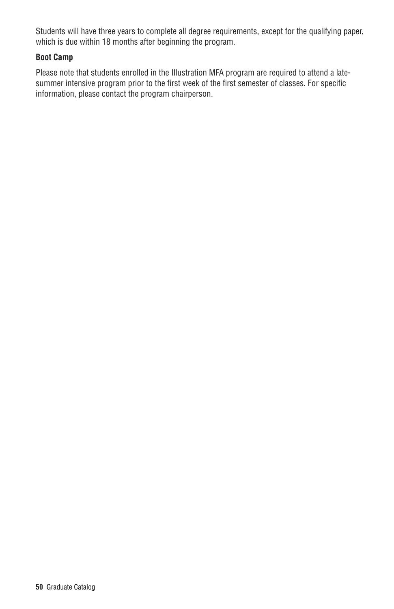Students will have three years to complete all degree requirements, except for the qualifying paper, which is due within 18 months after beginning the program.

## **Boot Camp**

Please note that students enrolled in the Illustration MFA program are required to attend a latesummer intensive program prior to the first week of the first semester of classes. For specific information, please contact the program chairperson.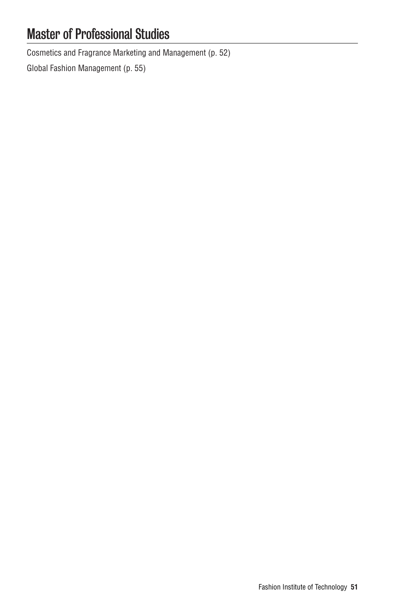# Master of Professional Studies

Cosmetics and Fragrance Marketing and Management (p. 52)

Global Fashion Management (p. 55)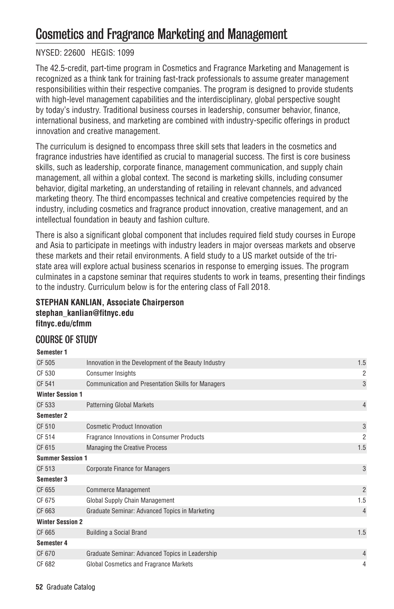# Cosmetics and Fragrance Marketing and Management

# NYSED: 22600 HEGIS: 1099

The 42.5-credit, part-time program in Cosmetics and Fragrance Marketing and Management is recognized as a think tank for training fast-track professionals to assume greater management responsibilities within their respective companies. The program is designed to provide students with high-level management capabilities and the interdisciplinary, global perspective sought by today's industry. Traditional business courses in leadership, consumer behavior, finance, international business, and marketing are combined with industry-specific offerings in product innovation and creative management.

The curriculum is designed to encompass three skill sets that leaders in the cosmetics and fragrance industries have identified as crucial to managerial success. The first is core business skills, such as leadership, corporate finance, management communication, and supply chain management, all within a global context. The second is marketing skills, including consumer behavior, digital marketing, an understanding of retailing in relevant channels, and advanced marketing theory. The third encompasses technical and creative competencies required by the industry, including cosmetics and fragrance product innovation, creative management, and an intellectual foundation in beauty and fashion culture.

There is also a significant global component that includes required field study courses in Europe and Asia to participate in meetings with industry leaders in major overseas markets and observe these markets and their retail environments. A field study to a US market outside of the tristate area will explore actual business scenarios in response to emerging issues. The program culminates in a capstone seminar that requires students to work in teams, presenting their findings to the industry. Curriculum below is for the entering class of Fall 2018.

## **STEPHAN KANLIAN, Associate Chairperson stephan\_kanlian@fitnyc.edu fitnyc.edu/cfmm**

# COURSE OF STUDY

| Semester 1              |                                                           |                |
|-------------------------|-----------------------------------------------------------|----------------|
| CF 505                  | Innovation in the Development of the Beauty Industry      | 1.5            |
| CF 530                  | <b>Consumer Insights</b>                                  | $\overline{2}$ |
| CF 541                  | <b>Communication and Presentation Skills for Managers</b> | 3              |
| <b>Winter Session 1</b> |                                                           |                |
| CF 533                  | <b>Patterning Global Markets</b>                          | $\overline{4}$ |
| Semester 2              |                                                           |                |
| CF 510                  | Cosmetic Product Innovation                               | 3              |
| CF 514                  | Fragrance Innovations in Consumer Products                | 2              |
| CF 615                  | Managing the Creative Process                             | 1.5            |
| <b>Summer Session 1</b> |                                                           |                |
| CF 513                  | <b>Corporate Finance for Managers</b>                     | 3              |
| Semester 3              |                                                           |                |
| CF 655                  | <b>Commerce Management</b>                                | $\overline{2}$ |
| CF 675                  | Global Supply Chain Management                            | 1.5            |
| CF 663                  | Graduate Seminar: Advanced Topics in Marketing            | $\overline{4}$ |
| <b>Winter Session 2</b> |                                                           |                |
| CF 665                  | <b>Building a Social Brand</b>                            | 1.5            |
| Semester 4              |                                                           |                |
| CF 670                  | Graduate Seminar: Advanced Topics in Leadership           | $\overline{4}$ |
| CF 682                  | Global Cosmetics and Fragrance Markets                    | 4              |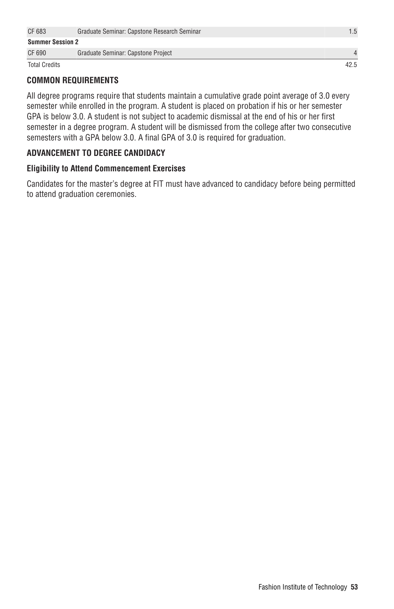| CF 683                  | Graduate Seminar: Capstone Research Seminar | 1.5  |
|-------------------------|---------------------------------------------|------|
| <b>Summer Session 2</b> |                                             |      |
| CF 690                  | Graduate Seminar: Capstone Project          |      |
| <b>Total Credits</b>    |                                             | 42.5 |

# **COMMON REQUIREMENTS**

All degree programs require that students maintain a cumulative grade point average of 3.0 every semester while enrolled in the program. A student is placed on probation if his or her semester GPA is below 3.0. A student is not subject to academic dismissal at the end of his or her first semester in a degree program. A student will be dismissed from the college after two consecutive semesters with a GPA below 3.0. A final GPA of 3.0 is required for graduation.

## **ADVANCEMENT TO DEGREE CANDIDACY**

## **Eligibility to Attend Commencement Exercises**

Candidates for the master's degree at FIT must have advanced to candidacy before being permitted to attend graduation ceremonies.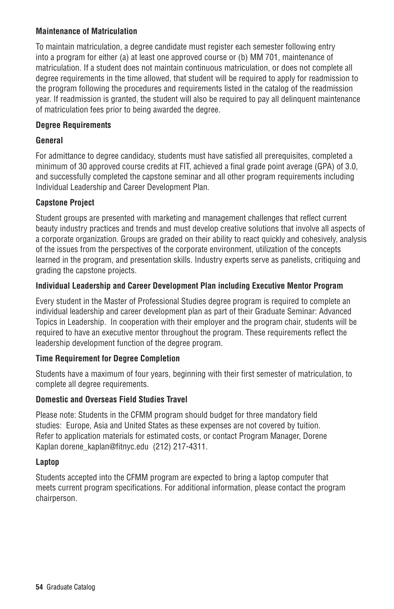## **Maintenance of Matriculation**

To maintain matriculation, a degree candidate must register each semester following entry into a program for either (a) at least one approved course or (b) MM 701, maintenance of matriculation. If a student does not maintain continuous matriculation, or does not complete all degree requirements in the time allowed, that student will be required to apply for readmission to the program following the procedures and requirements listed in the catalog of the readmission year. If readmission is granted, the student will also be required to pay all delinquent maintenance of matriculation fees prior to being awarded the degree.

## **Degree Requirements**

## **General**

For admittance to degree candidacy, students must have satisfied all prerequisites, completed a minimum of 30 approved course credits at FIT, achieved a final grade point average (GPA) of 3.0, and successfully completed the capstone seminar and all other program requirements including Individual Leadership and Career Development Plan.

## **Capstone Project**

Student groups are presented with marketing and management challenges that reflect current beauty industry practices and trends and must develop creative solutions that involve all aspects of a corporate organization. Groups are graded on their ability to react quickly and cohesively, analysis of the issues from the perspectives of the corporate environment, utilization of the concepts learned in the program, and presentation skills. Industry experts serve as panelists, critiquing and grading the capstone projects.

## **Individual Leadership and Career Development Plan including Executive Mentor Program**

Every student in the Master of Professional Studies degree program is required to complete an individual leadership and career development plan as part of their Graduate Seminar: Advanced Topics in Leadership. In cooperation with their employer and the program chair, students will be required to have an executive mentor throughout the program. These requirements reflect the leadership development function of the degree program.

## **Time Requirement for Degree Completion**

Students have a maximum of four years, beginning with their first semester of matriculation, to complete all degree requirements.

## **Domestic and Overseas Field Studies Travel**

Please note: Students in the CFMM program should budget for three mandatory field studies: Europe, Asia and United States as these expenses are not covered by tuition. Refer to application materials for estimated costs, or contact Program Manager, Dorene Kaplan dorene\_kaplan@fitnyc.edu (212) 217-4311.

## **Laptop**

Students accepted into the CFMM program are expected to bring a laptop computer that meets current program specifications. For additional information, please contact the program chairperson.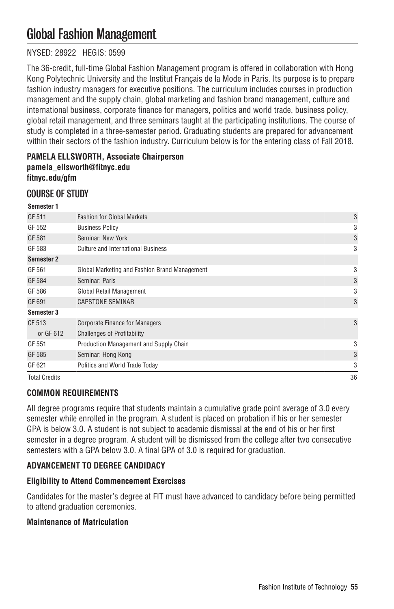# Global Fashion Management

# NYSED: 28922 HEGIS: 0599

The 36-credit, full-time Global Fashion Management program is offered in collaboration with Hong Kong Polytechnic University and the Institut Français de la Mode in Paris. Its purpose is to prepare fashion industry managers for executive positions. The curriculum includes courses in production management and the supply chain, global marketing and fashion brand management, culture and international business, corporate finance for managers, politics and world trade, business policy, global retail management, and three seminars taught at the participating institutions. The course of study is completed in a three-semester period. Graduating students are prepared for advancement within their sectors of the fashion industry. Curriculum below is for the entering class of Fall 2018.

## **PAMELA ELLSWORTH, Associate Chairperson pamela\_ellsworth@fitnyc.edu fitnyc.edu/gfm**

# COURSE OF STUDY

| <b>Total Credits</b> |                                               | 36 |
|----------------------|-----------------------------------------------|----|
| GF 621               | Politics and World Trade Today                | 3  |
| GF 585               | Seminar: Hong Kong                            | 3  |
| GF 551               | Production Management and Supply Chain        | 3  |
| or GF 612            | <b>Challenges of Profitability</b>            |    |
| CF 513               | <b>Corporate Finance for Managers</b>         | 3  |
| Semester 3           |                                               |    |
| GF 691               | <b>CAPSTONE SEMINAR</b>                       | 3  |
| GF 586               | Global Retail Management                      | 3  |
| GF 584               | Seminar: Paris                                | 3  |
| GF 561               | Global Marketing and Fashion Brand Management | 3  |
| Semester 2           |                                               |    |
| GF 583               | <b>Culture and International Business</b>     | 3  |
| GF 581               | Seminar: New York                             | 3  |
| GF 552               | <b>Business Policy</b>                        | 3  |
| GF 511               | <b>Fashion for Global Markets</b>             | 3  |
| Semester 1           |                                               |    |

## **COMMON REQUIREMENTS**

All degree programs require that students maintain a cumulative grade point average of 3.0 every semester while enrolled in the program. A student is placed on probation if his or her semester GPA is below 3.0. A student is not subject to academic dismissal at the end of his or her first semester in a degree program. A student will be dismissed from the college after two consecutive semesters with a GPA below 3.0. A final GPA of 3.0 is required for graduation.

# **ADVANCEMENT TO DEGREE CANDIDACY**

## **Eligibility to Attend Commencement Exercises**

Candidates for the master's degree at FIT must have advanced to candidacy before being permitted to attend graduation ceremonies.

## **Maintenance of Matriculation**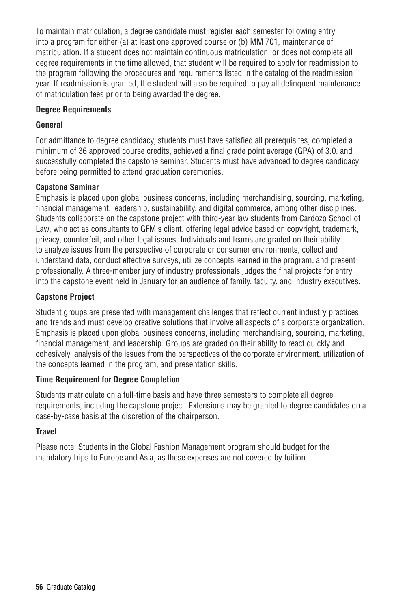To maintain matriculation, a degree candidate must register each semester following entry into a program for either (a) at least one approved course or (b) MM 701, maintenance of matriculation. If a student does not maintain continuous matriculation, or does not complete all degree requirements in the time allowed, that student will be required to apply for readmission to the program following the procedures and requirements listed in the catalog of the readmission year. If readmission is granted, the student will also be required to pay all delinquent maintenance of matriculation fees prior to being awarded the degree.

## **Degree Requirements**

# **General**

For admittance to degree candidacy, students must have satisfied all prerequisites, completed a minimum of 36 approved course credits, achieved a final grade point average (GPA) of 3.0, and successfully completed the capstone seminar. Students must have advanced to degree candidacy before being permitted to attend graduation ceremonies.

## **Capstone Seminar**

Emphasis is placed upon global business concerns, including merchandising, sourcing, marketing, financial management, leadership, sustainability, and digital commerce, among other disciplines. Students collaborate on the capstone project with third-year law students from Cardozo School of Law, who act as consultants to GFM's client, offering legal advice based on copyright, trademark, privacy, counterfeit, and other legal issues. Individuals and teams are graded on their ability to analyze issues from the perspective of corporate or consumer environments, collect and understand data, conduct effective surveys, utilize concepts learned in the program, and present professionally. A three-member jury of industry professionals judges the final projects for entry into the capstone event held in January for an audience of family, faculty, and industry executives.

# **Capstone Project**

Student groups are presented with management challenges that reflect current industry practices and trends and must develop creative solutions that involve all aspects of a corporate organization. Emphasis is placed upon global business concerns, including merchandising, sourcing, marketing, financial management, and leadership. Groups are graded on their ability to react quickly and cohesively, analysis of the issues from the perspectives of the corporate environment, utilization of the concepts learned in the program, and presentation skills.

## **Time Requirement for Degree Completion**

Students matriculate on a full-time basis and have three semesters to complete all degree requirements, including the capstone project. Extensions may be granted to degree candidates on a case-by-case basis at the discretion of the chairperson.

## **Travel**

Please note: Students in the Global Fashion Management program should budget for the mandatory trips to Europe and Asia, as these expenses are not covered by tuition.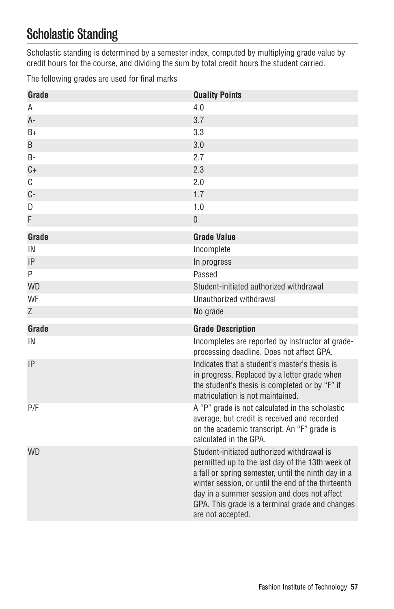# Scholastic Standing

Scholastic standing is determined by a semester index, computed by multiplying grade value by credit hours for the course, and dividing the sum by total credit hours the student carried.

The following grades are used for final marks

| Grade     | <b>Quality Points</b>                                                                                                                                                                                                                                                                                                              |
|-----------|------------------------------------------------------------------------------------------------------------------------------------------------------------------------------------------------------------------------------------------------------------------------------------------------------------------------------------|
| A         | 4.0                                                                                                                                                                                                                                                                                                                                |
| $A -$     | 3.7                                                                                                                                                                                                                                                                                                                                |
| $B+$      | 3.3                                                                                                                                                                                                                                                                                                                                |
| B         | 3.0                                                                                                                                                                                                                                                                                                                                |
| <b>B-</b> | 2.7                                                                                                                                                                                                                                                                                                                                |
| $C +$     | 2.3                                                                                                                                                                                                                                                                                                                                |
| C         | 2.0                                                                                                                                                                                                                                                                                                                                |
| $C -$     | 1.7                                                                                                                                                                                                                                                                                                                                |
| D         | 1.0                                                                                                                                                                                                                                                                                                                                |
| F         | $\boldsymbol{0}$                                                                                                                                                                                                                                                                                                                   |
| Grade     | <b>Grade Value</b>                                                                                                                                                                                                                                                                                                                 |
| IN        | Incomplete                                                                                                                                                                                                                                                                                                                         |
| IP        | In progress                                                                                                                                                                                                                                                                                                                        |
| P         | Passed                                                                                                                                                                                                                                                                                                                             |
| <b>WD</b> | Student-initiated authorized withdrawal                                                                                                                                                                                                                                                                                            |
| <b>WF</b> | Unauthorized withdrawal                                                                                                                                                                                                                                                                                                            |
| Z         | No grade                                                                                                                                                                                                                                                                                                                           |
| Grade     | <b>Grade Description</b>                                                                                                                                                                                                                                                                                                           |
| IN        | Incompletes are reported by instructor at grade-<br>processing deadline. Does not affect GPA.                                                                                                                                                                                                                                      |
| IP        | Indicates that a student's master's thesis is<br>in progress. Replaced by a letter grade when<br>the student's thesis is completed or by "F" if<br>matriculation is not maintained.                                                                                                                                                |
| P/F       | A "P" grade is not calculated in the scholastic<br>average, but credit is received and recorded<br>on the academic transcript. An "F" grade is<br>calculated in the GPA.                                                                                                                                                           |
| <b>WD</b> | Student-initiated authorized withdrawal is<br>permitted up to the last day of the 13th week of<br>a fall or spring semester, until the ninth day in a<br>winter session, or until the end of the thirteenth<br>day in a summer session and does not affect<br>GPA. This grade is a terminal grade and changes<br>are not accepted. |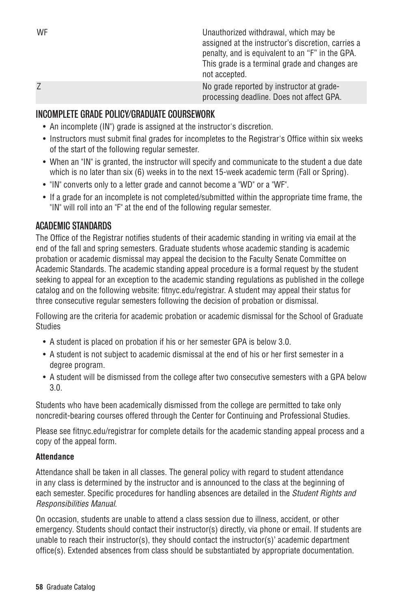| WF | Unauthorized withdrawal, which may be<br>assigned at the instructor's discretion, carries a<br>penalty, and is equivalent to an "F" in the GPA.<br>This grade is a terminal grade and changes are<br>not accepted. |
|----|--------------------------------------------------------------------------------------------------------------------------------------------------------------------------------------------------------------------|
|    |                                                                                                                                                                                                                    |
|    | No grade reported by instructor at grade-<br>processing deadline. Does not affect GPA.                                                                                                                             |

# INCOMPLETE GRADE POLICY/GRADUATE COURSEWORK

- An incomplete (IN") grade is assigned at the instructor's discretion.
- Instructors must submit final grades for incompletes to the Registrar's Office within six weeks of the start of the following regular semester.
- When an "IN" is granted, the instructor will specify and communicate to the student a due date which is no later than six (6) weeks in to the next 15-week academic term (Fall or Spring).
- "IN" converts only to a letter grade and cannot become a "WD" or a "WF".
- If a grade for an incomplete is not completed/submitted within the appropriate time frame, the "IN" will roll into an "F" at the end of the following regular semester.

# ACADEMIC STANDARDS

The Office of the Registrar notifies students of their academic standing in writing via email at the end of the fall and spring semesters. Graduate students whose academic standing is academic probation or academic dismissal may appeal the decision to the Faculty Senate Committee on Academic Standards. The academic standing appeal procedure is a formal request by the student seeking to appeal for an exception to the academic standing regulations as published in the college catalog and on the following website: fitnyc.edu/registrar. A student may appeal their status for three consecutive regular semesters following the decision of probation or dismissal.

Following are the criteria for academic probation or academic dismissal for the School of Graduate Studies

- A student is placed on probation if his or her semester GPA is below 3.0.
- A student is not subject to academic dismissal at the end of his or her first semester in a degree program.
- A student will be dismissed from the college after two consecutive semesters with a GPA below 3.0.

Students who have been academically dismissed from the college are permitted to take only noncredit-bearing courses offered through the Center for Continuing and Professional Studies.

Please see fitnyc.edu/registrar for complete details for the academic standing appeal process and a copy of the appeal form.

## **Attendance**

Attendance shall be taken in all classes. The general policy with regard to student attendance in any class is determined by the instructor and is announced to the class at the beginning of each semester. Specific procedures for handling absences are detailed in the *Student Rights and Responsibilities Manual*.

On occasion, students are unable to attend a class session due to illness, accident, or other emergency. Students should contact their instructor(s) directly, via phone or email. If students are unable to reach their instructor(s), they should contact the instructor(s)' academic department office(s). Extended absences from class should be substantiated by appropriate documentation.

**58** Graduate Catalog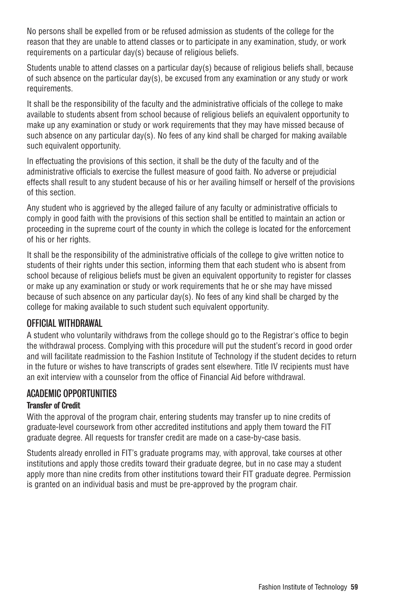No persons shall be expelled from or be refused admission as students of the college for the reason that they are unable to attend classes or to participate in any examination, study, or work requirements on a particular day(s) because of religious beliefs.

Students unable to attend classes on a particular day(s) because of religious beliefs shall, because of such absence on the particular day(s), be excused from any examination or any study or work requirements.

It shall be the responsibility of the faculty and the administrative officials of the college to make available to students absent from school because of religious beliefs an equivalent opportunity to make up any examination or study or work requirements that they may have missed because of such absence on any particular day(s). No fees of any kind shall be charged for making available such equivalent opportunity.

In effectuating the provisions of this section, it shall be the duty of the faculty and of the administrative officials to exercise the fullest measure of good faith. No adverse or prejudicial effects shall result to any student because of his or her availing himself or herself of the provisions of this section.

Any student who is aggrieved by the alleged failure of any faculty or administrative officials to comply in good faith with the provisions of this section shall be entitled to maintain an action or proceeding in the supreme court of the county in which the college is located for the enforcement of his or her rights.

It shall be the responsibility of the administrative officials of the college to give written notice to students of their rights under this section, informing them that each student who is absent from school because of religious beliefs must be given an equivalent opportunity to register for classes or make up any examination or study or work requirements that he or she may have missed because of such absence on any particular day(s). No fees of any kind shall be charged by the college for making available to such student such equivalent opportunity.

# OFFICIAL WITHDRAWAL

A student who voluntarily withdraws from the college should go to the Registrar's office to begin the withdrawal process. Complying with this procedure will put the student's record in good order and will facilitate readmission to the Fashion Institute of Technology if the student decides to return in the future or wishes to have transcripts of grades sent elsewhere. Title IV recipients must have an exit interview with a counselor from the office of Financial Aid before withdrawal.

# ACADEMIC OPPORTUNITIES

# Transfer of Credit

With the approval of the program chair, entering students may transfer up to nine credits of graduate-level coursework from other accredited institutions and apply them toward the FIT graduate degree. All requests for transfer credit are made on a case-by-case basis.

Students already enrolled in FIT's graduate programs may, with approval, take courses at other institutions and apply those credits toward their graduate degree, but in no case may a student apply more than nine credits from other institutions toward their FIT graduate degree. Permission is granted on an individual basis and must be pre-approved by the program chair.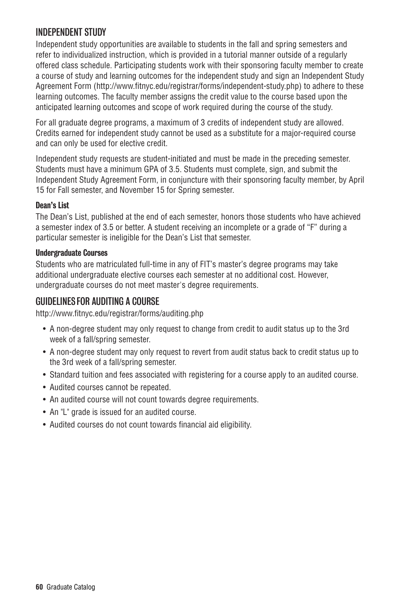# INDEPENDENT STUDY

Independent study opportunities are available to students in the fall and spring semesters and refer to individualized instruction, which is provided in a tutorial manner outside of a regularly offered class schedule. Participating students work with their sponsoring faculty member to create a course of study and learning outcomes for the independent study and sign an Independent Study Agreement Form (http://www.fitnyc.edu/registrar/forms/independent-study.php) to adhere to these learning outcomes. The faculty member assigns the credit value to the course based upon the anticipated learning outcomes and scope of work required during the course of the study.

For all graduate degree programs, a maximum of 3 credits of independent study are allowed. Credits earned for independent study cannot be used as a substitute for a major-required course and can only be used for elective credit.

Independent study requests are student-initiated and must be made in the preceding semester. Students must have a minimum GPA of 3.5. Students must complete, sign, and submit the Independent Study Agreement Form, in conjuncture with their sponsoring faculty member, by April 15 for Fall semester, and November 15 for Spring semester.

# Dean's List

The Dean's List, published at the end of each semester, honors those students who have achieved a semester index of 3.5 or better. A student receiving an incomplete or a grade of "F" during a particular semester is ineligible for the Dean's List that semester.

## Undergraduate Courses

Students who are matriculated full-time in any of FIT's master's degree programs may take additional undergraduate elective courses each semester at no additional cost. However, undergraduate courses do not meet master's degree requirements.

# GUIDELINES FOR AUDITING A COURSE

http://www.fitnyc.edu/registrar/forms/auditing.php

- A non-degree student may only request to change from credit to audit status up to the 3rd week of a fall/spring semester.
- A non-degree student may only request to revert from audit status back to credit status up to the 3rd week of a fall/spring semester.
- Standard tuition and fees associated with registering for a course apply to an audited course.
- Audited courses cannot be repeated.
- An audited course will not count towards degree requirements.
- An "L" grade is issued for an audited course.
- Audited courses do not count towards financial aid eligibility.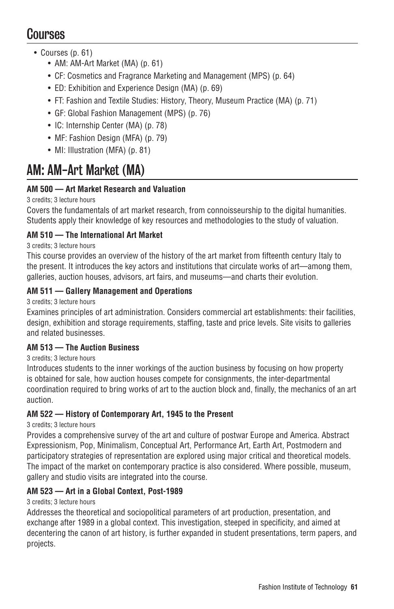# Courses

- Courses (p. 61)
	- AM: AM-Art Market (MA) (p. 61)
	- CF: Cosmetics and Fragrance Marketing and Management (MPS) (p. 64)
	- ED: Exhibition and Experience Design (MA) (p. 69)
	- FT: Fashion and Textile Studies: History, Theory, Museum Practice (MA) (p. 71)
	- GF: Global Fashion Management (MPS) (p. 76)
	- IC: Internship Center (MA) (p. 78)
	- MF: Fashion Design (MFA) (p. 79)
	- MI: Illustration (MFA) (p. 81)

# AM: AM-Art Market (MA)

# **AM 500 — Art Market Research and Valuation**

# 3 credits; 3 lecture hours

Covers the fundamentals of art market research, from connoisseurship to the digital humanities. Students apply their knowledge of key resources and methodologies to the study of valuation.

# **AM 510 — The International Art Market**

# 3 credits; 3 lecture hours

This course provides an overview of the history of the art market from fifteenth century Italy to the present. It introduces the key actors and institutions that circulate works of art—among them, galleries, auction houses, advisors, art fairs, and museums—and charts their evolution.

# **AM 511 — Gallery Management and Operations**

3 credits; 3 lecture hours

Examines principles of art administration. Considers commercial art establishments: their facilities, design, exhibition and storage requirements, staffing, taste and price levels. Site visits to galleries and related businesses.

# **AM 513 — The Auction Business**

3 credits; 3 lecture hours

Introduces students to the inner workings of the auction business by focusing on how property is obtained for sale, how auction houses compete for consignments, the inter-departmental coordination required to bring works of art to the auction block and, finally, the mechanics of an art auction.

# **AM 522 — History of Contemporary Art, 1945 to the Present**

3 credits; 3 lecture hours

Provides a comprehensive survey of the art and culture of postwar Europe and America. Abstract Expressionism, Pop, Minimalism, Conceptual Art, Performance Art, Earth Art, Postmodern and participatory strategies of representation are explored using major critical and theoretical models. The impact of the market on contemporary practice is also considered. Where possible, museum, gallery and studio visits are integrated into the course.

# **AM 523 — Art in a Global Context, Post-1989**

# 3 credits; 3 lecture hours

Addresses the theoretical and sociopolitical parameters of art production, presentation, and exchange after 1989 in a global context. This investigation, steeped in specificity, and aimed at decentering the canon of art history, is further expanded in student presentations, term papers, and projects.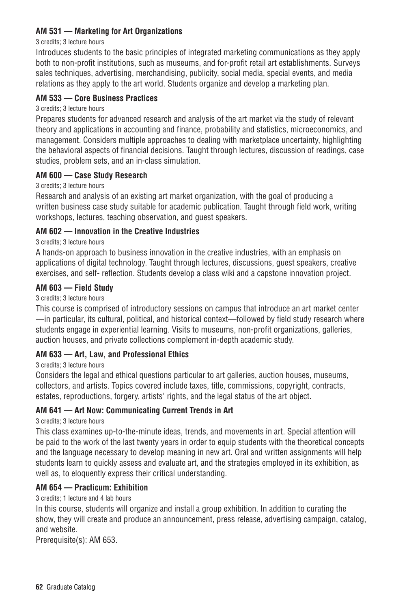## **AM 531 — Marketing for Art Organizations**

#### 3 credits; 3 lecture hours

Introduces students to the basic principles of integrated marketing communications as they apply both to non-profit institutions, such as museums, and for-profit retail art establishments. Surveys sales techniques, advertising, merchandising, publicity, social media, special events, and media relations as they apply to the art world. Students organize and develop a marketing plan.

## **AM 533 — Core Business Practices**

#### 3 credits; 3 lecture hours

Prepares students for advanced research and analysis of the art market via the study of relevant theory and applications in accounting and finance, probability and statistics, microeconomics, and management. Considers multiple approaches to dealing with marketplace uncertainty, highlighting the behavioral aspects of financial decisions. Taught through lectures, discussion of readings, case studies, problem sets, and an in-class simulation.

## **AM 600 — Case Study Research**

## 3 credits; 3 lecture hours

Research and analysis of an existing art market organization, with the goal of producing a written business case study suitable for academic publication. Taught through field work, writing workshops, lectures, teaching observation, and guest speakers.

## **AM 602 — Innovation in the Creative Industries**

## 3 credits; 3 lecture hours

A hands-on approach to business innovation in the creative industries, with an emphasis on applications of digital technology. Taught through lectures, discussions, guest speakers, creative exercises, and self- reflection. Students develop a class wiki and a capstone innovation project.

## **AM 603 — Field Study**

#### 3 credits; 3 lecture hours

This course is comprised of introductory sessions on campus that introduce an art market center —in particular, its cultural, political, and historical context—followed by field study research where students engage in experiential learning. Visits to museums, non-profit organizations, galleries, auction houses, and private collections complement in-depth academic study.

# **AM 633 — Art, Law, and Professional Ethics**

3 credits; 3 lecture hours

Considers the legal and ethical questions particular to art galleries, auction houses, museums, collectors, and artists. Topics covered include taxes, title, commissions, copyright, contracts, estates, reproductions, forgery, artists' rights, and the legal status of the art object.

## **AM 641 — Art Now: Communicating Current Trends in Art**

## 3 credits; 3 lecture hours

This class examines up-to-the-minute ideas, trends, and movements in art. Special attention will be paid to the work of the last twenty years in order to equip students with the theoretical concepts and the language necessary to develop meaning in new art. Oral and written assignments will help students learn to quickly assess and evaluate art, and the strategies employed in its exhibition, as well as, to eloquently express their critical understanding.

## **AM 654 — Practicum: Exhibition**

## 3 credits; 1 lecture and 4 lab hours

In this course, students will organize and install a group exhibition. In addition to curating the show, they will create and produce an announcement, press release, advertising campaign, catalog, and website.

Prerequisite(s): AM 653.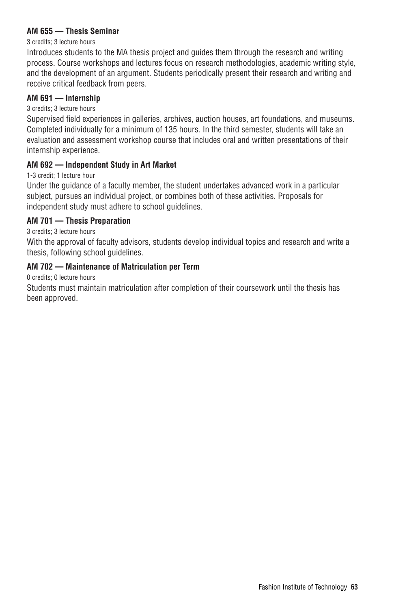## **AM 655 — Thesis Seminar**

#### 3 credits; 3 lecture hours

Introduces students to the MA thesis project and guides them through the research and writing process. Course workshops and lectures focus on research methodologies, academic writing style, and the development of an argument. Students periodically present their research and writing and receive critical feedback from peers.

## **AM 691 — Internship**

## 3 credits; 3 lecture hours

Supervised field experiences in galleries, archives, auction houses, art foundations, and museums. Completed individually for a minimum of 135 hours. In the third semester, students will take an evaluation and assessment workshop course that includes oral and written presentations of their internship experience.

## **AM 692 — Independent Study in Art Market**

1-3 credit; 1 lecture hour

Under the guidance of a faculty member, the student undertakes advanced work in a particular subject, pursues an individual project, or combines both of these activities. Proposals for independent study must adhere to school guidelines.

## **AM 701 — Thesis Preparation**

3 credits; 3 lecture hours

With the approval of faculty advisors, students develop individual topics and research and write a thesis, following school guidelines.

## **AM 702 — Maintenance of Matriculation per Term**

0 credits; 0 lecture hours

Students must maintain matriculation after completion of their coursework until the thesis has been approved.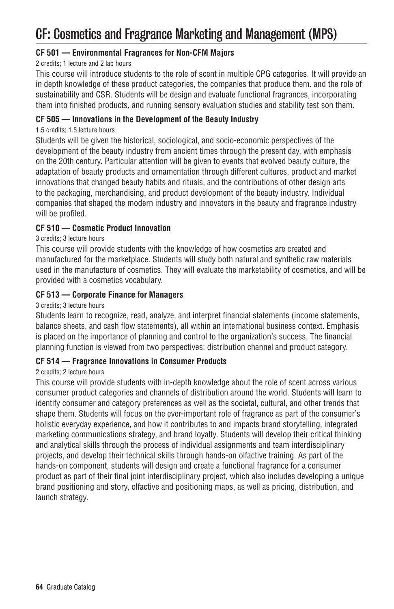# CF: Cosmetics and Fragrance Marketing and Management (MPS)

## **CF 501 — Environmental Fragrances for Non-CFM Majors**

## 2 credits; 1 lecture and 2 lab hours

This course will introduce students to the role of scent in multiple CPG categories. It will provide an in depth knowledge of these product categories, the companies that produce them. and the role of sustainability and CSR. Students will be design and evaluate functional fragrances, incorporating them into finished products, and running sensory evaluation studies and stability test son them.

## **CF 505 — Innovations in the Development of the Beauty Industry**

## 1.5 credits; 1.5 lecture hours

Students will be given the historical, sociological, and socio-economic perspectives of the development of the beauty industry from ancient times through the present day, with emphasis on the 20th century. Particular attention will be given to events that evolved beauty culture, the adaptation of beauty products and ornamentation through different cultures, product and market innovations that changed beauty habits and rituals, and the contributions of other design arts to the packaging, merchandising, and product development of the beauty industry. Individual companies that shaped the modern industry and innovators in the beauty and fragrance industry will be profiled.

## **CF 510 — Cosmetic Product Innovation**

## 3 credits; 3 lecture hours

This course will provide students with the knowledge of how cosmetics are created and manufactured for the marketplace. Students will study both natural and synthetic raw materials used in the manufacture of cosmetics. They will evaluate the marketability of cosmetics, and will be provided with a cosmetics vocabulary.

## **CF 513 — Corporate Finance for Managers**

## 3 credits; 3 lecture hours

Students learn to recognize, read, analyze, and interpret financial statements (income statements, balance sheets, and cash flow statements), all within an international business context. Emphasis is placed on the importance of planning and control to the organization's success. The financial planning function is viewed from two perspectives: distribution channel and product category.

## **CF 514 — Fragrance Innovations in Consumer Products**

## 2 credits; 2 lecture hours

This course will provide students with in-depth knowledge about the role of scent across various consumer product categories and channels of distribution around the world. Students will learn to identify consumer and category preferences as well as the societal, cultural, and other trends that shape them. Students will focus on the ever-important role of fragrance as part of the consumer's holistic everyday experience, and how it contributes to and impacts brand storytelling, integrated marketing communications strategy, and brand loyalty. Students will develop their critical thinking and analytical skills through the process of individual assignments and team interdisciplinary projects, and develop their technical skills through hands-on olfactive training. As part of the hands-on component, students will design and create a functional fragrance for a consumer product as part of their final joint interdisciplinary project, which also includes developing a unique brand positioning and story, olfactive and positioning maps, as well as pricing, distribution, and launch strategy.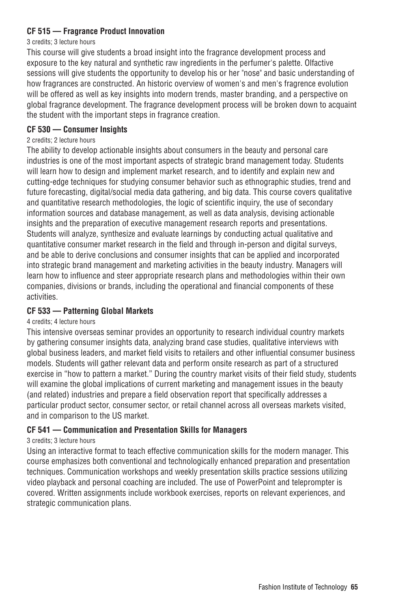## **CF 515 — Fragrance Product Innovation**

#### 3 credits; 3 lecture hours

This course will give students a broad insight into the fragrance development process and exposure to the key natural and synthetic raw ingredients in the perfumer's palette. Olfactive sessions will give students the opportunity to develop his or her "nose" and basic understanding of how fragrances are constructed. An historic overview of women's and men's fragrence evolution will be offered as well as key insights into modern trends, master branding, and a perspective on global fragrance development. The fragrance development process will be broken down to acquaint the student with the important steps in fragrance creation.

## **CF 530 — Consumer Insights**

#### 2 credits; 2 lecture hours

The ability to develop actionable insights about consumers in the beauty and personal care industries is one of the most important aspects of strategic brand management today. Students will learn how to design and implement market research, and to identify and explain new and cutting-edge techniques for studying consumer behavior such as ethnographic studies, trend and future forecasting, digital/social media data gathering, and big data. This course covers qualitative and quantitative research methodologies, the logic of scientific inquiry, the use of secondary information sources and database management, as well as data analysis, devising actionable insights and the preparation of executive management research reports and presentations. Students will analyze, synthesize and evaluate learnings by conducting actual qualitative and quantitative consumer market research in the field and through in-person and digital surveys, and be able to derive conclusions and consumer insights that can be applied and incorporated into strategic brand management and marketing activities in the beauty industry. Managers will learn how to influence and steer appropriate research plans and methodologies within their own companies, divisions or brands, including the operational and financial components of these activities.

## **CF 533 — Patterning Global Markets**

## 4 credits; 4 lecture hours

This intensive overseas seminar provides an opportunity to research individual country markets by gathering consumer insights data, analyzing brand case studies, qualitative interviews with global business leaders, and market field visits to retailers and other influential consumer business models. Students will gather relevant data and perform onsite research as part of a structured exercise in "how to pattern a market." During the country market visits of their field study, students will examine the global implications of current marketing and management issues in the beauty (and related) industries and prepare a field observation report that specifically addresses a particular product sector, consumer sector, or retail channel across all overseas markets visited, and in comparison to the US market.

# **CF 541 — Communication and Presentation Skills for Managers**

## 3 credits; 3 lecture hours

Using an interactive format to teach effective communication skills for the modern manager. This course emphasizes both conventional and technologically enhanced preparation and presentation techniques. Communication workshops and weekly presentation skills practice sessions utilizing video playback and personal coaching are included. The use of PowerPoint and teleprompter is covered. Written assignments include workbook exercises, reports on relevant experiences, and strategic communication plans.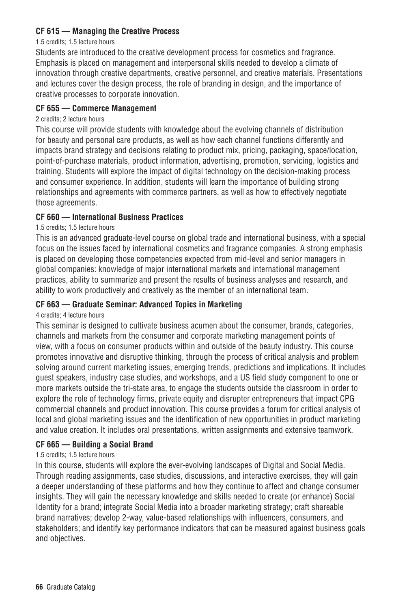# **CF 615 — Managing the Creative Process**

#### 1.5 credits; 1.5 lecture hours

Students are introduced to the creative development process for cosmetics and fragrance. Emphasis is placed on management and interpersonal skills needed to develop a climate of innovation through creative departments, creative personnel, and creative materials. Presentations and lectures cover the design process, the role of branding in design, and the importance of creative processes to corporate innovation.

## **CF 655 — Commerce Management**

#### 2 credits; 2 lecture hours

This course will provide students with knowledge about the evolving channels of distribution for beauty and personal care products, as well as how each channel functions differently and impacts brand strategy and decisions relating to product mix, pricing, packaging, space/location, point-of-purchase materials, product information, advertising, promotion, servicing, logistics and training. Students will explore the impact of digital technology on the decision-making process and consumer experience. In addition, students will learn the importance of building strong relationships and agreements with commerce partners, as well as how to effectively negotiate those agreements.

## **CF 660 — International Business Practices**

## 1.5 credits; 1.5 lecture hours

This is an advanced graduate-level course on global trade and international business, with a special focus on the issues faced by international cosmetics and fragrance companies. A strong emphasis is placed on developing those competencies expected from mid-level and senior managers in global companies: knowledge of major international markets and international management practices, ability to summarize and present the results of business analyses and research, and ability to work productively and creatively as the member of an international team.

## **CF 663 — Graduate Seminar: Advanced Topics in Marketing**

## 4 credits; 4 lecture hours

This seminar is designed to cultivate business acumen about the consumer, brands, categories, channels and markets from the consumer and corporate marketing management points of view, with a focus on consumer products within and outside of the beauty industry. This course promotes innovative and disruptive thinking, through the process of critical analysis and problem solving around current marketing issues, emerging trends, predictions and implications. It includes guest speakers, industry case studies, and workshops, and a US field study component to one or more markets outside the tri-state area, to engage the students outside the classroom in order to explore the role of technology firms, private equity and disrupter entrepreneurs that impact CPG commercial channels and product innovation. This course provides a forum for critical analysis of local and global marketing issues and the identification of new opportunities in product marketing and value creation. It includes oral presentations, written assignments and extensive teamwork.

## **CF 665 — Building a Social Brand**

## 1.5 credits; 1.5 lecture hours

In this course, students will explore the ever-evolving landscapes of Digital and Social Media. Through reading assignments, case studies, discussions, and interactive exercises, they will gain a deeper understanding of these platforms and how they continue to affect and change consumer insights. They will gain the necessary knowledge and skills needed to create (or enhance) Social Identity for a brand; integrate Social Media into a broader marketing strategy; craft shareable brand narratives; develop 2-way, value-based relationships with influencers, consumers, and stakeholders; and identify key performance indicators that can be measured against business goals and objectives.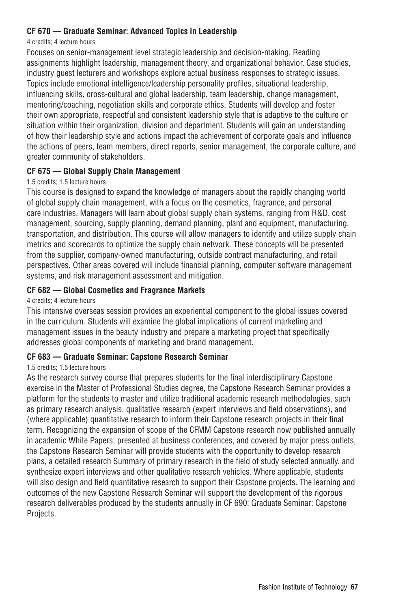## **CF 670 — Graduate Seminar: Advanced Topics in Leadership**

#### 4 credits; 4 lecture hours

Focuses on senior-management level strategic leadership and decision-making. Reading assignments highlight leadership, management theory, and organizational behavior. Case studies, industry guest lecturers and workshops explore actual business responses to strategic issues. Topics include emotional intelligence/leadership personality profiles, situational leadership, influencing skills, cross-cultural and global leadership, team leadership, change management, mentoring/coaching, negotiation skills and corporate ethics. Students will develop and foster their own appropriate, respectful and consistent leadership style that is adaptive to the culture or situation within their organization, division and department. Students will gain an understanding of how their leadership style and actions impact the achievement of corporate goals and influence the actions of peers, team members, direct reports, senior management, the corporate culture, and greater community of stakeholders.

## **CF 675 — Global Supply Chain Management**

## 1.5 credits; 1.5 lecture hours

This course is designed to expand the knowledge of managers about the rapidly changing world of global supply chain management, with a focus on the cosmetics, fragrance, and personal care industries. Managers will learn about global supply chain systems, ranging from R&D, cost management, sourcing, supply planning, demand planning, plant and equipment, manufacturing, transportation, and distribution. This course will allow managers to identify and utilize supply chain metrics and scorecards to optimize the supply chain network. These concepts will be presented from the supplier, company-owned manufacturing, outside contract manufacturing, and retail perspectives. Other areas covered will include financial planning, computer software management systems, and risk management assessment and mitigation.

## **CF 682 — Global Cosmetics and Fragrance Markets**

## 4 credits; 4 lecture hours

This intensive overseas session provides an experiential component to the global issues covered in the curriculum. Students will examine the global implications of current marketing and management issues in the beauty industry and prepare a marketing project that specifically addresses global components of marketing and brand management.

## **CF 683 — Graduate Seminar: Capstone Research Seminar**

## 1.5 credits; 1.5 lecture hours

As the research survey course that prepares students for the final interdisciplinary Capstone exercise in the Master of Professional Studies degree, the Capstone Research Seminar provides a platform for the students to master and utilize traditional academic research methodologies, such as primary research analysis, qualitative research (expert interviews and field observations), and (where applicable) quantitative research to inform their Capstone research projects in their final term. Recognizing the expansion of scope of the CFMM Capstone research now published annually in academic White Papers, presented at business conferences, and covered by major press outlets, the Capstone Research Seminar will provide students with the opportunity to develop research plans, a detailed research Summary of primary research in the field of study selected annually, and synthesize expert interviews and other qualitative research vehicles. Where applicable, students will also design and field quantitative research to support their Capstone projects. The learning and outcomes of the new Capstone Research Seminar will support the development of the rigorous research deliverables produced by the students annually in CF 690: Graduate Seminar: Capstone Projects.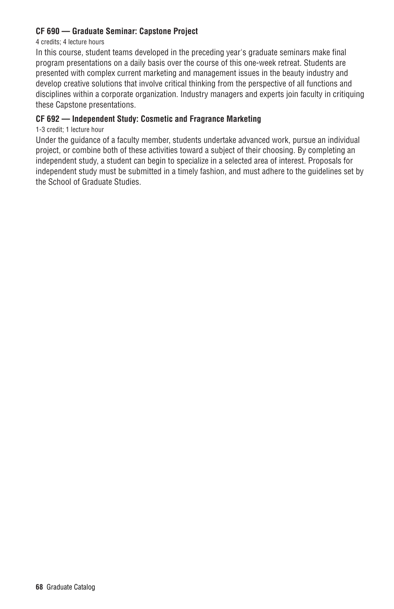## **CF 690 — Graduate Seminar: Capstone Project**

#### 4 credits; 4 lecture hours

In this course, student teams developed in the preceding year's graduate seminars make final program presentations on a daily basis over the course of this one-week retreat. Students are presented with complex current marketing and management issues in the beauty industry and develop creative solutions that involve critical thinking from the perspective of all functions and disciplines within a corporate organization. Industry managers and experts join faculty in critiquing these Capstone presentations.

## **CF 692 — Independent Study: Cosmetic and Fragrance Marketing**

1-3 credit; 1 lecture hour

Under the guidance of a faculty member, students undertake advanced work, pursue an individual project, or combine both of these activities toward a subject of their choosing. By completing an independent study, a student can begin to specialize in a selected area of interest. Proposals for independent study must be submitted in a timely fashion, and must adhere to the guidelines set by the School of Graduate Studies.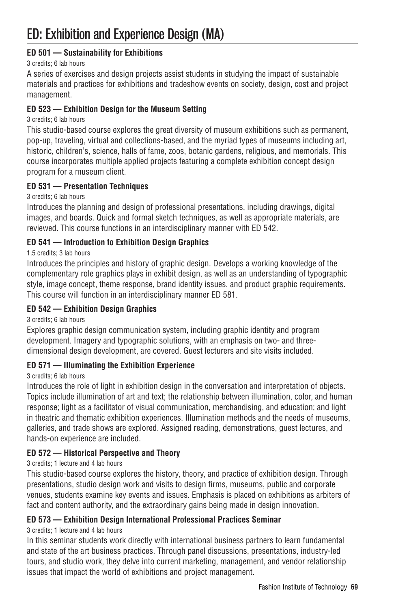# **ED 501 — Sustainability for Exhibitions**

## 3 credits; 6 lab hours

A series of exercises and design projects assist students in studying the impact of sustainable materials and practices for exhibitions and tradeshow events on society, design, cost and project management.

# **ED 523 — Exhibition Design for the Museum Setting**

## 3 credits; 6 lab hours

This studio-based course explores the great diversity of museum exhibitions such as permanent, pop-up, traveling, virtual and collections-based, and the myriad types of museums including art, historic, children's, science, halls of fame, zoos, botanic gardens, religious, and memorials. This course incorporates multiple applied projects featuring a complete exhibition concept design program for a museum client.

# **ED 531 — Presentation Techniques**

3 credits; 6 lab hours

Introduces the planning and design of professional presentations, including drawings, digital images, and boards. Quick and formal sketch techniques, as well as appropriate materials, are reviewed. This course functions in an interdisciplinary manner with ED 542.

# **ED 541 — Introduction to Exhibition Design Graphics**

## 1.5 credits; 3 lab hours

Introduces the principles and history of graphic design. Develops a working knowledge of the complementary role graphics plays in exhibit design, as well as an understanding of typographic style, image concept, theme response, brand identity issues, and product graphic requirements. This course will function in an interdisciplinary manner ED 581.

## **ED 542 — Exhibition Design Graphics**

## 3 credits; 6 lab hours

Explores graphic design communication system, including graphic identity and program development. Imagery and typographic solutions, with an emphasis on two- and threedimensional design development, are covered. Guest lecturers and site visits included.

## **ED 571 — Illuminating the Exhibition Experience**

## 3 credits; 6 lab hours

Introduces the role of light in exhibition design in the conversation and interpretation of objects. Topics include illumination of art and text; the relationship between illumination, color, and human response; light as a facilitator of visual communication, merchandising, and education; and light in theatric and thematic exhibition experiences. Illumination methods and the needs of museums, galleries, and trade shows are explored. Assigned reading, demonstrations, guest lectures, and hands-on experience are included.

# **ED 572 — Historical Perspective and Theory**

## 3 credits; 1 lecture and 4 lab hours

This studio-based course explores the history, theory, and practice of exhibition design. Through presentations, studio design work and visits to design firms, museums, public and corporate venues, students examine key events and issues. Emphasis is placed on exhibitions as arbiters of fact and content authority, and the extraordinary gains being made in design innovation.

## **ED 573 — Exhibition Design International Professional Practices Seminar**

## 3 credits; 1 lecture and 4 lab hours

In this seminar students work directly with international business partners to learn fundamental and state of the art business practices. Through panel discussions, presentations, industry-led tours, and studio work, they delve into current marketing, management, and vendor relationship issues that impact the world of exhibitions and project management.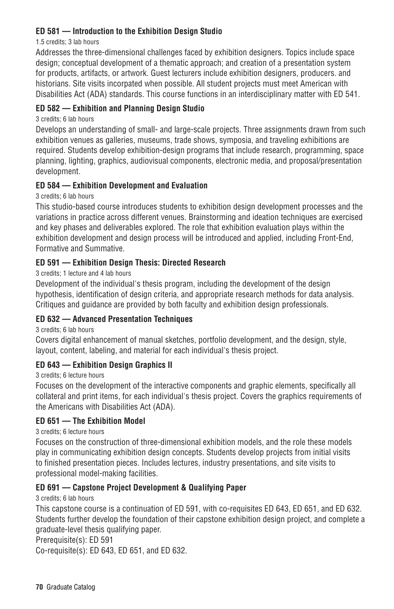# **ED 581 — Introduction to the Exhibition Design Studio**

1.5 credits; 3 lab hours

Addresses the three-dimensional challenges faced by exhibition designers. Topics include space design; conceptual development of a thematic approach; and creation of a presentation system for products, artifacts, or artwork. Guest lecturers include exhibition designers, producers. and historians. Site visits incorpated when possible. All student projects must meet American with Disabilities Act (ADA) standards. This course functions in an interdisciplinary matter with ED 541.

## **ED 582 — Exhibition and Planning Design Studio**

3 credits; 6 lab hours

Develops an understanding of small- and large-scale projects. Three assignments drawn from such exhibition venues as galleries, museums, trade shows, symposia, and traveling exhibitions are required. Students develop exhibition-design programs that include research, programming, space planning, lighting, graphics, audiovisual components, electronic media, and proposal/presentation development.

# **ED 584 — Exhibition Development and Evaluation**

3 credits; 6 lab hours

This studio-based course introduces students to exhibition design development processes and the variations in practice across different venues. Brainstorming and ideation techniques are exercised and key phases and deliverables explored. The role that exhibition evaluation plays within the exhibition development and design process will be introduced and applied, including Front-End, Formative and Summative.

# **ED 591 — Exhibition Design Thesis: Directed Research**

3 credits; 1 lecture and 4 lab hours

Development of the individual's thesis program, including the development of the design hypothesis, identification of design criteria, and appropriate research methods for data analysis. Critiques and guidance are provided by both faculty and exhibition design professionals.

## **ED 632 — Advanced Presentation Techniques**

3 credits; 6 lab hours

Covers digital enhancement of manual sketches, portfolio development, and the design, style, layout, content, labeling, and material for each individual's thesis project.

## **ED 643 — Exhibition Design Graphics II**

3 credits; 6 lecture hours

Focuses on the development of the interactive components and graphic elements, specifically all collateral and print items, for each individual's thesis project. Covers the graphics requirements of the Americans with Disabilities Act (ADA).

## **ED 651 — The Exhibition Model**

3 credits; 6 lecture hours

Focuses on the construction of three-dimensional exhibition models, and the role these models play in communicating exhibition design concepts. Students develop projects from initial visits to finished presentation pieces. Includes lectures, industry presentations, and site visits to professional model-making facilities.

## **ED 691 — Capstone Project Development & Qualifying Paper**

3 credits; 6 lab hours

This capstone course is a continuation of ED 591, with co-requisites ED 643, ED 651, and ED 632. Students further develop the foundation of their capstone exhibition design project, and complete a graduate-level thesis qualifying paper.

Prerequisite(s): ED 591

Co-requisite(s): ED 643, ED 651, and ED 632.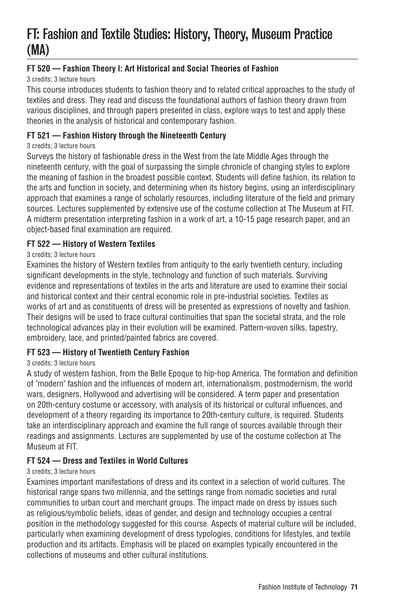# FT: Fashion and Textile Studies: History, Theory, Museum Practice (MA)

# **FT 520 — Fashion Theory I: Art Historical and Social Theories of Fashion**

3 credits; 3 lecture hours

This course introduces students to fashion theory and to related critical approaches to the study of textiles and dress. They read and discuss the foundational authors of fashion theory drawn from various disciplines, and through papers presented in class, explore ways to test and apply these theories in the analysis of historical and contemporary fashion.

## **FT 521 — Fashion History through the Nineteenth Century**

#### 3 credits; 3 lecture hours

Surveys the history of fashionable dress in the West from the late Middle Ages through the nineteenth century, with the goal of surpassing the simple chronicle of changing styles to explore the meaning of fashion in the broadest possible context. Students will define fashion, its relation to the arts and function in society, and determining when its history begins, using an interdisciplinary approach that examines a range of scholarly resources, including literature of the field and primary sources. Lectures supplemented by extensive use of the costume collection at The Museum at FIT. A midterm presentation interpreting fashion in a work of art, a 10-15 page research paper, and an object-based final examination are required.

## **FT 522 — History of Western Textiles**

## 3 credits; 3 lecture hours

Examines the history of Western textiles from antiquity to the early twentieth century, including significant developments in the style, technology and function of such materials. Surviving evidence and representations of textiles in the arts and literature are used to examine their social and historical context and their central economic role in pre-industrial societies. Textiles as works of art and as constituents of dress will be presented as expressions of novelty and fashion. Their designs will be used to trace cultural continuities that span the societal strata, and the role technological advances play in their evolution will be examined. Pattern-woven silks, tapestry, embroidery, lace, and printed/painted fabrics are covered.

## **FT 523 — History of Twentieth Century Fashion**

## 3 credits; 3 lecture hours

A study of western fashion, from the Belle Epoque to hip-hop America. The formation and definition of "modern" fashion and the influences of modern art, internationalism, postmodernism, the world wars, designers, Hollywood and advertising will be considered. A term paper and presentation on 20th-century costume or accessory, with analysis of its historical or cultural influences, and development of a theory regarding its importance to 20th-century culture, is required. Students take an interdisciplinary approach and examine the full range of sources available through their readings and assignments. Lectures are supplemented by use of the costume collection at The Museum at FIT.

## **FT 524 — Dress and Textiles in World Cultures**

#### 3 credits; 3 lecture hours

Examines important manifestations of dress and its context in a selection of world cultures. The historical range spans two millennia, and the settings range from nomadic societies and rural communities to urban court and merchant groups. The impact made on dress by issues such as religious/symbolic beliefs, ideas of gender, and design and technology occupies a central position in the methodology suggested for this course. Aspects of material culture will be included, particularly when examining development of dress typologies, conditions for lifestyles, and textile production and its artifacts. Emphasis will be placed on examples typically encountered in the collections of museums and other cultural institutions.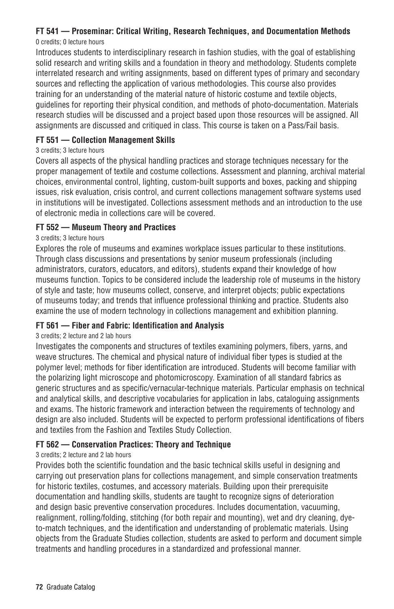# **FT 541 — Proseminar: Critical Writing, Research Techniques, and Documentation Methods**

#### 0 credits; 0 lecture hours

Introduces students to interdisciplinary research in fashion studies, with the goal of establishing solid research and writing skills and a foundation in theory and methodology. Students complete interrelated research and writing assignments, based on different types of primary and secondary sources and reflecting the application of various methodologies. This course also provides training for an understanding of the material nature of historic costume and textile objects, guidelines for reporting their physical condition, and methods of photo-documentation. Materials research studies will be discussed and a project based upon those resources will be assigned. All assignments are discussed and critiqued in class. This course is taken on a Pass/Fail basis.

## **FT 551 — Collection Management Skills**

## 3 credits; 3 lecture hours

Covers all aspects of the physical handling practices and storage techniques necessary for the proper management of textile and costume collections. Assessment and planning, archival material choices, environmental control, lighting, custom-built supports and boxes, packing and shipping issues, risk evaluation, crisis control, and current collections management software systems used in institutions will be investigated. Collections assessment methods and an introduction to the use of electronic media in collections care will be covered.

# **FT 552 — Museum Theory and Practices**

# 3 credits; 3 lecture hours

Explores the role of museums and examines workplace issues particular to these institutions. Through class discussions and presentations by senior museum professionals (including administrators, curators, educators, and editors), students expand their knowledge of how museums function. Topics to be considered include the leadership role of museums in the history of style and taste; how museums collect, conserve, and interpret objects; public expectations of museums today; and trends that influence professional thinking and practice. Students also examine the use of modern technology in collections management and exhibition planning.

# **FT 561 — Fiber and Fabric: Identification and Analysis**

## 3 credits; 2 lecture and 2 lab hours

Investigates the components and structures of textiles examining polymers, fibers, yarns, and weave structures. The chemical and physical nature of individual fiber types is studied at the polymer level; methods for fiber identification are introduced. Students will become familiar with the polarizing light microscope and photomicroscopy. Examination of all standard fabrics as generic structures and as specific/vernacular-technique materials. Particular emphasis on technical and analytical skills, and descriptive vocabularies for application in labs, cataloguing assignments and exams. The historic framework and interaction between the requirements of technology and design are also included. Students will be expected to perform professional identifications of fibers and textiles from the Fashion and Textiles Study Collection.

## **FT 562 — Conservation Practices: Theory and Technique**

## 3 credits; 2 lecture and 2 lab hours

Provides both the scientific foundation and the basic technical skills useful in designing and carrying out preservation plans for collections management, and simple conservation treatments for historic textiles, costumes, and accessory materials. Building upon their prerequisite documentation and handling skills, students are taught to recognize signs of deterioration and design basic preventive conservation procedures. Includes documentation, vacuuming, realignment, rolling/folding, stitching (for both repair and mounting), wet and dry cleaning, dyeto-match techniques, and the identification and understanding of problematic materials. Using objects from the Graduate Studies collection, students are asked to perform and document simple treatments and handling procedures in a standardized and professional manner.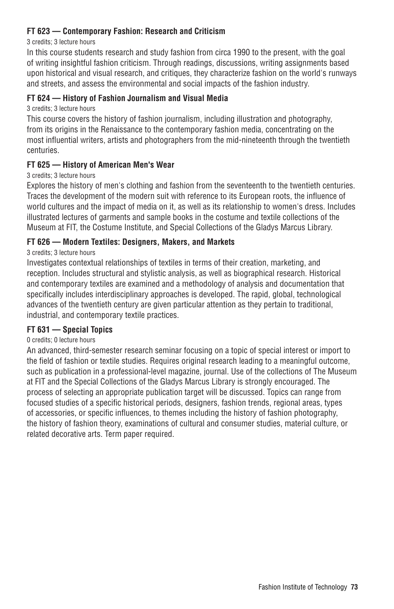# **FT 623 — Contemporary Fashion: Research and Criticism**

#### 3 credits; 3 lecture hours

In this course students research and study fashion from circa 1990 to the present, with the goal of writing insightful fashion criticism. Through readings, discussions, writing assignments based upon historical and visual research, and critiques, they characterize fashion on the world's runways and streets, and assess the environmental and social impacts of the fashion industry.

## **FT 624 — History of Fashion Journalism and Visual Media**

#### 3 credits; 3 lecture hours

This course covers the history of fashion journalism, including illustration and photography, from its origins in the Renaissance to the contemporary fashion media, concentrating on the most influential writers, artists and photographers from the mid-nineteenth through the twentieth centuries.

#### **FT 625 — History of American Men's Wear**

#### 3 credits; 3 lecture hours

Explores the history of men's clothing and fashion from the seventeenth to the twentieth centuries. Traces the development of the modern suit with reference to its European roots, the influence of world cultures and the impact of media on it, as well as its relationship to women's dress. Includes illustrated lectures of garments and sample books in the costume and textile collections of the Museum at FIT, the Costume Institute, and Special Collections of the Gladys Marcus Library.

#### **FT 626 — Modern Textiles: Designers, Makers, and Markets**

#### 3 credits; 3 lecture hours

Investigates contextual relationships of textiles in terms of their creation, marketing, and reception. Includes structural and stylistic analysis, as well as biographical research. Historical and contemporary textiles are examined and a methodology of analysis and documentation that specifically includes interdisciplinary approaches is developed. The rapid, global, technological advances of the twentieth century are given particular attention as they pertain to traditional, industrial, and contemporary textile practices.

#### **FT 631 — Special Topics**

#### 0 credits; 0 lecture hours

An advanced, third-semester research seminar focusing on a topic of special interest or import to the field of fashion or textile studies. Requires original research leading to a meaningful outcome, such as publication in a professional-level magazine, journal. Use of the collections of The Museum at FIT and the Special Collections of the Gladys Marcus Library is strongly encouraged. The process of selecting an appropriate publication target will be discussed. Topics can range from focused studies of a specific historical periods, designers, fashion trends, regional areas, types of accessories, or specific influences, to themes including the history of fashion photography, the history of fashion theory, examinations of cultural and consumer studies, material culture, or related decorative arts. Term paper required.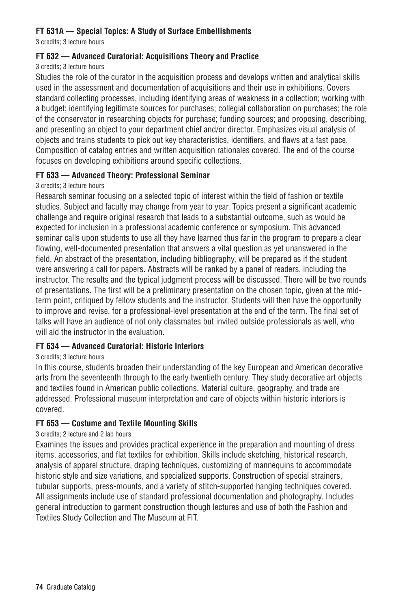# **FT 631A — Special Topics: A Study of Surface Embellishments**

3 credits; 3 lecture hours

## **FT 632 — Advanced Curatorial: Acquisitions Theory and Practice**

#### 3 credits; 3 lecture hours

Studies the role of the curator in the acquisition process and develops written and analytical skills used in the assessment and documentation of acquisitions and their use in exhibitions. Covers standard collecting processes, including identifying areas of weakness in a collection; working with a budget; identifying legitimate sources for purchases; collegial collaboration on purchases; the role of the conservator in researching objects for purchase; funding sources; and proposing, describing, and presenting an object to your department chief and/or director. Emphasizes visual analysis of objects and trains students to pick out key characteristics, identifiers, and flaws at a fast pace. Composition of catalog entries and written acquisition rationales covered. The end of the course focuses on developing exhibitions around specific collections.

## **FT 633 — Advanced Theory: Professional Seminar**

#### 3 credits; 3 lecture hours

Research seminar focusing on a selected topic of interest within the field of fashion or textile studies. Subject and faculty may change from year to year. Topics present a significant academic challenge and require original research that leads to a substantial outcome, such as would be expected for inclusion in a professional academic conference or symposium. This advanced seminar calls upon students to use all they have learned thus far in the program to prepare a clear flowing, well-documented presentation that answers a vital question as yet unanswered in the field. An abstract of the presentation, including bibliography, will be prepared as if the student were answering a call for papers. Abstracts will be ranked by a panel of readers, including the instructor. The results and the typical judgment process will be discussed. There will be two rounds of presentations. The first will be a preliminary presentation on the chosen topic, given at the midterm point, critiqued by fellow students and the instructor. Students will then have the opportunity to improve and revise, for a professional-level presentation at the end of the term. The final set of talks will have an audience of not only classmates but invited outside professionals as well, who will aid the instructor in the evaluation.

## **FT 634 — Advanced Curatorial: Historic Interiors**

#### 3 credits; 3 lecture hours

In this course, students broaden their understanding of the key European and American decorative arts from the seventeenth through to the early twentieth century. They study decorative art objects and textiles found in American public collections. Material culture, geography, and trade are addressed. Professional museum interpretation and care of objects within historic interiors is covered.

## **FT 653 — Costume and Textile Mounting Skills**

#### 3 credits; 2 lecture and 2 lab hours

Examines the issues and provides practical experience in the preparation and mounting of dress items, accessories, and flat textiles for exhibition. Skills include sketching, historical research, analysis of apparel structure, draping techniques, customizing of mannequins to accommodate historic style and size variations, and specialized supports. Construction of special strainers, tubular supports, press-mounts, and a variety of stitch-supported hanging techniques covered. All assignments include use of standard professional documentation and photography. Includes general introduction to garment construction though lectures and use of both the Fashion and Textiles Study Collection and The Museum at FIT.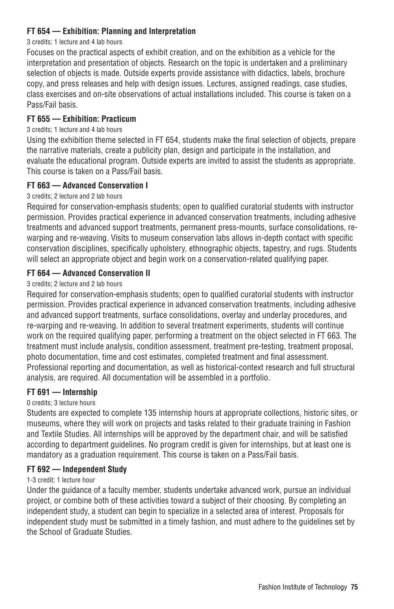## **FT 654 — Exhibition: Planning and Interpretation**

#### 3 credits; 1 lecture and 4 lab hours

Focuses on the practical aspects of exhibit creation, and on the exhibition as a vehicle for the interpretation and presentation of objects. Research on the topic is undertaken and a preliminary selection of objects is made. Outside experts provide assistance with didactics, labels, brochure copy, and press releases and help with design issues. Lectures, assigned readings, case studies, class exercises and on-site observations of actual installations included. This course is taken on a Pass/Fail basis.

## **FT 655 — Exhibition: Practicum**

#### 3 credits; 1 lecture and 4 lab hours

Using the exhibition theme selected in FT 654, students make the final selection of objects, prepare the narrative materials, create a publicity plan, design and participate in the installation, and evaluate the educational program. Outside experts are invited to assist the students as appropriate. This course is taken on a Pass/Fail basis.

#### **FT 663 — Advanced Conservation I**

#### 3 credits; 2 lecture and 2 lab hours

Required for conservation-emphasis students; open to qualified curatorial students with instructor permission. Provides practical experience in advanced conservation treatments, including adhesive treatments and advanced support treatments, permanent press-mounts, surface consolidations, rewarping and re-weaving. Visits to museum conservation labs allows in-depth contact with specific conservation disciplines, specifically upholstery, ethnographic objects, tapestry, and rugs. Students will select an appropriate object and begin work on a conservation-related qualifying paper.

#### **FT 664 — Advanced Conservation II**

## 3 credits; 2 lecture and 2 lab hours

Required for conservation-emphasis students; open to qualified curatorial students with instructor permission. Provides practical experience in advanced conservation treatments, including adhesive and advanced support treatments, surface consolidations, overlay and underlay procedures, and re-warping and re-weaving. In addition to several treatment experiments, students will continue work on the required qualifying paper, performing a treatment on the object selected in FT 663. The treatment must include analysis, condition assessment, treatment pre-testing, treatment proposal, photo documentation, time and cost estimates, completed treatment and final assessment. Professional reporting and documentation, as well as historical-context research and full structural analysis, are required. All documentation will be assembled in a portfolio.

#### **FT 691 — Internship**

#### 0 credits; 3 lecture hours

Students are expected to complete 135 internship hours at appropriate collections, historic sites, or museums, where they will work on projects and tasks related to their graduate training in Fashion and Textile Studies. All internships will be approved by the department chair, and will be satisfied according to department guidelines. No program credit is given for internships, but at least one is mandatory as a graduation requirement. This course is taken on a Pass/Fail basis.

#### **FT 692 — Independent Study**

#### 1-3 credit; 1 lecture hour

Under the guidance of a faculty member, students undertake advanced work, pursue an individual project, or combine both of these activities toward a subject of their choosing. By completing an independent study, a student can begin to specialize in a selected area of interest. Proposals for independent study must be submitted in a timely fashion, and must adhere to the guidelines set by the School of Graduate Studies.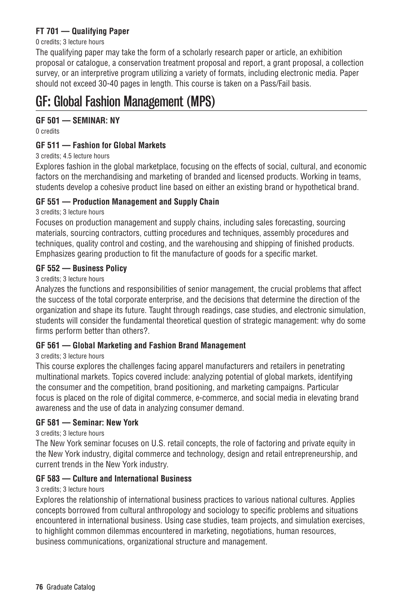# **FT 701 — Qualifying Paper**

#### 0 credits; 3 lecture hours

The qualifying paper may take the form of a scholarly research paper or article, an exhibition proposal or catalogue, a conservation treatment proposal and report, a grant proposal, a collection survey, or an interpretive program utilizing a variety of formats, including electronic media. Paper should not exceed 30-40 pages in length. This course is taken on a Pass/Fail basis.

# GF: Global Fashion Management (MPS)

# **GF 501 — SEMINAR: NY**

0 credits

## **GF 511 — Fashion for Global Markets**

#### 3 credits; 4.5 lecture hours

Explores fashion in the global marketplace, focusing on the effects of social, cultural, and economic factors on the merchandising and marketing of branded and licensed products. Working in teams, students develop a cohesive product line based on either an existing brand or hypothetical brand.

## **GF 551 — Production Management and Supply Chain**

#### 3 credits; 3 lecture hours

Focuses on production management and supply chains, including sales forecasting, sourcing materials, sourcing contractors, cutting procedures and techniques, assembly procedures and techniques, quality control and costing, and the warehousing and shipping of finished products. Emphasizes gearing production to fit the manufacture of goods for a specific market.

## **GF 552 — Business Policy**

#### 3 credits; 3 lecture hours

Analyzes the functions and responsibilities of senior management, the crucial problems that affect the success of the total corporate enterprise, and the decisions that determine the direction of the organization and shape its future. Taught through readings, case studies, and electronic simulation, students will consider the fundamental theoretical question of strategic management: why do some firms perform better than others?.

## **GF 561 — Global Marketing and Fashion Brand Management**

#### 3 credits; 3 lecture hours

This course explores the challenges facing apparel manufacturers and retailers in penetrating multinational markets. Topics covered include: analyzing potential of global markets, identifying the consumer and the competition, brand positioning, and marketing campaigns. Particular focus is placed on the role of digital commerce, e-commerce, and social media in elevating brand awareness and the use of data in analyzing consumer demand.

#### **GF 581 — Seminar: New York**

#### 3 credits; 3 lecture hours

The New York seminar focuses on U.S. retail concepts, the role of factoring and private equity in the New York industry, digital commerce and technology, design and retail entrepreneurship, and current trends in the New York industry.

## **GF 583 — Culture and International Business**

#### 3 credits; 3 lecture hours

Explores the relationship of international business practices to various national cultures. Applies concepts borrowed from cultural anthropology and sociology to specific problems and situations encountered in international business. Using case studies, team projects, and simulation exercises, to highlight common dilemmas encountered in marketing, negotiations, human resources, business communications, organizational structure and management.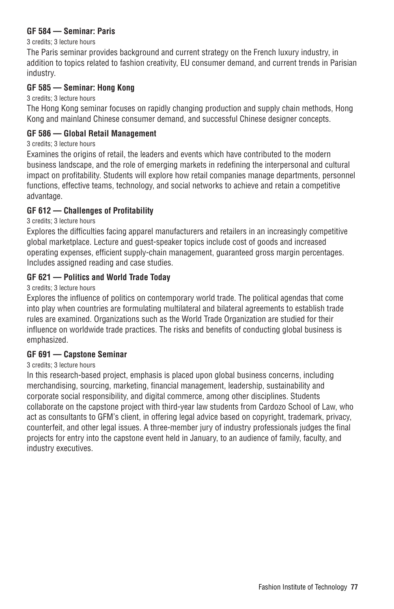#### **GF 584 — Seminar: Paris**

3 credits; 3 lecture hours

The Paris seminar provides background and current strategy on the French luxury industry, in addition to topics related to fashion creativity, EU consumer demand, and current trends in Parisian industry.

#### **GF 585 — Seminar: Hong Kong**

3 credits; 3 lecture hours

The Hong Kong seminar focuses on rapidly changing production and supply chain methods, Hong Kong and mainland Chinese consumer demand, and successful Chinese designer concepts.

#### **GF 586 — Global Retail Management**

3 credits; 3 lecture hours

Examines the origins of retail, the leaders and events which have contributed to the modern business landscape, and the role of emerging markets in redefining the interpersonal and cultural impact on profitability. Students will explore how retail companies manage departments, personnel functions, effective teams, technology, and social networks to achieve and retain a competitive advantage.

#### **GF 612 — Challenges of Profitability**

3 credits; 3 lecture hours

Explores the difficulties facing apparel manufacturers and retailers in an increasingly competitive global marketplace. Lecture and guest-speaker topics include cost of goods and increased operating expenses, efficient supply-chain management, guaranteed gross margin percentages. Includes assigned reading and case studies.

#### **GF 621 — Politics and World Trade Today**

3 credits; 3 lecture hours

Explores the influence of politics on contemporary world trade. The political agendas that come into play when countries are formulating multilateral and bilateral agreements to establish trade rules are examined. Organizations such as the World Trade Organization are studied for their influence on worldwide trade practices. The risks and benefits of conducting global business is emphasized.

#### **GF 691 — Capstone Seminar**

#### 3 credits; 3 lecture hours

In this research-based project, emphasis is placed upon global business concerns, including merchandising, sourcing, marketing, financial management, leadership, sustainability and corporate social responsibility, and digital commerce, among other disciplines. Students collaborate on the capstone project with third-year law students from Cardozo School of Law, who act as consultants to GFM's client, in offering legal advice based on copyright, trademark, privacy, counterfeit, and other legal issues. A three-member jury of industry professionals judges the final projects for entry into the capstone event held in January, to an audience of family, faculty, and industry executives.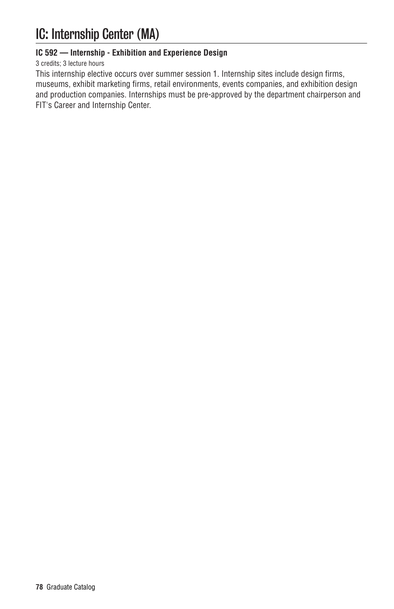# IC: Internship Center (MA)

# **IC 592 — Internship - Exhibition and Experience Design**

#### 3 credits; 3 lecture hours

This internship elective occurs over summer session 1. Internship sites include design firms, museums, exhibit marketing firms, retail environments, events companies, and exhibition design and production companies. Internships must be pre-approved by the department chairperson and FIT's Career and Internship Center.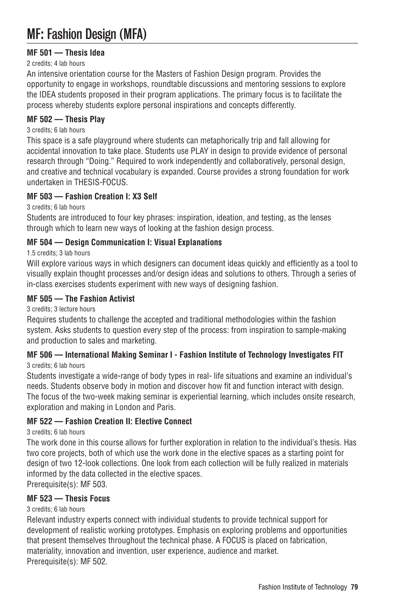# MF: Fashion Design (MFA)

# **MF 501 — Thesis Idea**

#### 2 credits; 4 lab hours

An intensive orientation course for the Masters of Fashion Design program. Provides the opportunity to engage in workshops, roundtable discussions and mentoring sessions to explore the IDEA students proposed in their program applications. The primary focus is to facilitate the process whereby students explore personal inspirations and concepts differently.

#### **MF 502 — Thesis Play**

#### 3 credits; 6 lab hours

This space is a safe playground where students can metaphorically trip and fall allowing for accidental innovation to take place. Students use PLAY in design to provide evidence of personal research through "Doing." Required to work independently and collaboratively, personal design, and creative and technical vocabulary is expanded. Course provides a strong foundation for work undertaken in THESIS-FOCUS.

#### **MF 503 — Fashion Creation I: X3 Self**

3 credits; 6 lab hours

Students are introduced to four key phrases: inspiration, ideation, and testing, as the lenses through which to learn new ways of looking at the fashion design process.

## **MF 504 — Design Communication I: Visual Explanations**

## 1.5 credits; 3 lab hours

Will explore various ways in which designers can document ideas quickly and efficiently as a tool to visually explain thought processes and/or design ideas and solutions to others. Through a series of in-class exercises students experiment with new ways of designing fashion.

#### **MF 505 — The Fashion Activist**

3 credits; 3 lecture hours

Requires students to challenge the accepted and traditional methodologies within the fashion system. Asks students to question every step of the process: from inspiration to sample-making and production to sales and marketing.

#### **MF 506 — International Making Seminar I - Fashion Institute of Technology Investigates FIT** 3 credits; 6 lab hours

Students investigate a wide-range of body types in real- life situations and examine an individual's needs. Students observe body in motion and discover how fit and function interact with design. The focus of the two-week making seminar is experiential learning, which includes onsite research, exploration and making in London and Paris.

## **MF 522 — Fashion Creation II: Elective Connect**

#### 3 credits; 6 lab hours

The work done in this course allows for further exploration in relation to the individual's thesis. Has two core projects, both of which use the work done in the elective spaces as a starting point for design of two 12-look collections. One look from each collection will be fully realized in materials informed by the data collected in the elective spaces.

Prerequisite(s): MF 503.

# **MF 523 — Thesis Focus**

#### 3 credits; 6 lab hours

Relevant industry experts connect with individual students to provide technical support for development of realistic working prototypes. Emphasis on exploring problems and opportunities that present themselves throughout the technical phase. A FOCUS is placed on fabrication, materiality, innovation and invention, user experience, audience and market. Prerequisite(s): MF 502.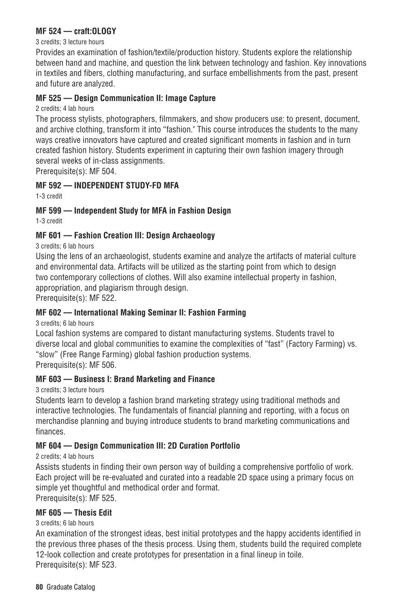#### **MF 524 — craft:OLOGY**

#### 3 credits; 3 lecture hours

Provides an examination of fashion/textile/production history. Students explore the relationship between hand and machine, and question the link between technology and fashion. Key innovations in textiles and fibers, clothing manufacturing, and surface embellishments from the past, present and future are analyzed.

#### **MF 525 — Design Communication II: Image Capture**

2 credits; 4 lab hours

The process stylists, photographers, filmmakers, and show producers use: to present, document, and archive clothing, transform it into "fashion." This course introduces the students to the many ways creative innovators have captured and created significant moments in fashion and in turn created fashion history. Students experiment in capturing their own fashion imagery through several weeks of in-class assignments.

Prerequisite(s): MF 504.

## **MF 592 — INDEPENDENT STUDY-FD MFA**

1-3 credit

## **MF 599 — Independent Study for MFA in Fashion Design**

1-3 credit

# **MF 601 — Fashion Creation III: Design Archaeology**

3 credits; 6 lab hours

Using the lens of an archaeologist, students examine and analyze the artifacts of material culture and environmental data. Artifacts will be utilized as the starting point from which to design two contemporary collections of clothes. Will also examine intellectual property in fashion, appropriation, and plagiarism through design.

Prerequisite(s): MF 522.

## **MF 602 — International Making Seminar II: Fashion Farming**

3 credits; 6 lab hours

Local fashion systems are compared to distant manufacturing systems. Students travel to diverse local and global communities to examine the complexities of "fast" (Factory Farming) vs. "slow" (Free Range Farming) global fashion production systems.

Prerequisite(s): MF 506.

## **MF 603 — Business I: Brand Marketing and Finance**

3 credits; 3 lecture hours

Students learn to develop a fashion brand marketing strategy using traditional methods and interactive technologies. The fundamentals of financial planning and reporting, with a focus on merchandise planning and buying introduce students to brand marketing communications and finances.

## **MF 604 — Design Communication III: 2D Curation Portfolio**

2 credits; 4 lab hours

Assists students in finding their own person way of building a comprehensive portfolio of work. Each project will be re-evaluated and curated into a readable 2D space using a primary focus on simple yet thoughtful and methodical order and format.

Prerequisite(s): MF 525.

## **MF 605 — Thesis Edit**

#### 3 credits; 6 lab hours

An examination of the strongest ideas, best initial prototypes and the happy accidents identified in the previous three phases of the thesis process. Using them, students build the required complete 12-look collection and create prototypes for presentation in a final lineup in toile. Prerequisite(s): MF 523.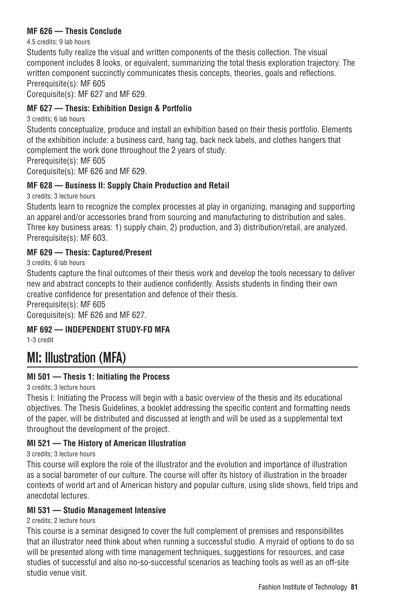## **MF 626 — Thesis Conclude**

4.5 credits; 9 lab hours

Students fully realize the visual and written components of the thesis collection. The visual component includes 8 looks, or equivalent, summarizing the total thesis exploration trajectory. The written component succinctly communicates thesis concepts, theories, goals and reflections. Prerequisite(s): MF 605

Corequisite(s): MF 627 and MF 629.

# **MF 627 — Thesis: Exhibition Design & Portfolio**

3 credits; 6 lab hours

Students conceptualize, produce and install an exhibition based on their thesis portfolio. Elements of the exhibition include: a business card, hang tag, back neck labels, and clothes hangers that complement the work done throughout the 2 years of study.

Prerequisite(s): MF 605

Corequisite(s): MF 626 and MF 629.

# **MF 628 — Business II: Supply Chain Production and Retail**

3 credits; 3 lecture hours

Students learn to recognize the complex processes at play in organizing, managing and supporting an apparel and/or accessories brand from sourcing and manufacturing to distribution and sales. Three key business areas: 1) supply chain, 2) production, and 3) distribution/retail, are analyzed. Prerequisite(s): MF 603.

# **MF 629 — Thesis: Captured/Present**

3 credits; 6 lab hours

Students capture the final outcomes of their thesis work and develop the tools necessary to deliver new and abstract concepts to their audience confidently. Assists students in finding their own creative confidence for presentation and defence of their thesis.

Prerequisite(s): MF 605

Corequisite(s): MF 626 and MF 627.

# **MF 692 — INDEPENDENT STUDY-FD MFA**

1-3 credit

# MI: Illustration (MFA)

# **MI 501 — Thesis 1: Initiating the Process**

3 credits; 3 lecture hours

Thesis I: Initiating the Process will begin with a basic overview of the thesis and its educational objectives. The Thesis Guidelines, a booklet addressing the specific content and formatting needs of the paper, will be distributed and discussed at length and will be used as a supplemental text throughout the development of the project.

# **MI 521 — The History of American Illustration**

3 credits; 3 lecture hours

This course will explore the role of the illustrator and the evolution and importance of illustration as a social barometer of our culture. The course will offer its history of illustration in the broader contexts of world art and of American history and popular culture, using slide shows, field trips and anecdotal lectures.

## **MI 531 — Studio Management Intensive**

2 credits; 2 lecture hours

This course is a seminar designed to cover the full complement of premises and responsibilites that an illustrator need think about when running a successful studio. A myraid of options to do so will be presented along with time management techniques, suggestions for resources, and case studies of successful and also no-so-successful scenarios as teaching tools as well as an off-site studio venue visit.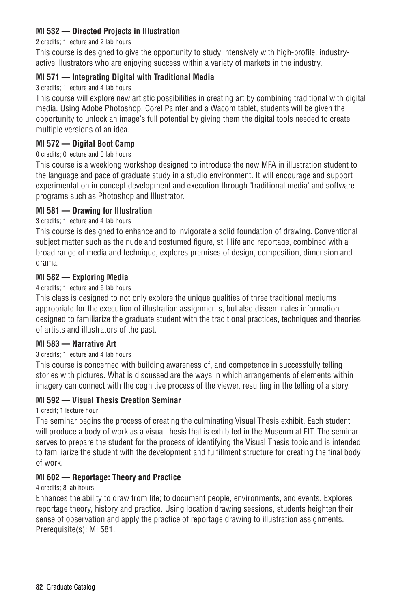## **MI 532 — Directed Projects in Illustration**

#### 2 credits; 1 lecture and 2 lab hours

This course is designed to give the opportunity to study intensively with high-profile, industryactive illustrators who are enjoying success within a variety of markets in the industry.

## **MI 571 — Integrating Digital with Traditional Media**

#### 3 credits; 1 lecture and 4 lab hours

This course will explore new artistic possibilities in creating art by combining traditional with digital media. Using Adobe Photoshop, Corel Painter and a Wacom tablet, students will be given the opportunity to unlock an image's full potential by giving them the digital tools needed to create multiple versions of an idea.

## **MI 572 — Digital Boot Camp**

#### 0 credits; 0 lecture and 0 lab hours

This course is a weeklong workshop designed to introduce the new MFA in illustration student to the language and pace of graduate study in a studio environment. It will encourage and support experimentation in concept development and execution through "traditional media' and software programs such as Photoshop and Illustrator.

## **MI 581 — Drawing for Illustration**

#### 3 credits; 1 lecture and 4 lab hours

This course is designed to enhance and to invigorate a solid foundation of drawing. Conventional subject matter such as the nude and costumed figure, still life and reportage, combined with a broad range of media and technique, explores premises of design, composition, dimension and drama.

#### **MI 582 — Exploring Media**

#### 4 credits; 1 lecture and 6 lab hours

This class is designed to not only explore the unique qualities of three traditional mediums appropriate for the execution of illustration assignments, but also disseminates information designed to familiarize the graduate student with the traditional practices, techniques and theories of artists and illustrators of the past.

#### **MI 583 — Narrative Art**

#### 3 credits; 1 lecture and 4 lab hours

This course is concerned with building awareness of, and competence in successfully telling stories with pictures. What is discussed are the ways in which arrangements of elements within imagery can connect with the cognitive process of the viewer, resulting in the telling of a story.

## **MI 592 — Visual Thesis Creation Seminar**

#### 1 credit; 1 lecture hour

The seminar begins the process of creating the culminating Visual Thesis exhibit. Each student will produce a body of work as a visual thesis that is exhibited in the Museum at FIT. The seminar serves to prepare the student for the process of identifying the Visual Thesis topic and is intended to familiarize the student with the development and fulfillment structure for creating the final body of work.

## **MI 602 — Reportage: Theory and Practice**

#### 4 credits; 8 lab hours

Enhances the ability to draw from life; to document people, environments, and events. Explores reportage theory, history and practice. Using location drawing sessions, students heighten their sense of observation and apply the practice of reportage drawing to illustration assignments. Prerequisite(s): MI 581.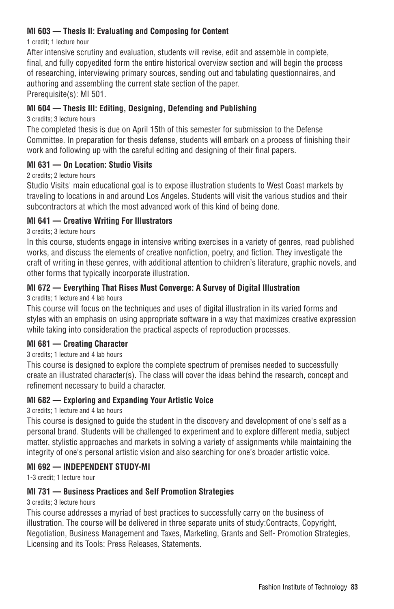## **MI 603 — Thesis II: Evaluating and Composing for Content**

#### 1 credit; 1 lecture hour

After intensive scrutiny and evaluation, students will revise, edit and assemble in complete, final, and fully copyedited form the entire historical overview section and will begin the process of researching, interviewing primary sources, sending out and tabulating questionnaires, and authoring and assembling the current state section of the paper. Prerequisite(s): MI 501.

## **MI 604 — Thesis III: Editing, Designing, Defending and Publishing**

#### 3 credits; 3 lecture hours

The completed thesis is due on April 15th of this semester for submission to the Defense Committee. In preparation for thesis defense, students will embark on a process of finishing their work and following up with the careful editing and designing of their final papers.

## **MI 631 — On Location: Studio Visits**

## 2 credits; 2 lecture hours

Studio Visits' main educational goal is to expose illustration students to West Coast markets by traveling to locations in and around Los Angeles. Students will visit the various studios and their subcontractors at which the most advanced work of this kind of being done.

## **MI 641 — Creative Writing For Illustrators**

#### 3 credits; 3 lecture hours

In this course, students engage in intensive writing exercises in a variety of genres, read published works, and discuss the elements of creative nonfiction, poetry, and fiction. They investigate the craft of writing in these genres, with additional attention to children's literature, graphic novels, and other forms that typically incorporate illustration.

# **MI 672 — Everything That Rises Must Converge: A Survey of Digital Illustration**

3 credits; 1 lecture and 4 lab hours

This course will focus on the techniques and uses of digital illustration in its varied forms and styles with an emphasis on using appropriate software in a way that maximizes creative expression while taking into consideration the practical aspects of reproduction processes.

## **MI 681 — Creating Character**

#### 3 credits; 1 lecture and 4 lab hours

This course is designed to explore the complete spectrum of premises needed to successfully create an illustrated character(s). The class will cover the ideas behind the research, concept and refinement necessary to build a character.

## **MI 682 — Exploring and Expanding Your Artistic Voice**

#### 3 credits; 1 lecture and 4 lab hours

This course is designed to guide the student in the discovery and development of one's self as a personal brand. Students will be challenged to experiment and to explore different media, subject matter, stylistic approaches and markets in solving a variety of assignments while maintaining the integrity of one's personal artistic vision and also searching for one's broader artistic voice.

#### **MI 692 — INDEPENDENT STUDY-MI**

1-3 credit; 1 lecture hour

## **MI 731 — Business Practices and Self Promotion Strategies**

#### 3 credits; 3 lecture hours

This course addresses a myriad of best practices to successfully carry on the business of illustration. The course will be delivered in three separate units of study:Contracts, Copyright, Negotiation, Business Management and Taxes, Marketing, Grants and Self- Promotion Strategies, Licensing and its Tools: Press Releases, Statements.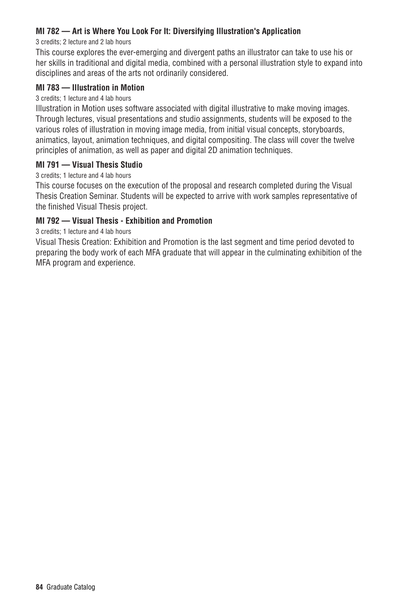## **MI 782 — Art is Where You Look For It: Diversifying Illustration's Application**

#### 3 credits; 2 lecture and 2 lab hours

This course explores the ever-emerging and divergent paths an illustrator can take to use his or her skills in traditional and digital media, combined with a personal illustration style to expand into disciplines and areas of the arts not ordinarily considered.

#### **MI 783 — Illustration in Motion**

#### 3 credits; 1 lecture and 4 lab hours

Illustration in Motion uses software associated with digital illustrative to make moving images. Through lectures, visual presentations and studio assignments, students will be exposed to the various roles of illustration in moving image media, from initial visual concepts, storyboards, animatics, layout, animation techniques, and digital compositing. The class will cover the twelve principles of animation, as well as paper and digital 2D animation techniques.

#### **MI 791 — Visual Thesis Studio**

3 credits; 1 lecture and 4 lab hours

This course focuses on the execution of the proposal and research completed during the Visual Thesis Creation Seminar. Students will be expected to arrive with work samples representative of the finished Visual Thesis project.

#### **MI 792 — Visual Thesis - Exhibition and Promotion**

3 credits; 1 lecture and 4 lab hours

Visual Thesis Creation: Exhibition and Promotion is the last segment and time period devoted to preparing the body work of each MFA graduate that will appear in the culminating exhibition of the MFA program and experience.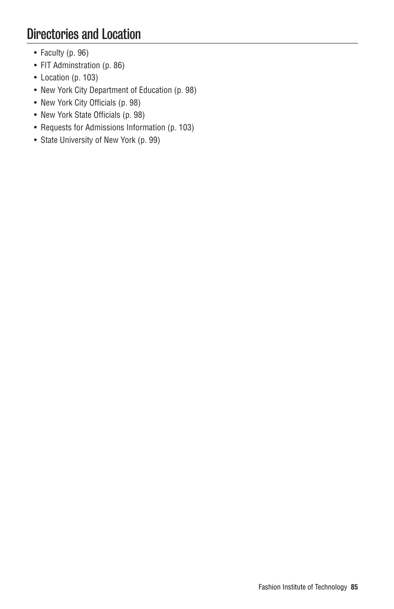# Directories and Location

- Faculty (p. 96)
- FIT Adminstration (p. 86)
- Location (p. 103)
- New York City Department of Education (p. 98)
- New York City Officials (p. 98)
- New York State Officials (p. 98)
- Requests for Admissions Information (p. 103)
- State University of New York (p. 99)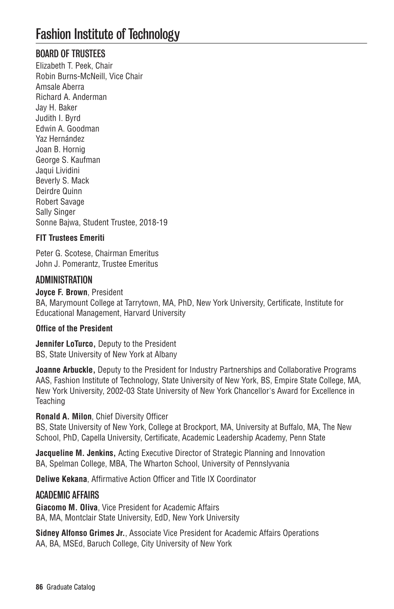# BOARD OF TRUSTEES

Elizabeth T. Peek, Chair Robin Burns-McNeill, Vice Chair Amsale Aberra Richard A. Anderman Jay H. Baker Judith I. Byrd Edwin A. Goodman Yaz Hernández Joan B. Hornig George S. Kaufman Jaqui Lividini Beverly S. Mack Deirdre Quinn Robert Savage Sally Singer Sonne Bajwa, Student Trustee, 2018-19

# **FIT Trustees Emeriti**

Peter G. Scotese, Chairman Emeritus John J. Pomerantz, Trustee Emeritus

# ADMINISTRATION

**Joyce F. Brown**, President BA, Marymount College at Tarrytown, MA, PhD, New York University, Certificate, Institute for Educational Management, Harvard University

## **Office of the President**

**Jennifer LoTurco,** Deputy to the President BS, State University of New York at Albany

**Joanne Arbuckle,** Deputy to the President for Industry Partnerships and Collaborative Programs AAS, Fashion Institute of Technology, State University of New York, BS, Empire State College, MA, New York University, 2002-03 State University of New York Chancellor's Award for Excellence in **Teaching** 

## **Ronald A. Milon**, Chief Diversity Officer

BS, State University of New York, College at Brockport, MA, University at Buffalo, MA, The New School, PhD, Capella University, Certificate, Academic Leadership Academy, Penn State

**Jacqueline M. Jenkins, Acting Executive Director of Strategic Planning and Innovation** BA, Spelman College, MBA, The Wharton School, University of Pennslyvania

**Deliwe Kekana**, Affirmative Action Officer and Title IX Coordinator

## ACADEMIC AFFAIRS

**Giacomo M. Oliva**, Vice President for Academic Affairs BA, MA, Montclair State University, EdD, New York University

**Sidney Alfonso Grimes Jr.**, Associate Vice President for Academic Affairs Operations AA, BA, MSEd, Baruch College, City University of New York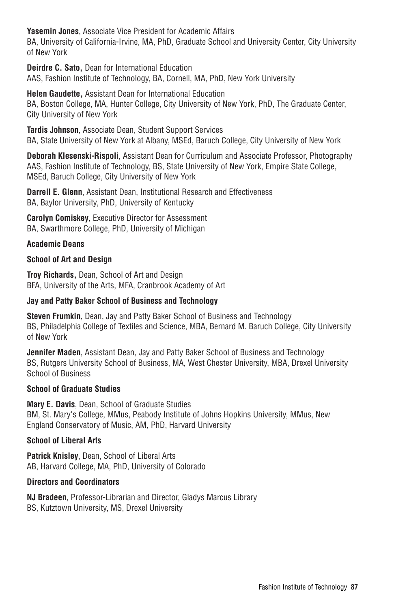**Yasemin Jones**, Associate Vice President for Academic Affairs

BA, University of California-Irvine, MA, PhD, Graduate School and University Center, City University of New York

**Deirdre C. Sato,** Dean for International Education AAS, Fashion Institute of Technology, BA, Cornell, MA, PhD, New York University

**Helen Gaudette,** Assistant Dean for International Education BA, Boston College, MA, Hunter College, City University of New York, PhD, The Graduate Center, City University of New York

**Tardis Johnson**, Associate Dean, Student Support Services BA, State University of New York at Albany, MSEd, Baruch College, City University of New York

**Deborah Klesenski-Rispoli**, Assistant Dean for Curriculum and Associate Professor, Photography AAS, Fashion Institute of Technology, BS, State University of New York, Empire State College, MSEd, Baruch College, City University of New York

**Darrell E. Glenn**, Assistant Dean, Institutional Research and Effectiveness BA, Baylor University, PhD, University of Kentucky

**Carolyn Comiskey**, Executive Director for Assessment BA, Swarthmore College, PhD, University of Michigan

# **Academic Deans**

## **School of Art and Design**

**Troy Richards,** Dean, School of Art and Design BFA, University of the Arts, MFA, Cranbrook Academy of Art

## **Jay and Patty Baker School of Business and Technology**

**Steven Frumkin**, Dean, Jay and Patty Baker School of Business and Technology BS, Philadelphia College of Textiles and Science, MBA, Bernard M. Baruch College, City University of New York

**Jennifer Maden**, Assistant Dean, Jay and Patty Baker School of Business and Technology BS, Rutgers University School of Business, MA, West Chester University, MBA, Drexel University School of Business

#### **School of Graduate Studies**

**Mary E. Davis**, Dean, School of Graduate Studies BM, St. Mary's College, MMus, Peabody Institute of Johns Hopkins University, MMus, New England Conservatory of Music, AM, PhD, Harvard University

## **School of Liberal Arts**

**Patrick Knisley**, Dean, School of Liberal Arts AB, Harvard College, MA, PhD, University of Colorado

#### **Directors and Coordinators**

**NJ Bradeen**, Professor-Librarian and Director, Gladys Marcus Library BS, Kutztown University, MS, Drexel University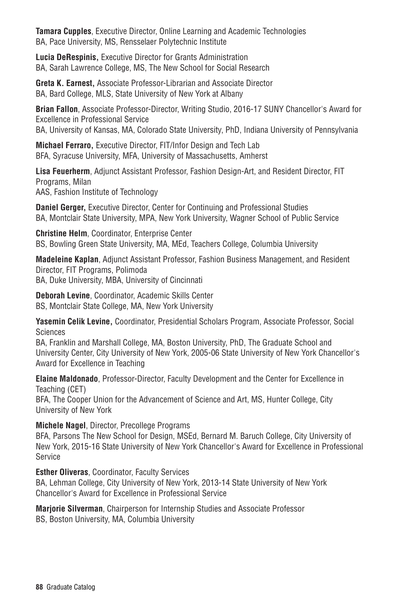**Tamara Cupples**, Executive Director, Online Learning and Academic Technologies BA, Pace University, MS, Rensselaer Polytechnic Institute

**Lucia DeRespinis,** Executive Director for Grants Administration BA, Sarah Lawrence College, MS, The New School for Social Research

**Greta K. Earnest,** Associate Professor-Librarian and Associate Director BA, Bard College, MLS, State University of New York at Albany

**Brian Fallon**, Associate Professor-Director, Writing Studio, 2016-17 SUNY Chancellor's Award for Excellence in Professional Service BA, University of Kansas, MA, Colorado State University, PhD, Indiana University of Pennsylvania

**Michael Ferraro,** Executive Director, FIT/Infor Design and Tech Lab BFA, Syracuse University, MFA, University of Massachusetts, Amherst

**Lisa Feuerherm**, Adjunct Assistant Professor, Fashion Design-Art, and Resident Director, FIT Programs, Milan AAS, Fashion Institute of Technology

**Daniel Gerger,** Executive Director, Center for Continuing and Professional Studies BA, Montclair State University, MPA, New York University, Wagner School of Public Service

**Christine Helm**, Coordinator, Enterprise Center BS, Bowling Green State University, MA, MEd, Teachers College, Columbia University

**Madeleine Kaplan**, Adjunct Assistant Professor, Fashion Business Management, and Resident Director, FIT Programs, Polimoda BA, Duke University, MBA, University of Cincinnati

**Deborah Levine**, Coordinator, Academic Skills Center BS, Montclair State College, MA, New York University

**Yasemin Celik Levine,** Coordinator, Presidential Scholars Program, Associate Professor, Social Sciences

BA, Franklin and Marshall College, MA, Boston University, PhD, The Graduate School and University Center, City University of New York, 2005-06 State University of New York Chancellor's Award for Excellence in Teaching

**Elaine Maldonado**, Professor-Director, Faculty Development and the Center for Excellence in Teaching (CET)

BFA, The Cooper Union for the Advancement of Science and Art, MS, Hunter College, City University of New York

**Michele Nagel**, Director, Precollege Programs

BFA, Parsons The New School for Design, MSEd, Bernard M. Baruch College, City University of New York, 2015-16 State University of New York Chancellor's Award for Excellence in Professional Service

**Esther Oliveras**, Coordinator, Faculty Services

BA, Lehman College, City University of New York, 2013-14 State University of New York Chancellor's Award for Excellence in Professional Service

**Marjorie Silverman**, Chairperson for Internship Studies and Associate Professor BS, Boston University, MA, Columbia University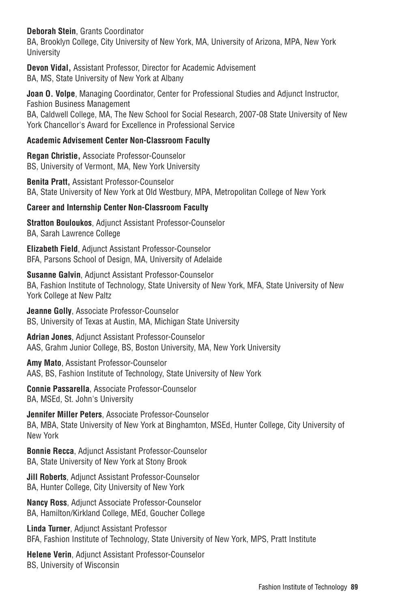**Deborah Stein**, Grants Coordinator

BA, Brooklyn College, City University of New York, MA, University of Arizona, MPA, New York **University** 

**Devon Vidal,** Assistant Professor, Director for Academic Advisement BA, MS, State University of New York at Albany

**Joan O. Volpe**, Managing Coordinator, Center for Professional Studies and Adjunct Instructor, Fashion Business Management

BA, Caldwell College, MA, The New School for Social Research, 2007-08 State University of New York Chancellor's Award for Excellence in Professional Service

# **Academic Advisement Center Non-Classroom Faculty**

**Regan Christie,** Associate Professor-Counselor BS, University of Vermont, MA, New York University

**Benita Pratt,** Assistant Professor-Counselor BA, State University of New York at Old Westbury, MPA, Metropolitan College of New York

# **Career and Internship Center Non-Classroom Faculty**

**Stratton Bouloukos**, Adjunct Assistant Professor-Counselor BA, Sarah Lawrence College

**Elizabeth Field**, Adjunct Assistant Professor-Counselor BFA, Parsons School of Design, MA, University of Adelaide

**Susanne Galvin**, Adjunct Assistant Professor-Counselor BA, Fashion Institute of Technology, State University of New York, MFA, State University of New York College at New Paltz

**Jeanne Golly**, Associate Professor-Counselor BS, University of Texas at Austin, MA, Michigan State University

**Adrian Jones**, Adjunct Assistant Professor-Counselor AAS, Grahm Junior College, BS, Boston University, MA, New York University

**Amy Mato**, Assistant Professor-Counselor AAS, BS, Fashion Institute of Technology, State University of New York

**Connie Passarella**, Associate Professor-Counselor BA, MSEd, St. John's University

**Jennifer Miller Peters**, Associate Professor-Counselor BA, MBA, State University of New York at Binghamton, MSEd, Hunter College, City University of New York

**Bonnie Recca**, Adjunct Assistant Professor-Counselor BA, State University of New York at Stony Brook

**Jill Roberts**, Adjunct Assistant Professor-Counselor BA, Hunter College, City University of New York

**Nancy Ross**, Adjunct Associate Professor-Counselor BA, Hamilton/Kirkland College, MEd, Goucher College

**Linda Turner**, Adjunct Assistant Professor BFA, Fashion Institute of Technology, State University of New York, MPS, Pratt Institute

**Helene Verin**, Adjunct Assistant Professor-Counselor BS, University of Wisconsin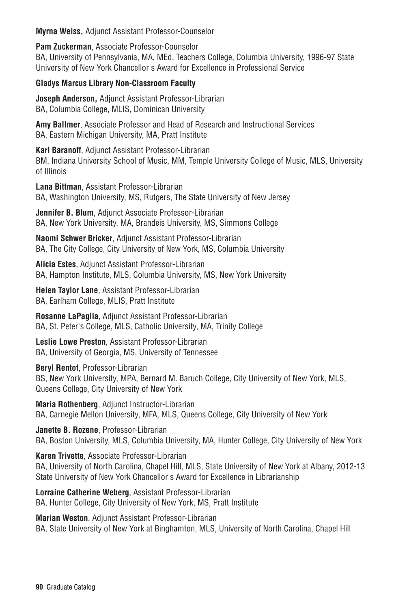**Myrna Weiss,** Adjunct Assistant Professor-Counselor

**Pam Zuckerman**, Associate Professor-Counselor

BA, University of Pennsylvania, MA, MEd, Teachers College, Columbia University, 1996-97 State University of New York Chancellor's Award for Excellence in Professional Service

# **Gladys Marcus Library Non-Classroom Faculty**

**Joseph Anderson,** Adjunct Assistant Professor-Librarian BA, Columbia College, MLIS, Dominican University

**Amy Ballmer**, Associate Professor and Head of Research and Instructional Services BA, Eastern Michigan University, MA, Pratt Institute

## **Karl Baranoff**, Adjunct Assistant Professor-Librarian

BM, Indiana University School of Music, MM, Temple University College of Music, MLS, University of Illinois

**Lana Bittman**, Assistant Professor-Librarian BA, Washington University, MS, Rutgers, The State University of New Jersey

**Jennifer B. Blum**, Adjunct Associate Professor-Librarian BA, New York University, MA, Brandeis University, MS, Simmons College

**Naomi Schwer Bricker**, Adjunct Assistant Professor-Librarian BA, The City College, City University of New York, MS, Columbia University

**Alicia Estes**, Adjunct Assistant Professor-Librarian BA, Hampton Institute, MLS, Columbia University, MS, New York University

**Helen Taylor Lane**, Assistant Professor-Librarian BA, Earlham College, MLIS, Pratt Institute

**Rosanne LaPaglia**, Adjunct Assistant Professor-Librarian BA, St. Peter's College, MLS, Catholic University, MA, Trinity College

**Leslie Lowe Preston**, Assistant Professor-Librarian BA, University of Georgia, MS, University of Tennessee

**Beryl Rentof**, Professor-Librarian BS, New York University, MPA, Bernard M. Baruch College, City University of New York, MLS, Queens College, City University of New York

**Maria Rothenberg**, Adjunct Instructor-Librarian BA, Carnegie Mellon University, MFA, MLS, Queens College, City University of New York

**Janette B. Rozene**, Professor-Librarian BA, Boston University, MLS, Columbia University, MA, Hunter College, City University of New York

**Karen Trivette**, Associate Professor-Librarian BA, University of North Carolina, Chapel Hill, MLS, State University of New York at Albany, 2012-13 State University of New York Chancellor's Award for Excellence in Librarianship

**Lorraine Catherine Weberg**, Assistant Professor-Librarian BA, Hunter College, City University of New York, MS, Pratt Institute

**Marian Weston**, Adjunct Assistant Professor-Librarian BA, State University of New York at Binghamton, MLS, University of North Carolina, Chapel Hill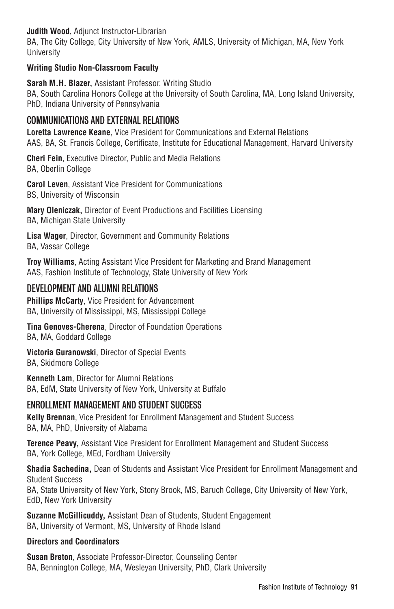**Judith Wood**, Adjunct Instructor-Librarian

BA, The City College, City University of New York, AMLS, University of Michigan, MA, New York **University** 

## **Writing Studio Non-Classroom Faculty**

**Sarah M.H. Blazer,** Assistant Professor, Writing Studio BA, South Carolina Honors College at the University of South Carolina, MA, Long Island University, PhD, Indiana University of Pennsylvania

# COMMUNICATIONS AND EXTERNAL RELATIONS

**Loretta Lawrence Keane**, Vice President for Communications and External Relations AAS, BA, St. Francis College, Certificate, Institute for Educational Management, Harvard University

**Cheri Fein**, Executive Director, Public and Media Relations BA, Oberlin College

**Carol Leven**, Assistant Vice President for Communications BS, University of Wisconsin

**Mary Oleniczak,** Director of Event Productions and Facilities Licensing BA, Michigan State University

**Lisa Wager**, Director, Government and Community Relations BA, Vassar College

**Troy Williams**, Acting Assistant Vice President for Marketing and Brand Management AAS, Fashion Institute of Technology, State University of New York

# DEVELOPMENT AND ALUMNI RELATIONS

**Phillips McCarty**, Vice President for Advancement BA, University of Mississippi, MS, Mississippi College

**Tina Genoves-Cherena**, Director of Foundation Operations BA, MA, Goddard College

**Victoria Guranowski**, Director of Special Events BA, Skidmore College

**Kenneth Lam**, Director for Alumni Relations BA, EdM, State University of New York, University at Buffalo

# ENROLLMENT MANAGEMENT AND STUDENT SUCCESS

**Kelly Brennan**, Vice President for Enrollment Management and Student Success BA, MA, PhD, University of Alabama

**Terence Peavy,** Assistant Vice President for Enrollment Management and Student Success BA, York College, MEd, Fordham University

**Shadia Sachedina,** Dean of Students and Assistant Vice President for Enrollment Management and Student Success BA, State University of New York, Stony Brook, MS, Baruch College, City University of New York, EdD, New York University

**Suzanne McGillicuddy,** Assistant Dean of Students, Student Engagement BA, University of Vermont, MS, University of Rhode Island

## **Directors and Coordinators**

**Susan Breton**, Associate Professor-Director, Counseling Center BA, Bennington College, MA, Wesleyan University, PhD, Clark University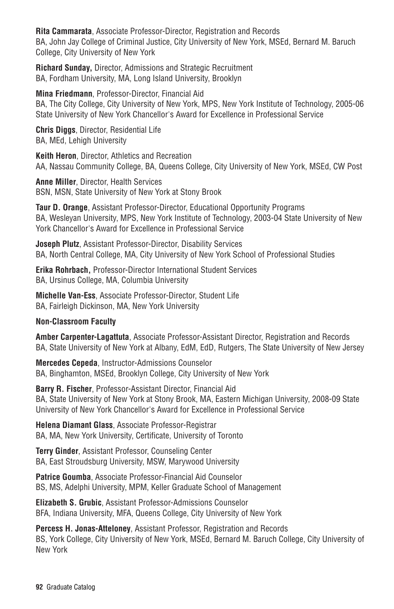**Rita Cammarata**, Associate Professor-Director, Registration and Records BA, John Jay College of Criminal Justice, City University of New York, MSEd, Bernard M. Baruch College, City University of New York

**Richard Sunday,** Director, Admissions and Strategic Recruitment BA, Fordham University, MA, Long Island University, Brooklyn

**Mina Friedmann**, Professor-Director, Financial Aid BA, The City College, City University of New York, MPS, New York Institute of Technology, 2005-06 State University of New York Chancellor's Award for Excellence in Professional Service

**Chris Diggs**, Director, Residential Life BA, MEd, Lehigh University

**Keith Heron**, Director, Athletics and Recreation AA, Nassau Community College, BA, Queens College, City University of New York, MSEd, CW Post

**Anne Miller**, Director, Health Services BSN, MSN, State University of New York at Stony Brook

**Taur D. Orange**, Assistant Professor-Director, Educational Opportunity Programs BA, Wesleyan University, MPS, New York Institute of Technology, 2003-04 State University of New York Chancellor's Award for Excellence in Professional Service

**Joseph Plutz**, Assistant Professor-Director, Disability Services BA, North Central College, MA, City University of New York School of Professional Studies

**Erika Rohrbach,** Professor-Director International Student Services BA, Ursinus College, MA, Columbia University

**Michelle Van-Ess**, Associate Professor-Director, Student Life BA, Fairleigh Dickinson, MA, New York University

## **Non-Classroom Faculty**

**Amber Carpenter-Lagattuta**, Associate Professor-Assistant Director, Registration and Records BA, State University of New York at Albany, EdM, EdD, Rutgers, The State University of New Jersey

**Mercedes Cepeda**, Instructor-Admissions Counselor BA, Binghamton, MSEd, Brooklyn College, City University of New York

**Barry R. Fischer**, Professor-Assistant Director, Financial Aid BA, State University of New York at Stony Brook, MA, Eastern Michigan University, 2008-09 State University of New York Chancellor's Award for Excellence in Professional Service

**Helena Diamant Glass**, Associate Professor-Registrar BA, MA, New York University, Certificate, University of Toronto

**Terry Ginder**, Assistant Professor, Counseling Center BA, East Stroudsburg University, MSW, Marywood University

**Patrice Goumba**, Associate Professor-Financial Aid Counselor BS, MS, Adelphi University, MPM, Keller Graduate School of Management

**Elizabeth S. Grubic**, Assistant Professor-Admissions Counselor BFA, Indiana University, MFA, Queens College, City University of New York

**Percess H. Jonas-Atteloney**, Assistant Professor, Registration and Records BS, York College, City University of New York, MSEd, Bernard M. Baruch College, City University of New York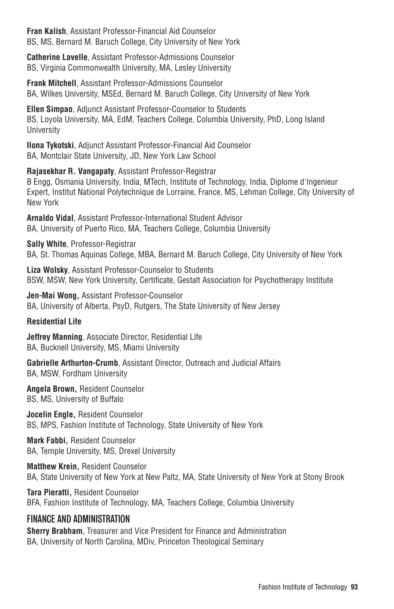**Fran Kalish**, Assistant Professor-Financial Aid Counselor BS, MS, Bernard M. Baruch College, City University of New York

**Catherine Lavelle**, Assistant Professor-Admissions Counselor BS, Virginia Commonwealth University, MA, Lesley University

**Frank Mitchell**, Assistant Professor-Admissions Counselor BA, Wilkes University, MSEd, Bernard M. Baruch College, City University of New York

**Ellen Simpao**, Adjunct Assistant Professor-Counselor to Students BS, Loyola University, MA, EdM, Teachers College, Columbia University, PhD, Long Island **University** 

**Ilona Tykotski**, Adjunct Assistant Professor-Financial Aid Counselor BA, Montclair State University, JD, New York Law School

**Rajasekhar R. Vangapaty**, Assistant Professor-Registrar B Engg, Osmania University, India, MTech, Institute of Technology, India, Diplome d'Ingenieur Expert, Institut National Polytechnique de Lorraine, France, MS, Lehman College, City University of New York

**Arnaldo Vidal**, Assistant Professor-International Student Advisor BA, University of Puerto Rico, MA, Teachers College, Columbia University

**Sally White**, Professor-Registrar BA, St. Thomas Aquinas College, MBA, Bernard M. Baruch College, City University of New York

**Liza Wolsky**, Assistant Professor-Counselor to Students BSW, MSW, New York University, Certificate, Gestalt Association for Psychotherapy Institute

**Jen-Mai Wong,** Assistant Professor-Counselor BA, University of Alberta, PsyD, Rutgers, The State University of New Jersey

## **Residential Life**

**Jeffrey Manning**, Associate Director, Residential Life BA, Bucknell University, MS, Miami University

**Gabrielle Arthurton-Crumb**, Assistant Director, Outreach and Judicial Affairs BA, MSW, Fordham University

**Angela Brown,** Resident Counselor BS, MS, University of Buffalo

**Jocelin Engle,** Resident Counselor BS, MPS, Fashion Institute of Technology, State University of New York

**Mark Fabbi,** Resident Counselor BA, Temple University, MS, Drexel University

**Matthew Krein,** Resident Counselor BA, State University of New York at New Paltz, MA, State University of New York at Stony Brook

**Tara Pieratti,** Resident Counselor BFA, Fashion Institute of Technology, MA, Teachers College, Columbia University

# FINANCE AND ADMINISTRATION

**Sherry Brabham**, Treasurer and Vice President for Finance and Administration BA, University of North Carolina, MDiv, Princeton Theological Seminary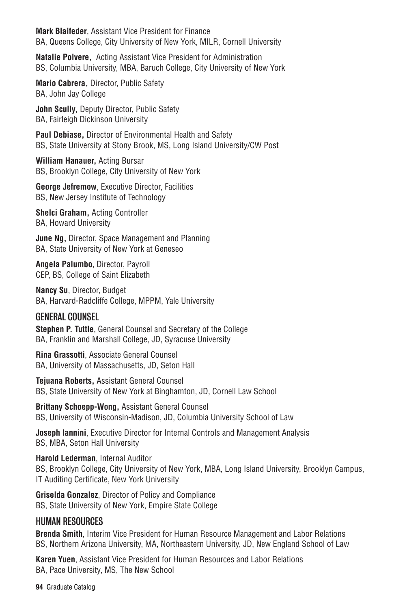**Mark Blaifeder**, Assistant Vice President for Finance BA, Queens College, City University of New York, MILR, Cornell University

**Natalie Polvere,** Acting Assistant Vice President for Administration BS, Columbia University, MBA, Baruch College, City University of New York

**Mario Cabrera,** Director, Public Safety BA, John Jay College

**John Scully,** Deputy Director, Public Safety BA, Fairleigh Dickinson University

**Paul Debiase,** Director of Environmental Health and Safety BS, State University at Stony Brook, MS, Long Island University/CW Post

**William Hanauer,** Acting Bursar BS, Brooklyn College, City University of New York

**George Jefremow**, Executive Director, Facilities BS, New Jersey Institute of Technology

**Shelci Graham,** Acting Controller BA, Howard University

**June Ng,** Director, Space Management and Planning BA, State University of New York at Geneseo

**Angela Palumbo**, Director, Payroll CEP, BS, College of Saint Elizabeth

**Nancy Su**, Director, Budget BA, Harvard-Radcliffe College, MPPM, Yale University

## GENERAL COUNSEL

**Stephen P. Tuttle**, General Counsel and Secretary of the College BA, Franklin and Marshall College, JD, Syracuse University

**Rina Grassotti**, Associate General Counsel BA, University of Massachusetts, JD, Seton Hall

**Tejuana Roberts,** Assistant General Counsel BS, State University of New York at Binghamton, JD, Cornell Law School

**Brittany Schoepp-Wong,** Assistant General Counsel BS, University of Wisconsin-Madison, JD, Columbia University School of Law

**Joseph Iannini**, Executive Director for Internal Controls and Management Analysis BS, MBA, Seton Hall University

**Harold Lederman**, Internal Auditor BS, Brooklyn College, City University of New York, MBA, Long Island University, Brooklyn Campus, IT Auditing Certificate, New York University

**Griselda Gonzalez**, Director of Policy and Compliance BS, State University of New York, Empire State College

## HUMAN RESOURCES

**Brenda Smith**, Interim Vice President for Human Resource Management and Labor Relations BS, Northern Arizona University, MA, Northeastern University, JD, New England School of Law

**Karen Yuen**, Assistant Vice President for Human Resources and Labor Relations BA, Pace University, MS, The New School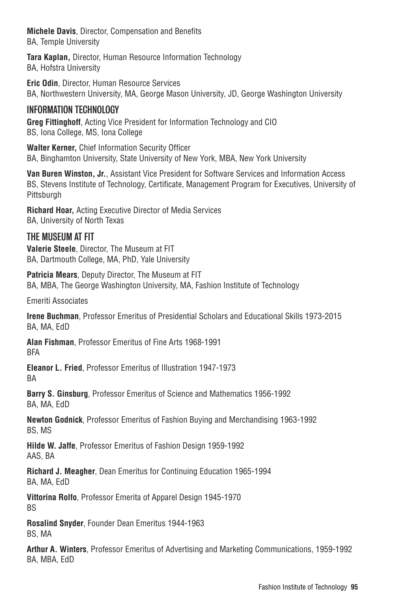**Michele Davis**, Director, Compensation and Benefits BA, Temple University

**Tara Kaplan,** Director, Human Resource Information Technology BA, Hofstra University

**Eric Odin**, Director, Human Resource Services BA, Northwestern University, MA, George Mason University, JD, George Washington University

# INFORMATION TECHNOLOGY

**Greg Fittinghoff**, Acting Vice President for Information Technology and CIO BS, Iona College, MS, Iona College

**Walter Kerner,** Chief Information Security Officer BA, Binghamton University, State University of New York, MBA, New York University

**Van Buren Winston, Jr.**, Assistant Vice President for Software Services and Information Access BS, Stevens Institute of Technology, Certificate, Management Program for Executives, University of Pittsburgh

**Richard Hoar,** Acting Executive Director of Media Services BA, University of North Texas

# THE MUSEUM AT FIT

**Valerie Steele**, Director, The Museum at FIT BA, Dartmouth College, MA, PhD, Yale University

**Patricia Mears**, Deputy Director, The Museum at FIT BA, MBA, The George Washington University, MA, Fashion Institute of Technology

Emeriti Associates

**Irene Buchman**, Professor Emeritus of Presidential Scholars and Educational Skills 1973-2015 BA, MA, EdD

**Alan Fishman**, Professor Emeritus of Fine Arts 1968-1991 **BFA** 

**Eleanor L. Fried**, Professor Emeritus of Illustration 1947-1973 BA

**Barry S. Ginsburg**, Professor Emeritus of Science and Mathematics 1956-1992 BA, MA, EdD

**Newton Godnick**, Professor Emeritus of Fashion Buying and Merchandising 1963-1992 BS, MS

**Hilde W. Jaffe**, Professor Emeritus of Fashion Design 1959-1992 AAS, BA

**Richard J. Meagher**, Dean Emeritus for Continuing Education 1965-1994 BA, MA, EdD

**Vittorina Rolfo**, Professor Emerita of Apparel Design 1945-1970 BS

**Rosalind Snyder**, Founder Dean Emeritus 1944-1963 BS, MA

**Arthur A. Winters**, Professor Emeritus of Advertising and Marketing Communications, 1959-1992 BA, MBA, EdD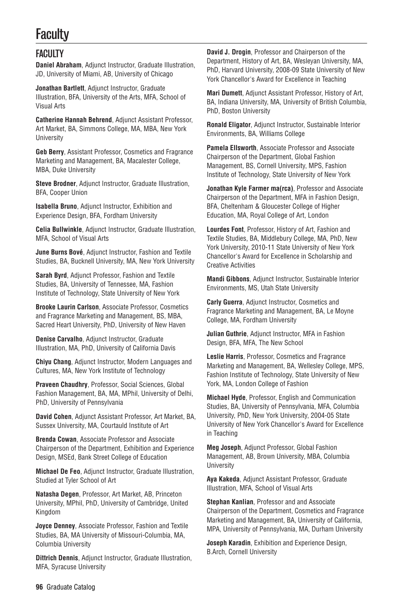# **Faculty**

# **FACULTY**

**Daniel Abraham**, Adjunct Instructor, Graduate Illustration, JD, University of Miami, AB, University of Chicago

**Jonathan Bartlett**, Adjunct Instructor, Graduate Illustration, BFA, University of the Arts, MFA, School of Visual Arts

**Catherine Hannah Behrend**, Adjunct Assistant Professor, Art Market, BA, Simmons College, MA, MBA, New York **University** 

**Geb Berry**, Assistant Professor, Cosmetics and Fragrance Marketing and Management, BA, Macalester College, MBA, Duke University

**Steve Brodner**, Adjunct Instructor, Graduate Illustration, BFA, Cooper Union

**Isabella Bruno**, Adjunct Instructor, Exhibition and Experience Design, BFA, Fordham University

**Celia Bullwinkle**, Adjunct Instructor, Graduate Illustration, MFA, School of Visual Arts

**June Burns Bové**, Adjunct Instructor, Fashion and Textile Studies, BA, Bucknell University, MA, New York University

**Sarah Byrd**, Adjunct Professor, Fashion and Textile Studies, BA, University of Tennessee, MA, Fashion Institute of Technology, State University of New York

**Brooke Laurin Carlson**, Associate Professor, Cosmetics and Fragrance Marketing and Management, BS, MBA, Sacred Heart University, PhD, University of New Haven

**Denise Carvalho**, Adjunct Instructor, Graduate Illustration, MA, PhD, University of California Davis

**Chiyu Chang**, Adjunct Instructor, Modern Languages and Cultures, MA, New York Institute of Technology

**Praveen Chaudhry**, Professor, Social Sciences, Global Fashion Management, BA, MA, MPhil, University of Delhi, PhD, University of Pennsylvania

**David Cohen**, Adjunct Assistant Professor, Art Market, BA, Sussex University, MA, Courtauld Institute of Art

**Brenda Cowan**, Associate Professor and Associate Chairperson of the Department, Exhibition and Experience Design, MSEd, Bank Street College of Education

**Michael De Feo**, Adjunct Instructor, Graduate Illustration, Studied at Tyler School of Art

**Natasha Degen**, Professor, Art Market, AB, Princeton University, MPhil, PhD, University of Cambridge, United Kingdom

**Joyce Denney**, Associate Professor, Fashion and Textile Studies, BA, MA University of Missouri-Columbia, MA, Columbia University

**Dittrich Dennis**, Adjunct Instructor, Graduate Illustration, MFA, Syracuse University

**David J. Drogin**, Professor and Chairperson of the Department, History of Art, BA, Wesleyan University, MA, PhD, Harvard University, 2008-09 State University of New York Chancellor's Award for Excellence in Teaching

**Mari Dumett**, Adjunct Assistant Professor, History of Art, BA, Indiana University, MA, University of British Columbia, PhD, Boston University

**Ronald Eligator**, Adjunct Instructor, Sustainable Interior Environments, BA, Williams College

**Pamela Ellsworth**, Associate Professor and Associate Chairperson of the Department, Global Fashion Management, BS, Cornell University, MPS, Fashion Institute of Technology, State University of New York

**Jonathan Kyle Farmer ma(rca)**, Professor and Associate Chairperson of the Department, MFA in Fashion Design, BFA, Cheltenham & Gloucester College of Higher Education, MA, Royal College of Art, London

**Lourdes Font**, Professor, History of Art, Fashion and Textile Studies, BA, Middlebury College, MA, PhD, New York University, 2010-11 State University of New York Chancellor's Award for Excellence in Scholarship and Creative Activities

**Mandi Gibbons**, Adjunct Instructor, Sustainable Interior Environments, MS, Utah State University

**Carly Guerra**, Adjunct Instructor, Cosmetics and Fragrance Marketing and Management, BA, Le Moyne College, MA, Fordham University

**Julian Guthrie**, Adjunct Instructor, MFA in Fashion Design, BFA, MFA, The New School

**Leslie Harris**, Professor, Cosmetics and Fragrance Marketing and Management, BA, Wellesley College, MPS, Fashion Institute of Technology, State University of New York, MA, London College of Fashion

**Michael Hyde**, Professor, English and Communication Studies, BA, University of Pennsylvania, MFA, Columbia University, PhD, New York University, 2004-05 State University of New York Chancellor's Award for Excellence in Teaching

**Meg Joseph**, Adjunct Professor, Global Fashion Management, AB, Brown University, MBA, Columbia University

**Aya Kakeda**, Adjunct Assistant Professor, Graduate Illustration, MFA, School of Visual Arts

**Stephan Kanlian**, Professor and and Associate Chairperson of the Department, Cosmetics and Fragrance Marketing and Management, BA, University of California, MPA, University of Pennsylvania, MA, Durham University

**Joseph Karadin**, Exhibition and Experience Design, B.Arch, Cornell University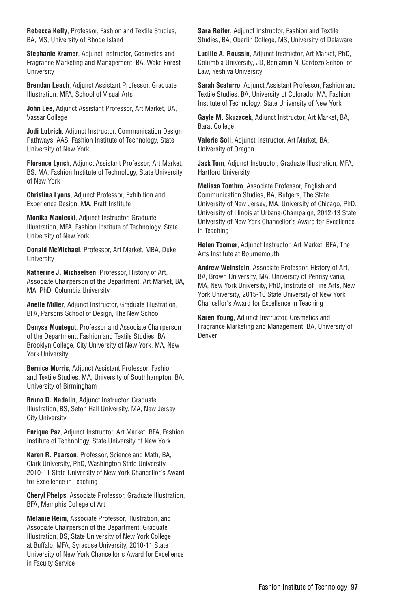**Rebecca Kelly**, Professor, Fashion and Textile Studies, BA, MS, University of Rhode Island

**Stephanie Kramer**, Adjunct Instructor, Cosmetics and Fragrance Marketing and Management, BA, Wake Forest University

**Brendan Leach**, Adjunct Assistant Professor, Graduate Illustration, MFA, School of Visual Arts

**John Lee**, Adjunct Assistant Professor, Art Market, BA, Vassar College

**Jodi Lubrich**, Adjunct Instructor, Communication Design Pathways, AAS, Fashion Institute of Technology, State University of New York

**Florence Lynch**, Adjunct Assistant Professor, Art Market, BS, MA, Fashion Institute of Technology, State University of New York

**Christina Lyons**, Adjunct Professor, Exhibition and Experience Design, MA, Pratt Institute

**Monika Maniecki**, Adjunct Instructor, Graduate Illustration, MFA, Fashion Institute of Technology, State University of New York

**Donald McMichael**, Professor, Art Market, MBA, Duke **University** 

**Katherine J. Michaelsen**, Professor, History of Art, Associate Chairperson of the Department, Art Market, BA, MA, PhD, Columbia University

**Anelle Miller**, Adjunct Instructor, Graduate Illustration, BFA, Parsons School of Design, The New School

**Denyse Montegut**, Professor and Associate Chairperson of the Department, Fashion and Textile Studies, BA, Brooklyn College, City University of New York, MA, New York University

**Bernice Morris**, Adjunct Assistant Professor, Fashion and Textile Studies, MA, University of Southhampton, BA, University of Birmingham

**Bruno D. Nadalin**, Adjunct Instructor, Graduate Illustration, BS, Seton Hall University, MA, New Jersey City University

**Enrique Paz**, Adjunct Instructor, Art Market, BFA, Fashion Institute of Technology, State University of New York

**Karen R. Pearson**, Professor, Science and Math, BA, Clark University, PhD, Washington State University, 2010-11 State University of New York Chancellor's Award for Excellence in Teaching

**Cheryl Phelps**, Associate Professor, Graduate Illustration, BFA, Memphis College of Art

**Melanie Reim**, Associate Professor, Illustration, and Associate Chairperson of the Department, Graduate Illustration, BS, State University of New York College at Buffalo, MFA, Syracuse University, 2010-11 State University of New York Chancellor's Award for Excellence in Faculty Service

**Sara Reiter**, Adjunct Instructor, Fashion and Textile Studies, BA, Oberlin College, MS, University of Delaware

**Lucille A. Roussin**, Adjunct Instructor, Art Market, PhD, Columbia University, JD, Benjamin N. Cardozo School of Law, Yeshiva University

**Sarah Scaturro**, Adjunct Assistant Professor, Fashion and Textile Studies, BA, University of Colorado, MA, Fashion Institute of Technology, State University of New York

**Gayle M. Skuzacek**, Adjunct Instructor, Art Market, BA, Barat College

**Valerie Soll**, Adjunct Instructor, Art Market, BA, University of Oregon

**Jack Tom**, Adjunct Instructor, Graduate Illustration, MFA, Hartford University

**Melissa Tombro**, Associate Professor, English and Communication Studies, BA, Rutgers, The State University of New Jersey, MA, University of Chicago, PhD, University of Illinois at Urbana-Champaign, 2012-13 State University of New York Chancellor's Award for Excellence in Teaching

**Helen Toomer**, Adjunct Instructor, Art Market, BFA, The Arts Institute at Bournemouth

**Andrew Weinstein**, Associate Professor, History of Art, BA, Brown University, MA, University of Pennsylvania, MA, New York University, PhD, Institute of Fine Arts, New York University, 2015-16 State University of New York Chancellor's Award for Excellence in Teaching

**Karen Young**, Adjunct Instructor, Cosmetics and Fragrance Marketing and Management, BA, University of Denver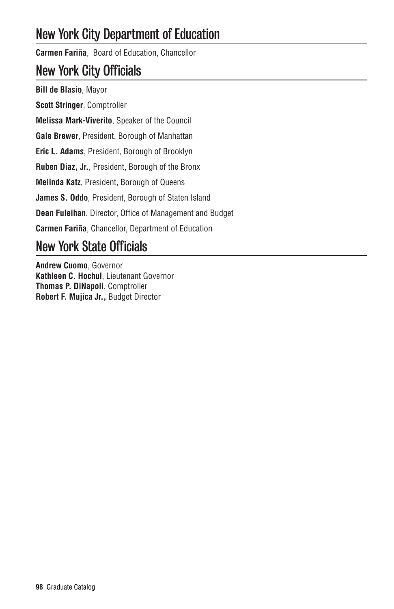# New York City Department of Education

**Carmen Fariña**, Board of Education, Chancellor

# New York City Officials

**Bill de Blasio**, Mayor **Scott Stringer**, Comptroller **Melissa Mark-Viverito**, Speaker of the Council **Gale Brewer**, President, Borough of Manhattan **Eric L. Adams**, President, Borough of Brooklyn **Ruben Diaz, Jr.**, President, Borough of the Bronx **Melinda Katz**, President, Borough of Queens **James S. Oddo**, President, Borough of Staten Island **Dean Fuleihan**, Director, Office of Management and Budget **Carmen Fariña**, Chancellor, Department of Education

# New York State Officials

**Andrew Cuomo**, Governor **Kathleen C. Hochul**, Lieutenant Governor **Thomas P. DiNapoli**, Comptroller **Robert F. Mujica Jr.,** Budget Director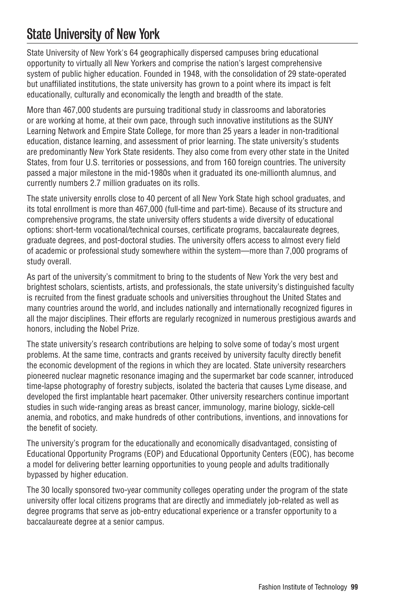# State University of New York

State University of New York's 64 geographically dispersed campuses bring educational opportunity to virtually all New Yorkers and comprise the nation's largest comprehensive system of public higher education. Founded in 1948, with the consolidation of 29 state-operated but unaffiliated institutions, the state university has grown to a point where its impact is felt educationally, culturally and economically the length and breadth of the state.

More than 467,000 students are pursuing traditional study in classrooms and laboratories or are working at home, at their own pace, through such innovative institutions as the SUNY Learning Network and Empire State College, for more than 25 years a leader in non-traditional education, distance learning, and assessment of prior learning. The state university's students are predominantly New York State residents. They also come from every other state in the United States, from four U.S. territories or possessions, and from 160 foreign countries. The university passed a major milestone in the mid-1980s when it graduated its one-millionth alumnus, and currently numbers 2.7 million graduates on its rolls.

The state university enrolls close to 40 percent of all New York State high school graduates, and its total enrollment is more than 467,000 (full-time and part-time). Because of its structure and comprehensive programs, the state university offers students a wide diversity of educational options: short-term vocational/technical courses, certificate programs, baccalaureate degrees, graduate degrees, and post-doctoral studies. The university offers access to almost every field of academic or professional study somewhere within the system—more than 7,000 programs of study overall.

As part of the university's commitment to bring to the students of New York the very best and brightest scholars, scientists, artists, and professionals, the state university's distinguished faculty is recruited from the finest graduate schools and universities throughout the United States and many countries around the world, and includes nationally and internationally recognized figures in all the major disciplines. Their efforts are regularly recognized in numerous prestigious awards and honors, including the Nobel Prize.

The state university's research contributions are helping to solve some of today's most urgent problems. At the same time, contracts and grants received by university faculty directly benefit the economic development of the regions in which they are located. State university researchers pioneered nuclear magnetic resonance imaging and the supermarket bar code scanner, introduced time-lapse photography of forestry subjects, isolated the bacteria that causes Lyme disease, and developed the first implantable heart pacemaker. Other university researchers continue important studies in such wide-ranging areas as breast cancer, immunology, marine biology, sickle-cell anemia, and robotics, and make hundreds of other contributions, inventions, and innovations for the benefit of society.

The university's program for the educationally and economically disadvantaged, consisting of Educational Opportunity Programs (EOP) and Educational Opportunity Centers (EOC), has become a model for delivering better learning opportunities to young people and adults traditionally bypassed by higher education.

The 30 locally sponsored two-year community colleges operating under the program of the state university offer local citizens programs that are directly and immediately job-related as well as degree programs that serve as job-entry educational experience or a transfer opportunity to a baccalaureate degree at a senior campus.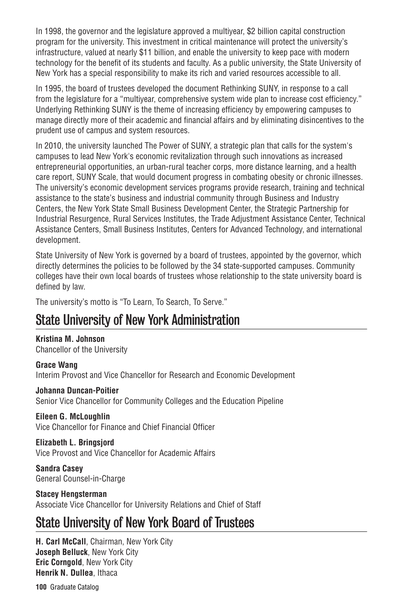In 1998, the governor and the legislature approved a multiyear, \$2 billion capital construction program for the university. This investment in critical maintenance will protect the university's infrastructure, valued at nearly \$11 billion, and enable the university to keep pace with modern technology for the benefit of its students and faculty. As a public university, the State University of New York has a special responsibility to make its rich and varied resources accessible to all.

In 1995, the board of trustees developed the document Rethinking SUNY, in response to a call from the legislature for a "multiyear, comprehensive system wide plan to increase cost efficiency." Underlying Rethinking SUNY is the theme of increasing efficiency by empowering campuses to manage directly more of their academic and financial affairs and by eliminating disincentives to the prudent use of campus and system resources.

In 2010, the university launched The Power of SUNY, a strategic plan that calls for the system's campuses to lead New York's economic revitalization through such innovations as increased entrepreneurial opportunities, an urban-rural teacher corps, more distance learning, and a health care report, SUNY Scale, that would document progress in combating obesity or chronic illnesses. The university's economic development services programs provide research, training and technical assistance to the state's business and industrial community through Business and Industry Centers, the New York State Small Business Development Center, the Strategic Partnership for Industrial Resurgence, Rural Services Institutes, the Trade Adjustment Assistance Center, Technical Assistance Centers, Small Business Institutes, Centers for Advanced Technology, and international development.

State University of New York is governed by a board of trustees, appointed by the governor, which directly determines the policies to be followed by the 34 state-supported campuses. Community colleges have their own local boards of trustees whose relationship to the state university board is defined by law.

The university's motto is "To Learn, To Search, To Serve."

# State University of New York Administration

**Kristina M. Johnson** Chancellor of the University

**Grace Wang** Interim Provost and Vice Chancellor for Research and Economic Development

**Johanna Duncan-Poitier** Senior Vice Chancellor for Community Colleges and the Education Pipeline

## **Eileen G. McLoughlin**

Vice Chancellor for Finance and Chief Financial Officer

## **Elizabeth L. Bringsjord**

Vice Provost and Vice Chancellor for Academic Affairs

**Sandra Casey** General Counsel-in-Charge

# **Stacey Hengsterman**

Associate Vice Chancellor for University Relations and Chief of Staff

# State University of New York Board of Trustees

**H. Carl McCall**, Chairman, New York City **Joseph Belluck**, New York City **Eric Corngold**, New York City **Henrik N. Dullea**, Ithaca

**100** Graduate Catalog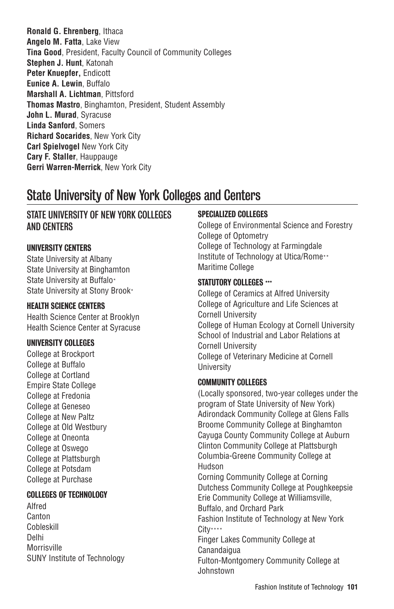**Ronald G. Ehrenberg**, Ithaca **Angelo M. Fatta**, Lake View **Tina Good**, President, Faculty Council of Community Colleges **Stephen J. Hunt**, Katonah **Peter Knuepfer,** Endicott **Eunice A. Lewin**, Buffalo **Marshall A. Lichtman**, Pittsford **Thomas Mastro**, Binghamton, President, Student Assembly **John L. Murad**, Syracuse **Linda Sanford**, Somers **Richard Socarides**, New York City **Carl Spielvogel** New York City **Cary F. Staller**, Hauppauge **Gerri Warren-Merrick**, New York City

# State University of New York Colleges and Centers

# STATE UNIVERSITY OF NEW YORK COLLEGES AND CENTERS

## UNIVERSITY CENTERS

State University at Albany State University at Binghamton State University at Buffalo\* State University at Stony Brook\*

# HEALTH SCIENCE CENTERS

Health Science Center at Brooklyn Health Science Center at Syracuse

## UNIVERSITY COLLEGES

College at Brockport College at Buffalo College at Cortland Empire State College College at Fredonia College at Geneseo College at New Paltz College at Old Westbury College at Oneonta College at Oswego College at Plattsburgh College at Potsdam College at Purchase

# COLLEGES OF TECHNOLOGY

Alfred Canton Cobleskill Delhi Morrisville SUNY Institute of Technology

# SPECIALIZED COLLEGES

College of Environmental Science and Forestry College of Optometry College of Technology at Farmingdale Institute of Technology at Utica/Rome\*\* Maritime College

#### STATUTORY COLLEGES \*\*\*

College of Ceramics at Alfred University College of Agriculture and Life Sciences at Cornell University College of Human Ecology at Cornell University School of Industrial and Labor Relations at Cornell University College of Veterinary Medicine at Cornell University

## COMMUNITY COLLEGES

(Locally sponsored, two-year colleges under the program of State University of New York) Adirondack Community College at Glens Falls Broome Community College at Binghamton Cayuga County Community College at Auburn Clinton Community College at Plattsburgh Columbia-Greene Community College at Hudson Corning Community College at Corning Dutchess Community College at Poughkeepsie Erie Community College at Williamsville, Buffalo, and Orchard Park Fashion Institute of Technology at New York City\*\*\*\* Finger Lakes Community College at **Canandaigua** Fulton-Montgomery Community College at Johnstown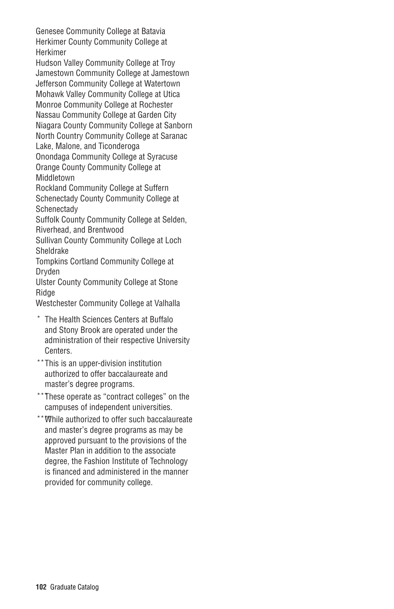Genesee Community College at Batavia Herkimer County Community College at Herkimer

Hudson Valley Community College at Troy Jamestown Community College at Jamestown Jefferson Community College at Watertown Mohawk Valley Community College at Utica Monroe Community College at Rochester Nassau Community College at Garden City Niagara County Community College at Sanborn North Country Community College at Saranac Lake, Malone, and Ticonderoga

Onondaga Community College at Syracuse Orange County Community College at Middletown

Rockland Community College at Suffern Schenectady County Community College at **Schenectady** 

Suffolk County Community College at Selden, Riverhead, and Brentwood

Sullivan County Community College at Loch Sheldrake

Tompkins Cortland Community College at Dryden

Ulster County Community College at Stone Ridge

Westchester Community College at Valhalla

- \* The Health Sciences Centers at Buffalo and Stony Brook are operated under the administration of their respective University Centers.
- \*\*This is an upper-division institution authorized to offer baccalaureate and master's degree programs.
- \*\*\*These operate as "contract colleges" on the campuses of independent universities.
- \*\*\*\*While authorized to offer such baccalaureate and master's degree programs as may be approved pursuant to the provisions of the Master Plan in addition to the associate degree, the Fashion Institute of Technology is financed and administered in the manner provided for community college.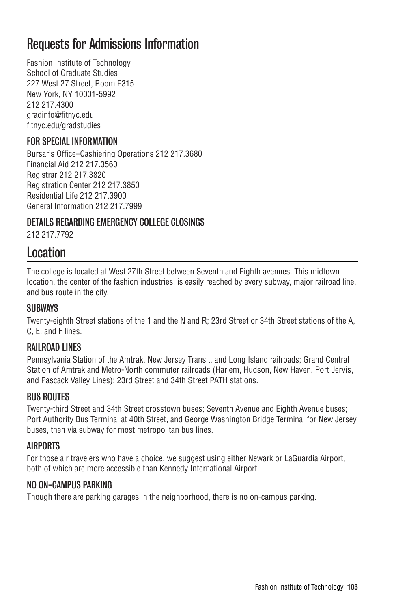# Requests for Admissions Information

Fashion Institute of Technology School of Graduate Studies 227 West 27 Street, Room E315 New York, NY 10001-5992 212 217.4300 gradinfo@fitnyc.edu fitnyc.edu/gradstudies

# FOR SPECIAL INFORMATION

Bursar's Office–Cashiering Operations 212 217.3680 Financial Aid 212 217.3560 Registrar 212 217.3820 Registration Center 212 217.3850 Residential Life 212 217.3900 General Information 212 217.7999

# DETAILS REGARDING EMERGENCY COLLEGE CLOSINGS

212 217.7792

# Location

The college is located at West 27th Street between Seventh and Eighth avenues. This midtown location, the center of the fashion industries, is easily reached by every subway, major railroad line, and bus route in the city.

# **SURWAYS**

Twenty-eighth Street stations of the 1 and the N and R; 23rd Street or 34th Street stations of the A, C, E, and F lines.

# RAILROAD LINES

Pennsylvania Station of the Amtrak, New Jersey Transit, and Long Island railroads; Grand Central Station of Amtrak and Metro-North commuter railroads (Harlem, Hudson, New Haven, Port Jervis, and Pascack Valley Lines); 23rd Street and 34th Street PATH stations.

# BUS ROUTES

Twenty-third Street and 34th Street crosstown buses; Seventh Avenue and Eighth Avenue buses; Port Authority Bus Terminal at 40th Street, and George Washington Bridge Terminal for New Jersey buses, then via subway for most metropolitan bus lines.

## AIRPORTS

For those air travelers who have a choice, we suggest using either Newark or LaGuardia Airport, both of which are more accessible than Kennedy International Airport.

# NO ON-CAMPUS PARKING

Though there are parking garages in the neighborhood, there is no on-campus parking.